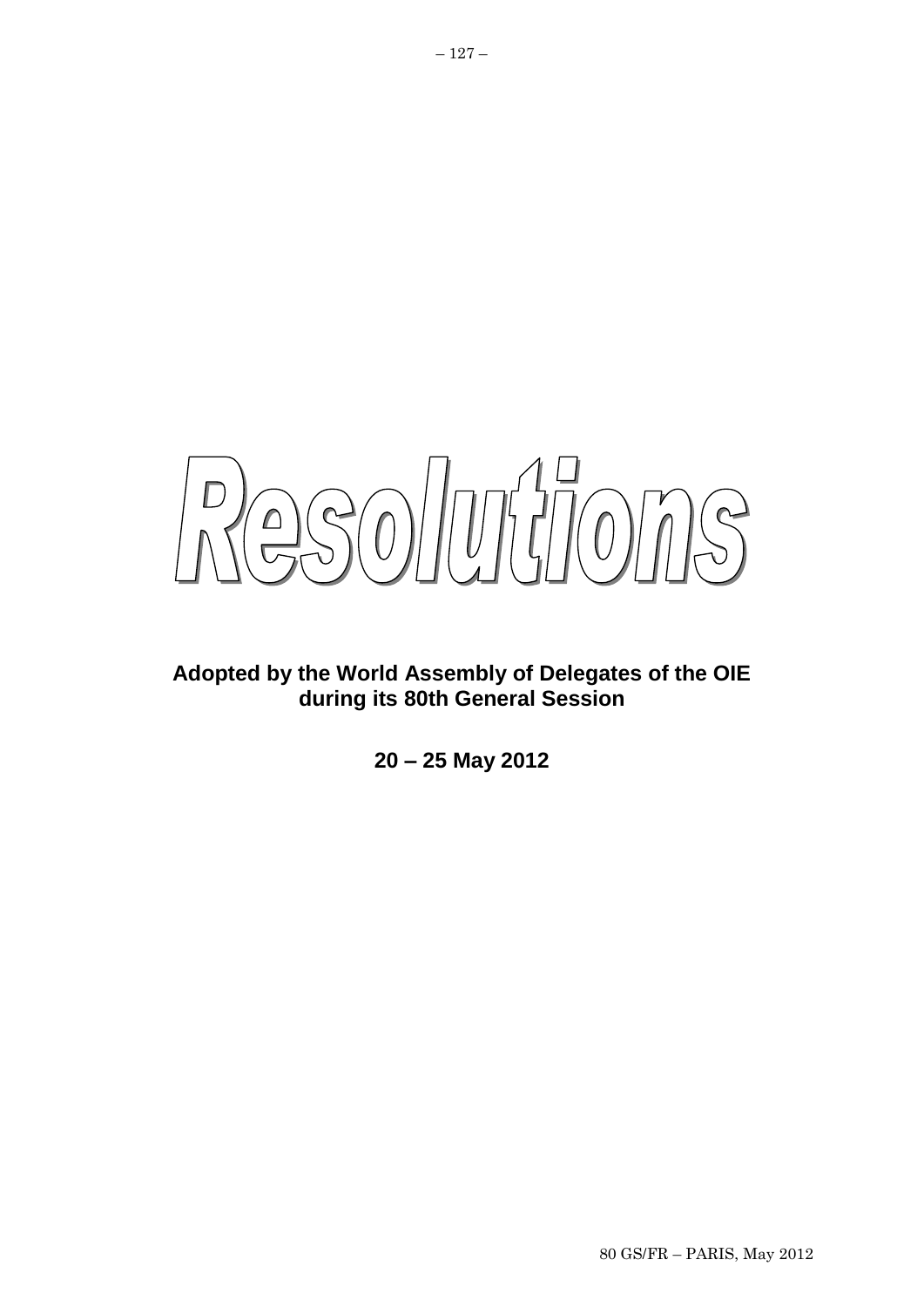$250/07770775$ 

# **Adopted by the World Assembly of Delegates of the OIE during its 80th General Session**

**20 – 25 May 2012**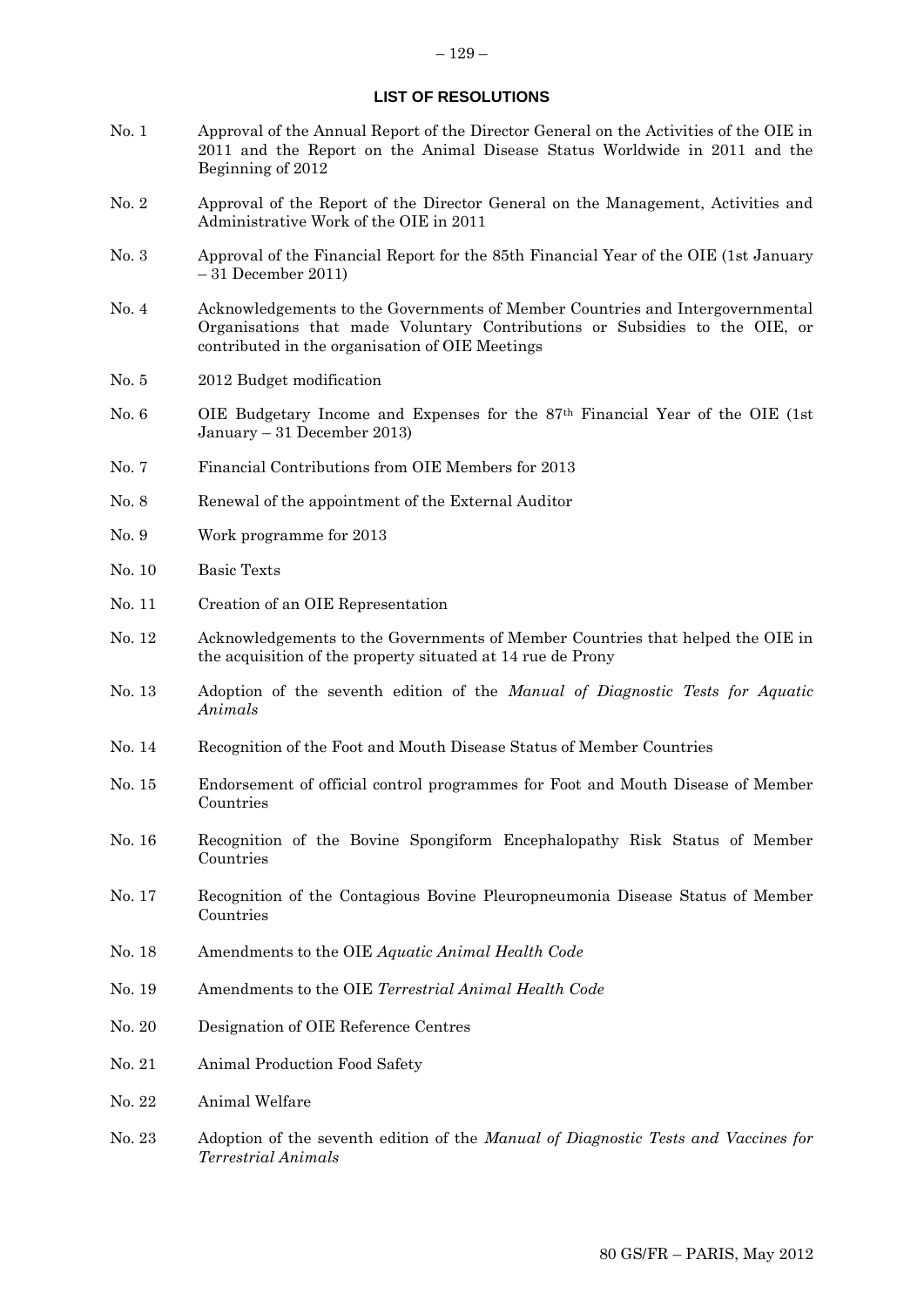### **LIST OF RESOLUTIONS**

- No. 1 Approval of the Annual Report of the Director General on the Activities of the OIE in 2011 and the Report on the Animal Disease Status Worldwide in 2011 and the Beginning of 2012
- No. 2 Approval of the Report of the Director General on the Management, Activities and Administrative Work of the OIE in 2011
- No. 3 Approval of the Financial Report for the 85th Financial Year of the OIE (1st January – 31 December 2011)
- No. 4 Acknowledgements to the Governments of Member Countries and Intergovernmental Organisations that made Voluntary Contributions or Subsidies to the OIE, or contributed in the organisation of OIE Meetings
- No. 5 2012 Budget modification
- No. 6 OIE Budgetary Income and Expenses for the 87th Financial Year of the OIE (1st January – 31 December 2013)
- No. 7 Financial Contributions from OIE Members for 2013
- No. 8 Renewal of the appointment of the External Auditor
- No. 9 Work programme for 2013
- No. 10 Basic Texts
- No. 11 Creation of an OIE Representation
- No. 12 Acknowledgements to the Governments of Member Countries that helped the OIE in the acquisition of the property situated at 14 rue de Prony
- No. 13 Adoption of the seventh edition of the *Manual of Diagnostic Tests for Aquatic Animals*
- No. 14 Recognition of the Foot and Mouth Disease Status of Member Countries
- No. 15 Endorsement of official control programmes for Foot and Mouth Disease of Member Countries
- No. 16 Recognition of the Bovine Spongiform Encephalopathy Risk Status of Member Countries
- No. 17 Recognition of the Contagious Bovine Pleuropneumonia Disease Status of Member Countries
- No. 18 Amendments to the OIE *Aquatic Animal Health Code*
- No. 19 Amendments to the OIE *Terrestrial Animal Health Code*
- No. 20 Designation of OIE Reference Centres
- No. 21 Animal Production Food Safety
- No. 22 Animal Welfare
- No. 23 Adoption of the seventh edition of the *Manual of Diagnostic Tests and Vaccines for Terrestrial Animals*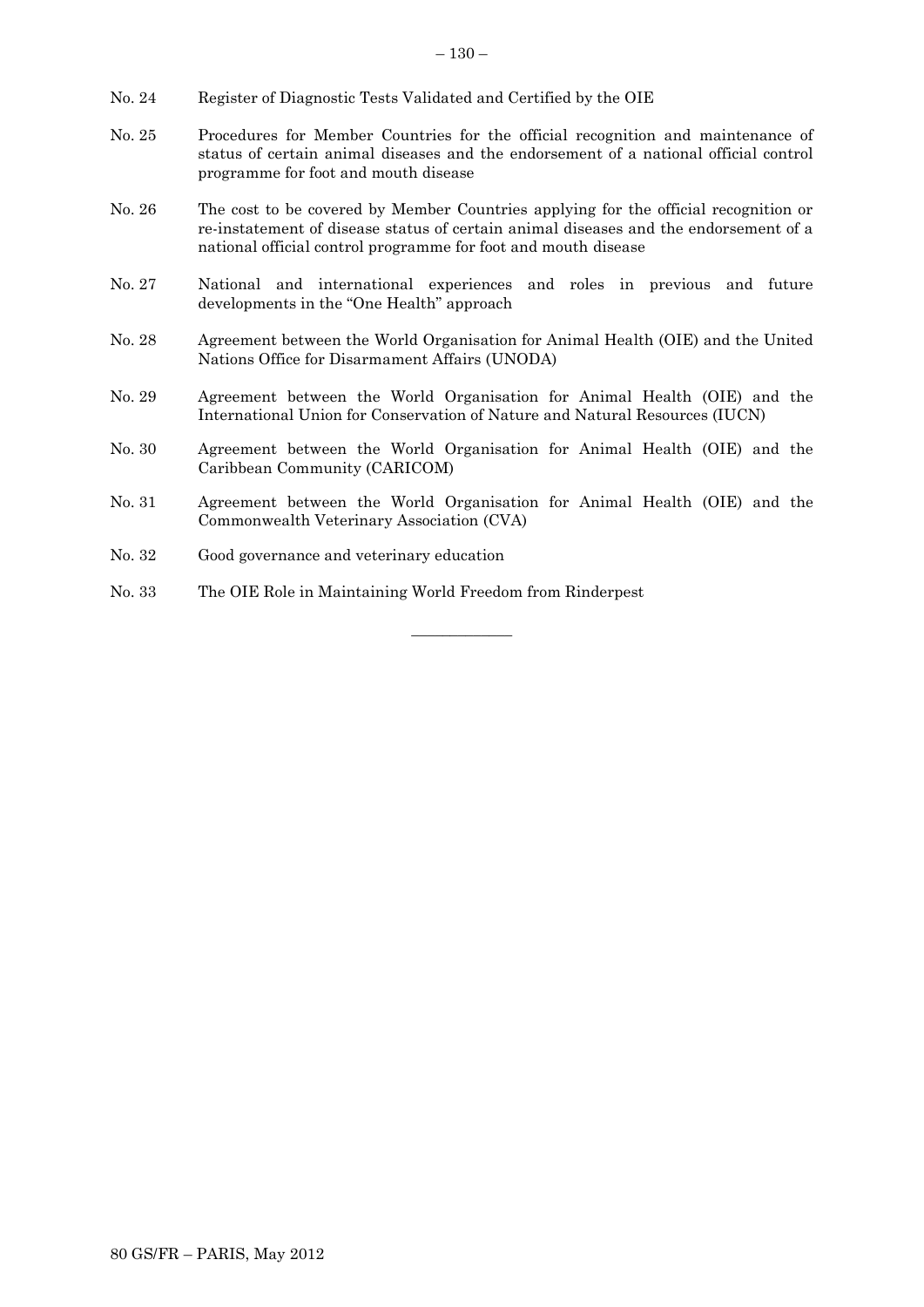- No. 24 Register of Diagnostic Tests Validated and Certified by the OIE
- No. 25 Procedures for Member Countries for the official recognition and maintenance of status of certain animal diseases and the endorsement of a national official control programme for foot and mouth disease
- No. 26 The cost to be covered by Member Countries applying for the official recognition or re-instatement of disease status of certain animal diseases and the endorsement of a national official control programme for foot and mouth disease
- No. 27 National and international experiences and roles in previous and future developments in the "One Health" approach
- No. 28 Agreement between the World Organisation for Animal Health (OIE) and the United Nations Office for Disarmament Affairs (UNODA)
- No. 29 Agreement between the World Organisation for Animal Health (OIE) and the International Union for Conservation of Nature and Natural Resources (IUCN)
- No. 30 Agreement between the World Organisation for Animal Health (OIE) and the Caribbean Community (CARICOM)
- No. 31 Agreement between the World Organisation for Animal Health (OIE) and the Commonwealth Veterinary Association (CVA)

 $\overline{\phantom{a}}$  , where  $\overline{\phantom{a}}$ 

- No. 32 Good governance and veterinary education
- No. 33 The OIE Role in Maintaining World Freedom from Rinderpest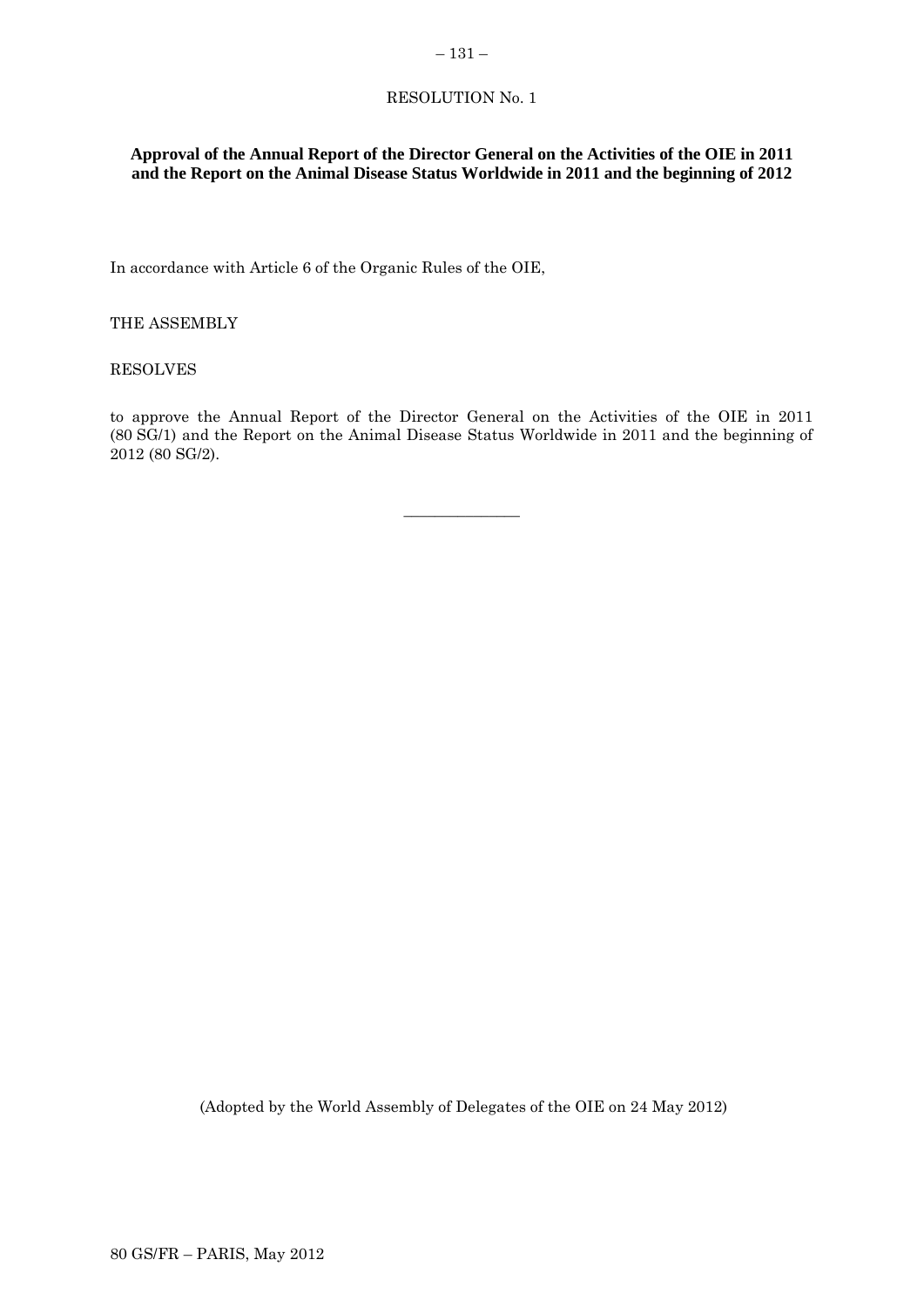# RESOLUTION No. 1

# **Approval of the Annual Report of the Director General on the Activities of the OIE in 2011 and the Report on the Animal Disease Status Worldwide in 2011 and the beginning of 2012**

In accordance with Article 6 of the Organic Rules of the OIE,

THE ASSEMBLY

RESOLVES

to approve the Annual Report of the Director General on the Activities of the OIE in 2011 (80 SG/1) and the Report on the Animal Disease Status Worldwide in 2011 and the beginning of 2012 (80 SG/2).

 $\overline{\phantom{a}}$  , where  $\overline{\phantom{a}}$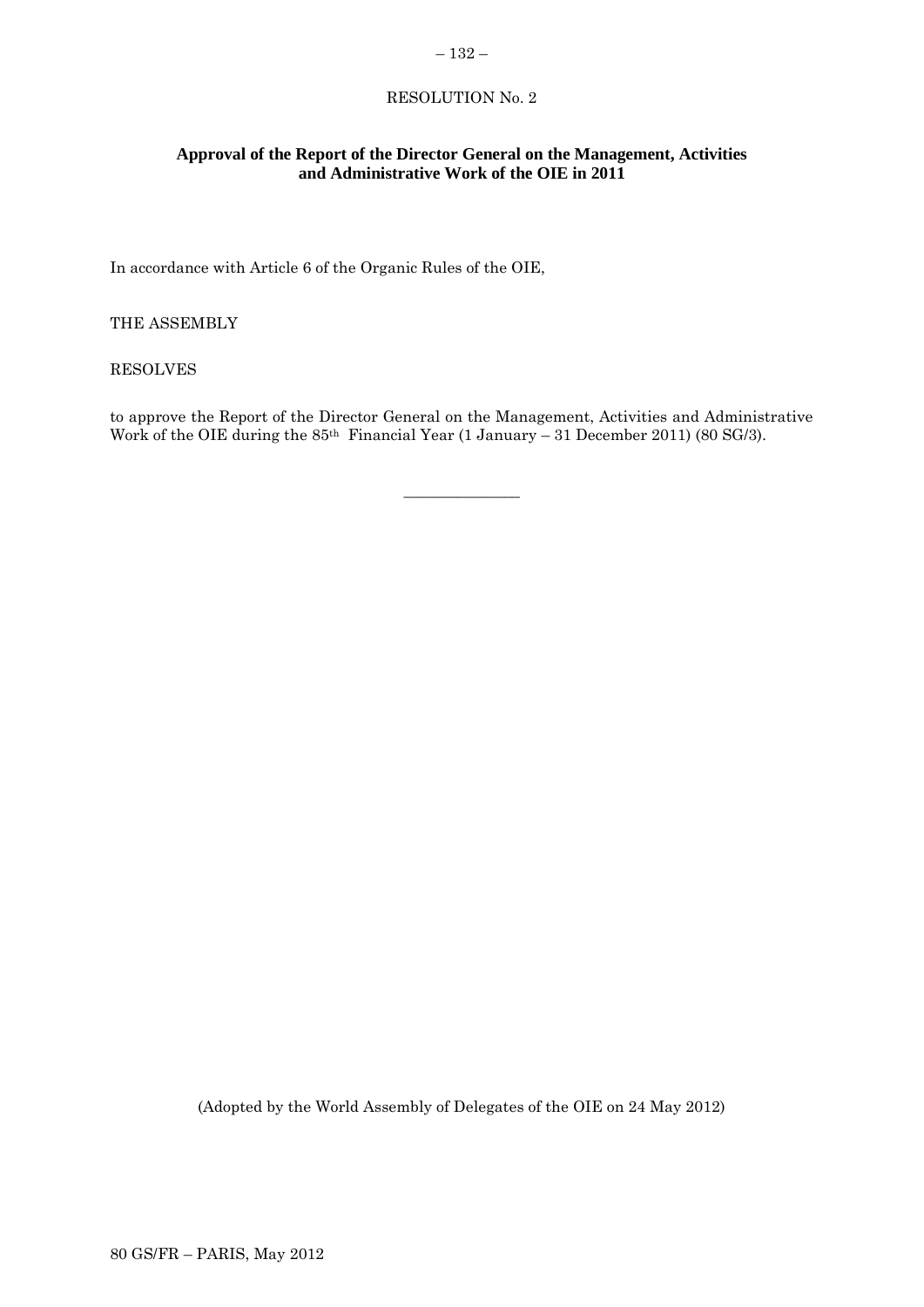### – 132 –

# RESOLUTION No. 2

# **Approval of the Report of the Director General on the Management, Activities and Administrative Work of the OIE in 2011**

In accordance with Article 6 of the Organic Rules of the OIE,

THE ASSEMBLY

RESOLVES

to approve the Report of the Director General on the Management, Activities and Administrative Work of the OIE during the 85<sup>th</sup> Financial Year (1 January – 31 December 2011) (80 SG/3).

 $\overline{\phantom{a}}$  , where  $\overline{\phantom{a}}$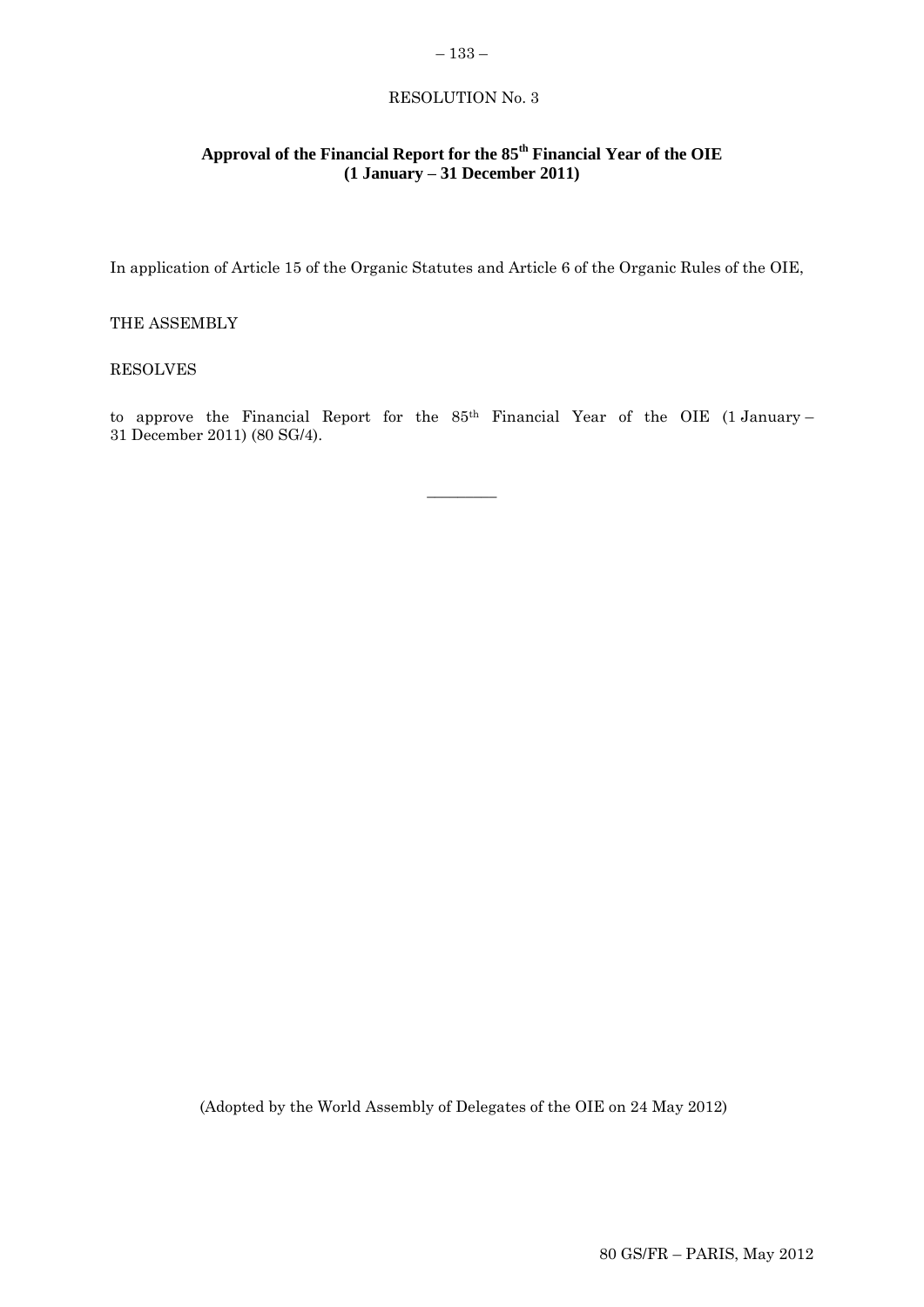# RESOLUTION No. 3

– 133 –

# **Approval of the Financial Report for the 85th Financial Year of the OIE (1 January – 31 December 2011)**

In application of Article 15 of the Organic Statutes and Article 6 of the Organic Rules of the OIE,

# THE ASSEMBLY

### RESOLVES

to approve the Financial Report for the 85th Financial Year of the OIE (1 January – 31 December 2011) (80 SG/4).

 $\overline{\phantom{a}}$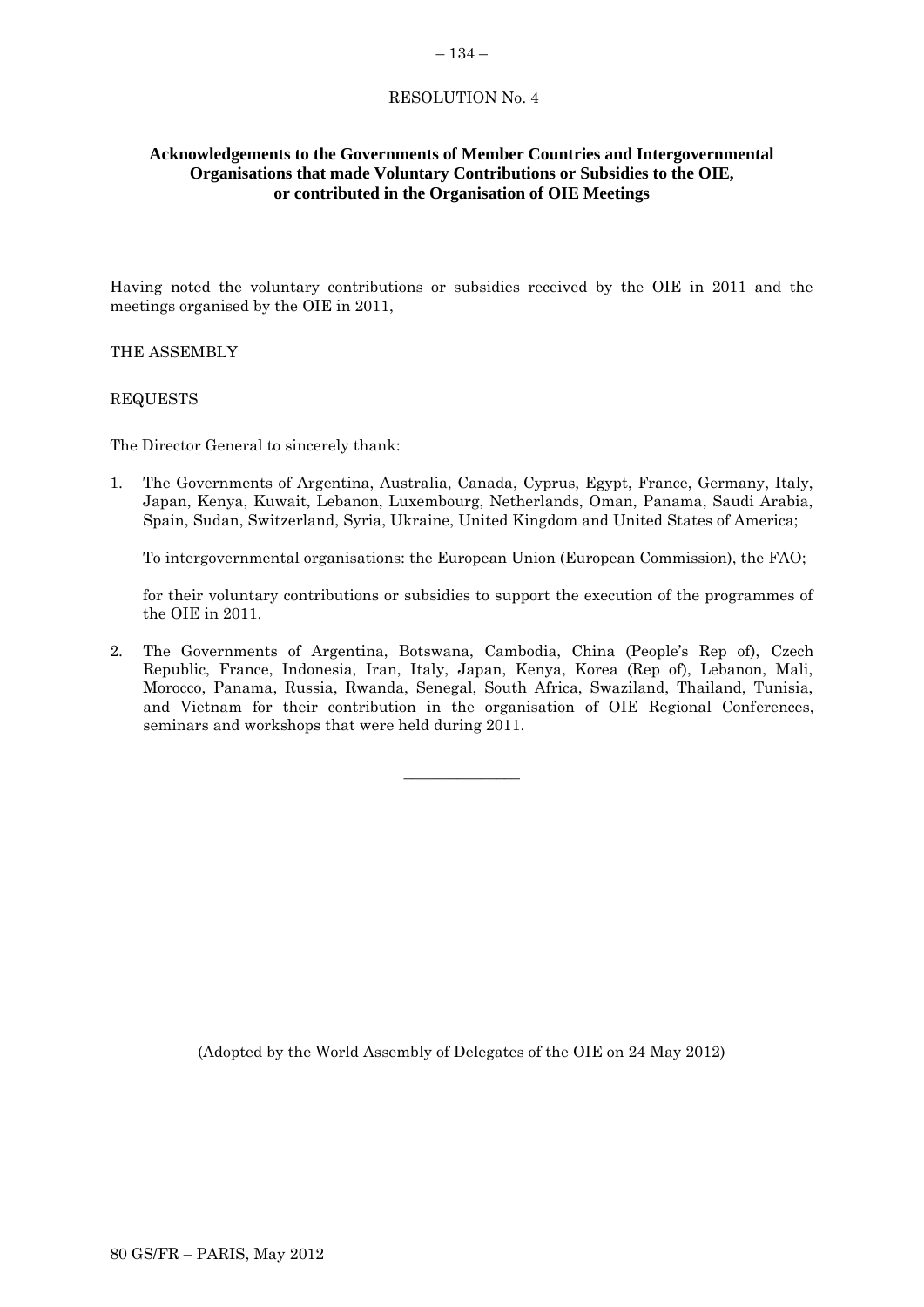### – 134 –

# RESOLUTION No. 4

# **Acknowledgements to the Governments of Member Countries and Intergovernmental Organisations that made Voluntary Contributions or Subsidies to the OIE, or contributed in the Organisation of OIE Meetings**

Having noted the voluntary contributions or subsidies received by the OIE in 2011 and the meetings organised by the OIE in 2011,

### THE ASSEMBLY

### REQUESTS

The Director General to sincerely thank:

1. The Governments of Argentina, Australia, Canada, Cyprus, Egypt, France, Germany, Italy, Japan, Kenya, Kuwait, Lebanon, Luxembourg, Netherlands, Oman, Panama, Saudi Arabia, Spain, Sudan, Switzerland, Syria, Ukraine, United Kingdom and United States of America;

To intergovernmental organisations: the European Union (European Commission), the FAO;

for their voluntary contributions or subsidies to support the execution of the programmes of the OIE in 2011.

2. The Governments of Argentina, Botswana, Cambodia, China (People's Rep of), Czech Republic, France, Indonesia, Iran, Italy, Japan, Kenya, Korea (Rep of), Lebanon, Mali, Morocco, Panama, Russia, Rwanda, Senegal, South Africa, Swaziland, Thailand, Tunisia, and Vietnam for their contribution in the organisation of OIE Regional Conferences, seminars and workshops that were held during 2011.

 $\overline{\phantom{a}}$  , where  $\overline{\phantom{a}}$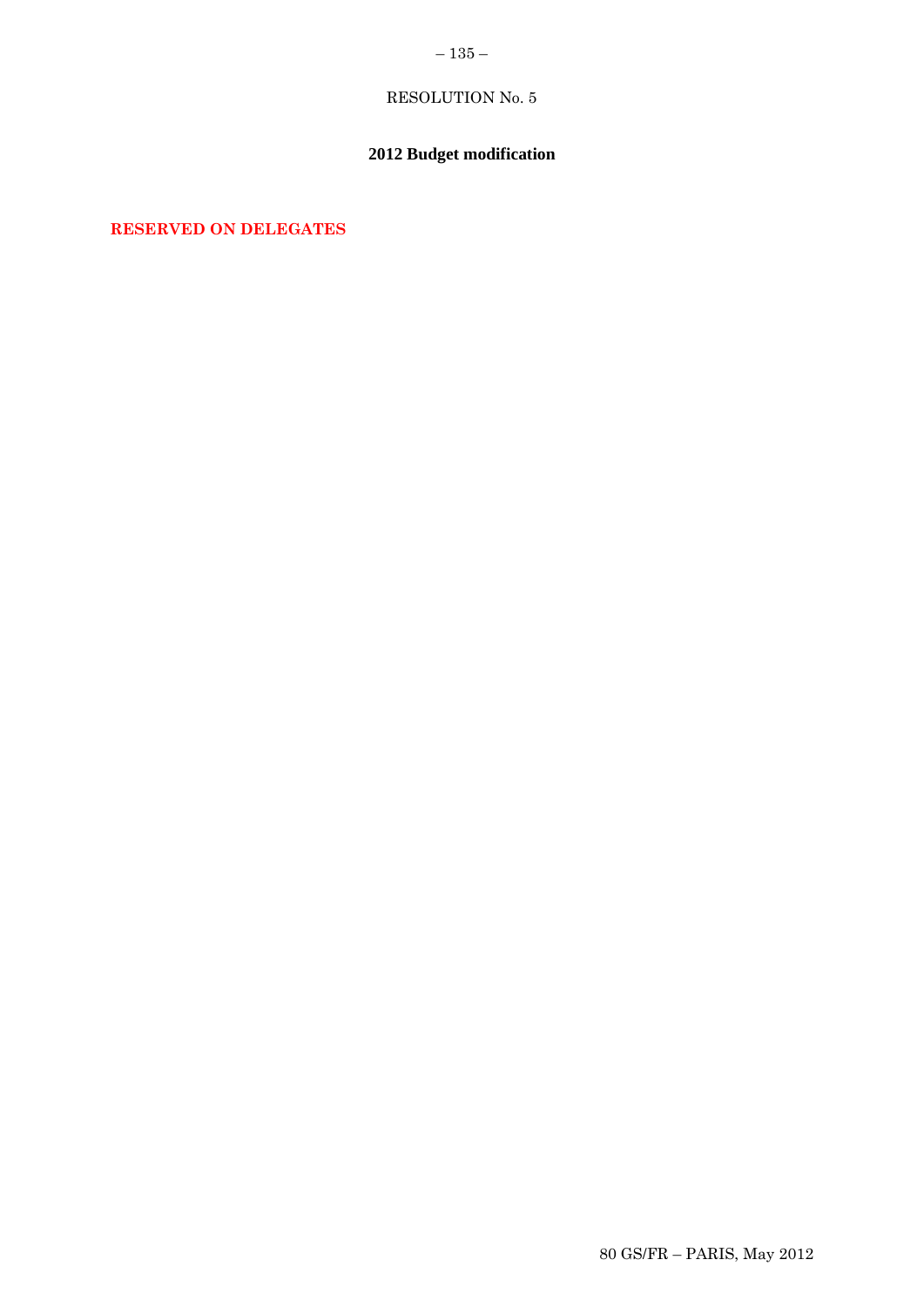# – 135 $-$

# RESOLUTION No. 5

# **2012 Budget modification**

**RESERVED ON DELEGATES**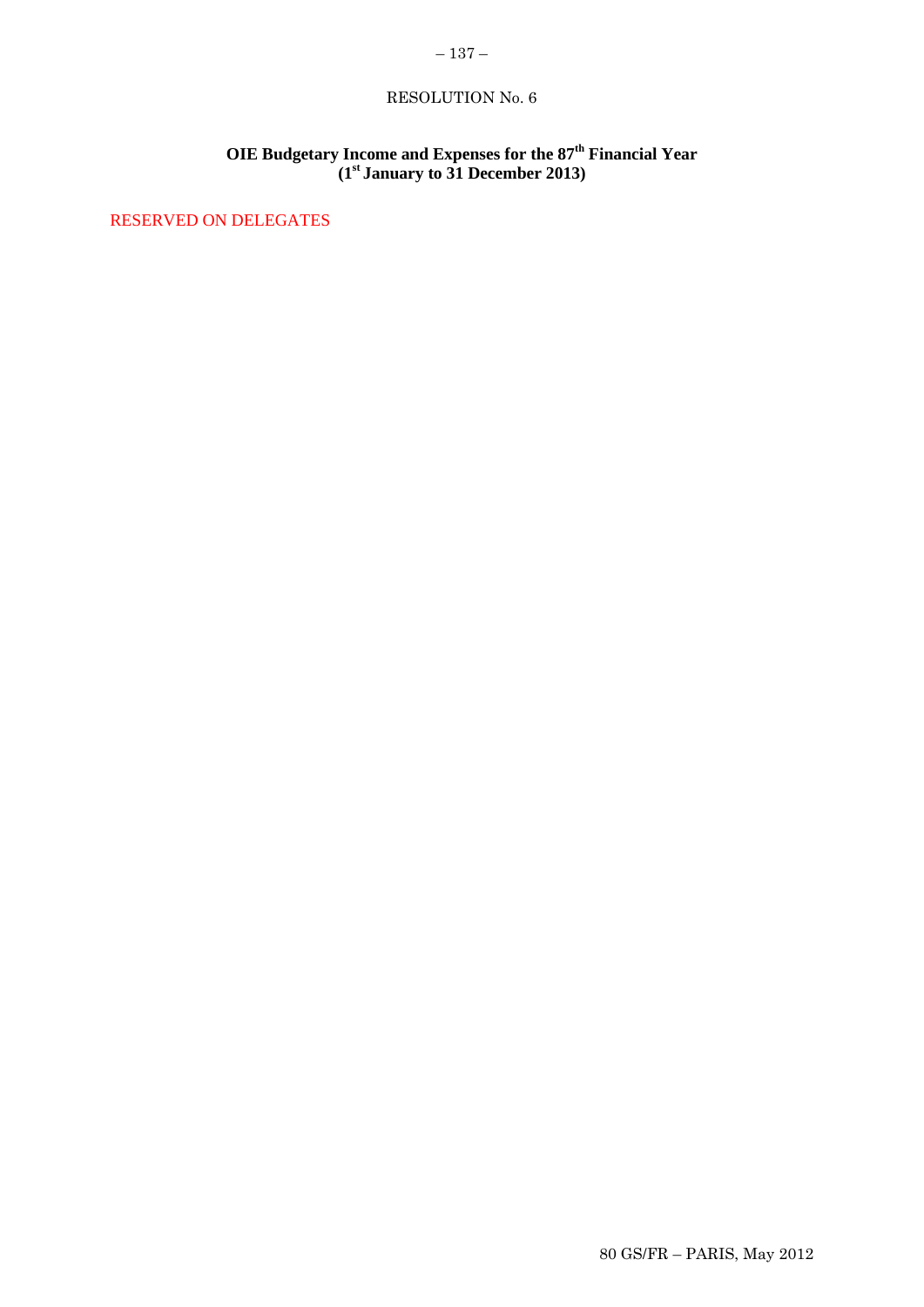# RESOLUTION No. 6

# **OIE Budgetary Income and Expenses for the 87th Financial Year (1st January to 31 December 2013)**

RESERVED ON DELEGATES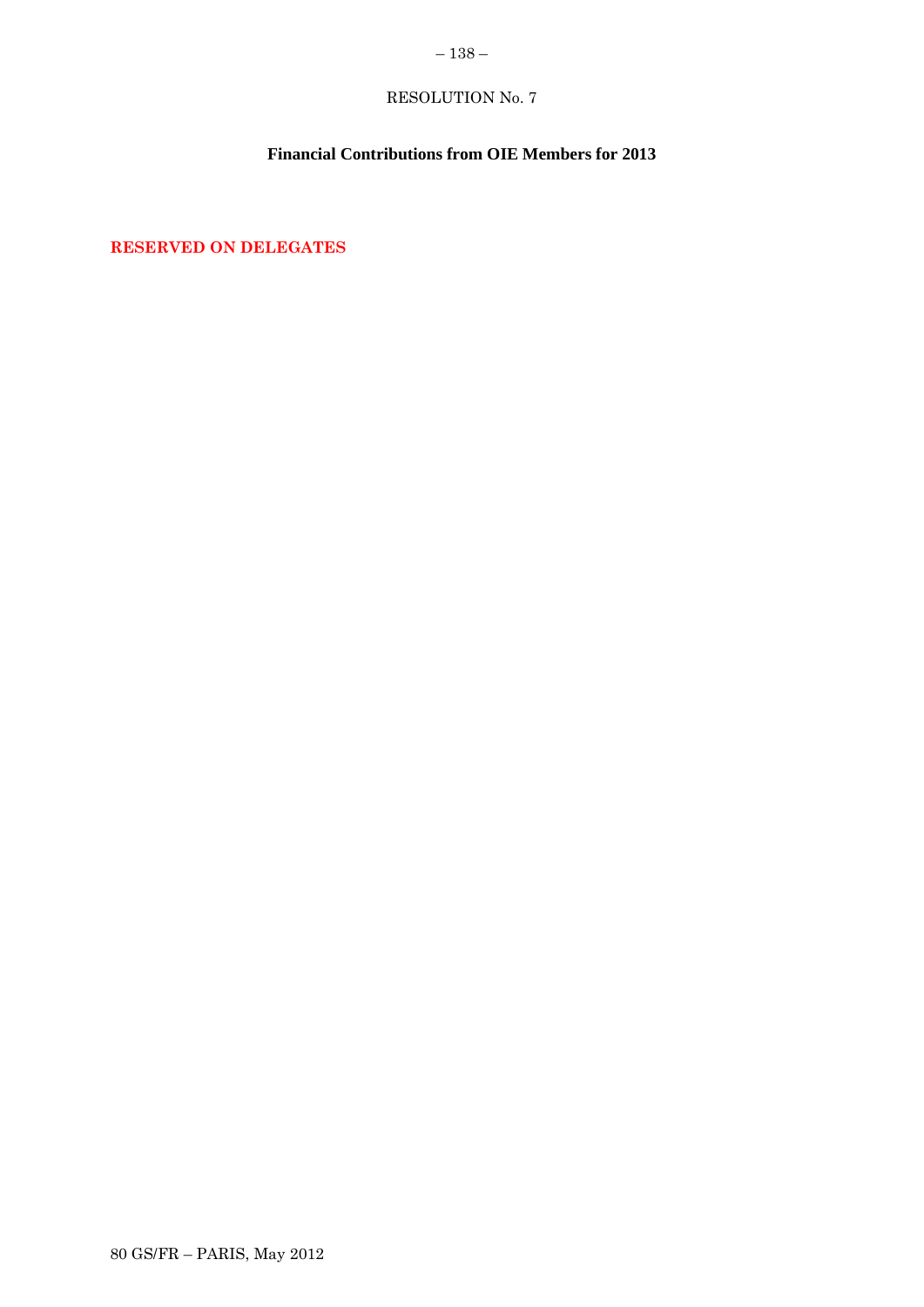# $-138-$

# RESOLUTION No. 7

# **Financial Contributions from OIE Members for 2013**

**RESERVED ON DELEGATES**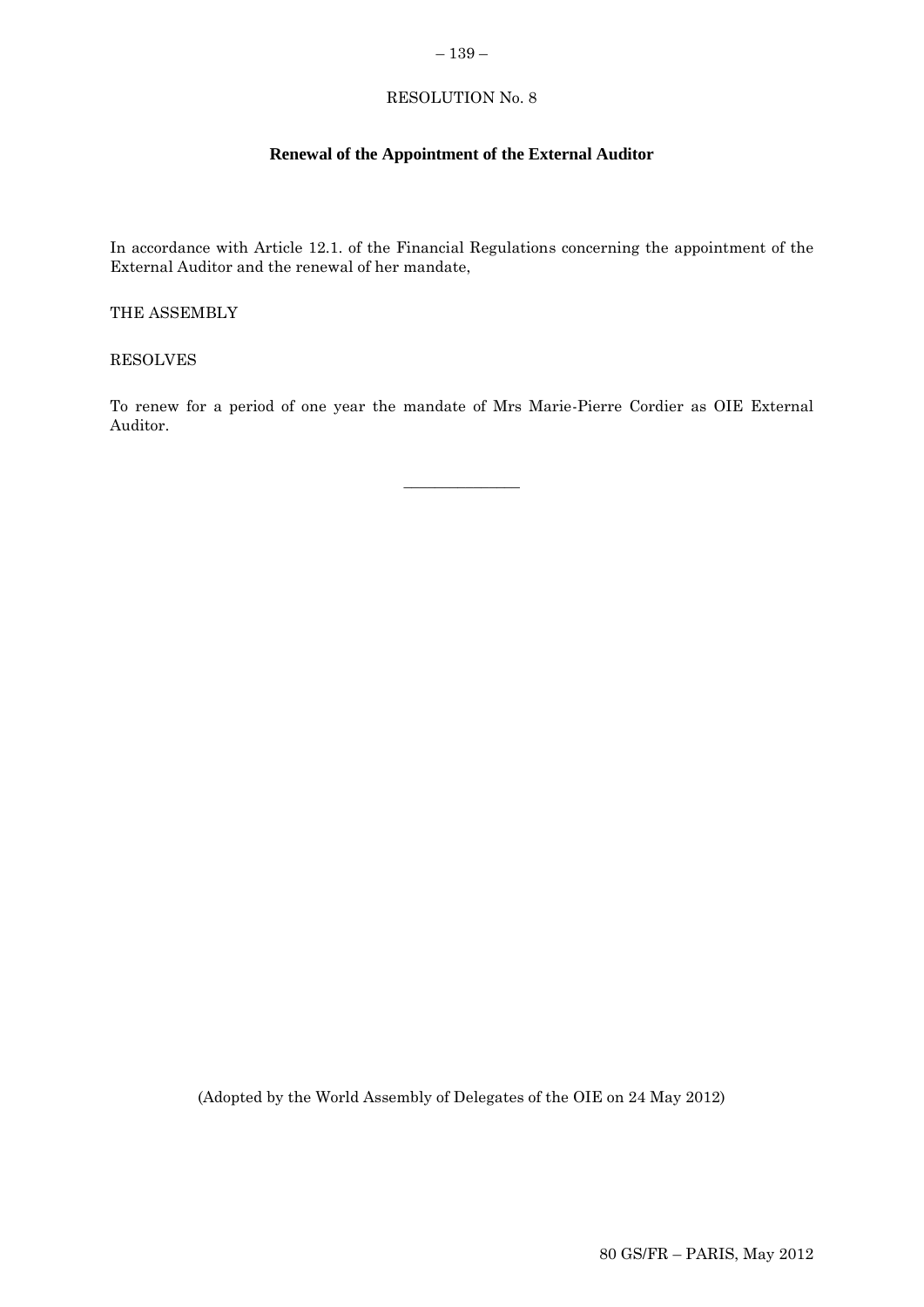### – 139 –

# RESOLUTION No. 8

# **Renewal of the Appointment of the External Auditor**

In accordance with Article 12.1. of the Financial Regulations concerning the appointment of the External Auditor and the renewal of her mandate,

THE ASSEMBLY

RESOLVES

To renew for a period of one year the mandate of Mrs Marie-Pierre Cordier as OIE External Auditor.

 $\overline{\phantom{a}}$  , where  $\overline{\phantom{a}}$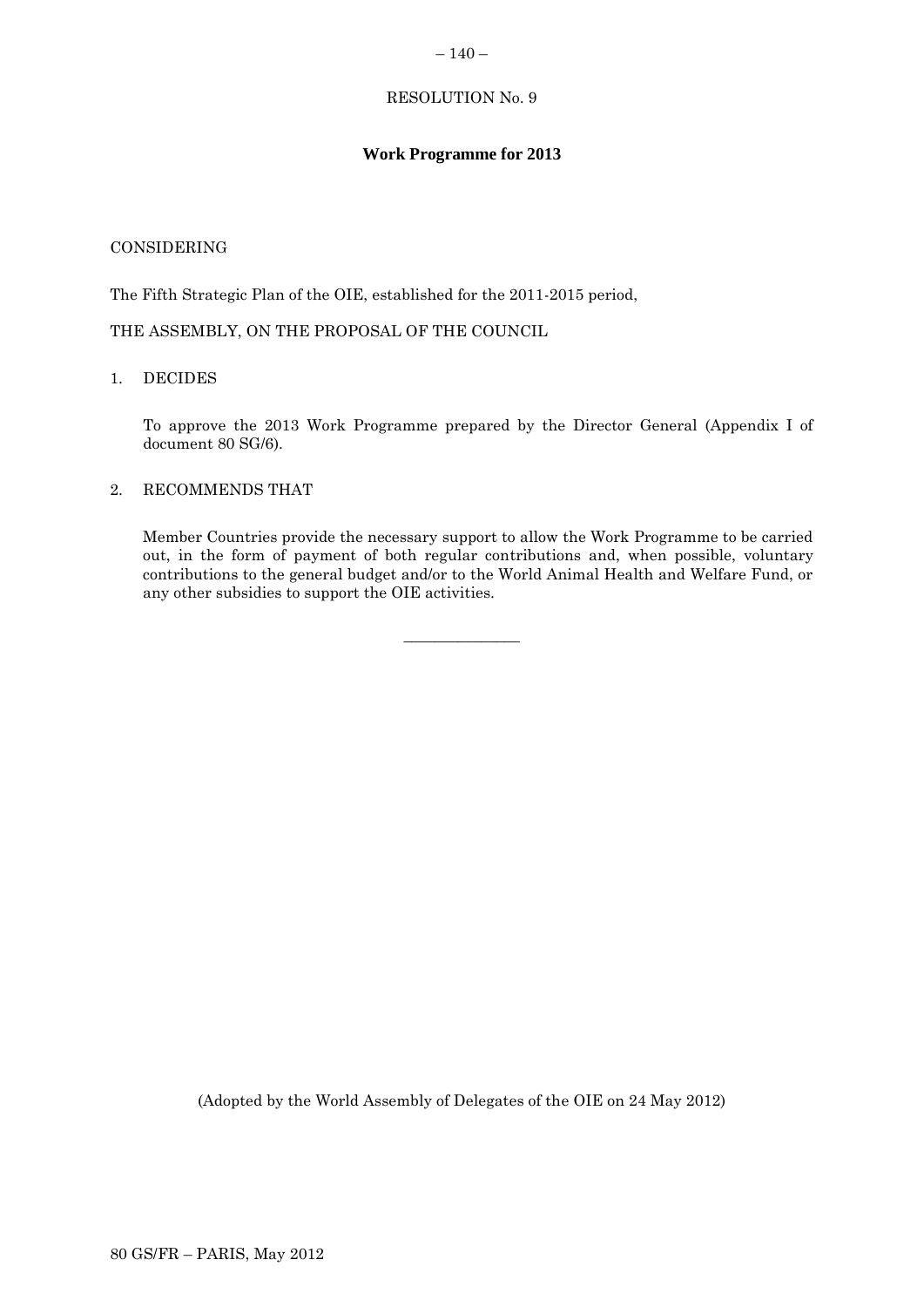### $-140-$

# RESOLUTION No. 9

# **Work Programme for 2013**

# CONSIDERING

The Fifth Strategic Plan of the OIE, established for the 2011-2015 period,

THE ASSEMBLY, ON THE PROPOSAL OF THE COUNCIL

# 1. DECIDES

To approve the 2013 Work Programme prepared by the Director General (Appendix I of document 80 SG/6).

# 2. RECOMMENDS THAT

Member Countries provide the necessary support to allow the Work Programme to be carried out, in the form of payment of both regular contributions and, when possible, voluntary contributions to the general budget and/or to the World Animal Health and Welfare Fund, or any other subsidies to support the OIE activities.

 $\overline{\phantom{a}}$  , where  $\overline{\phantom{a}}$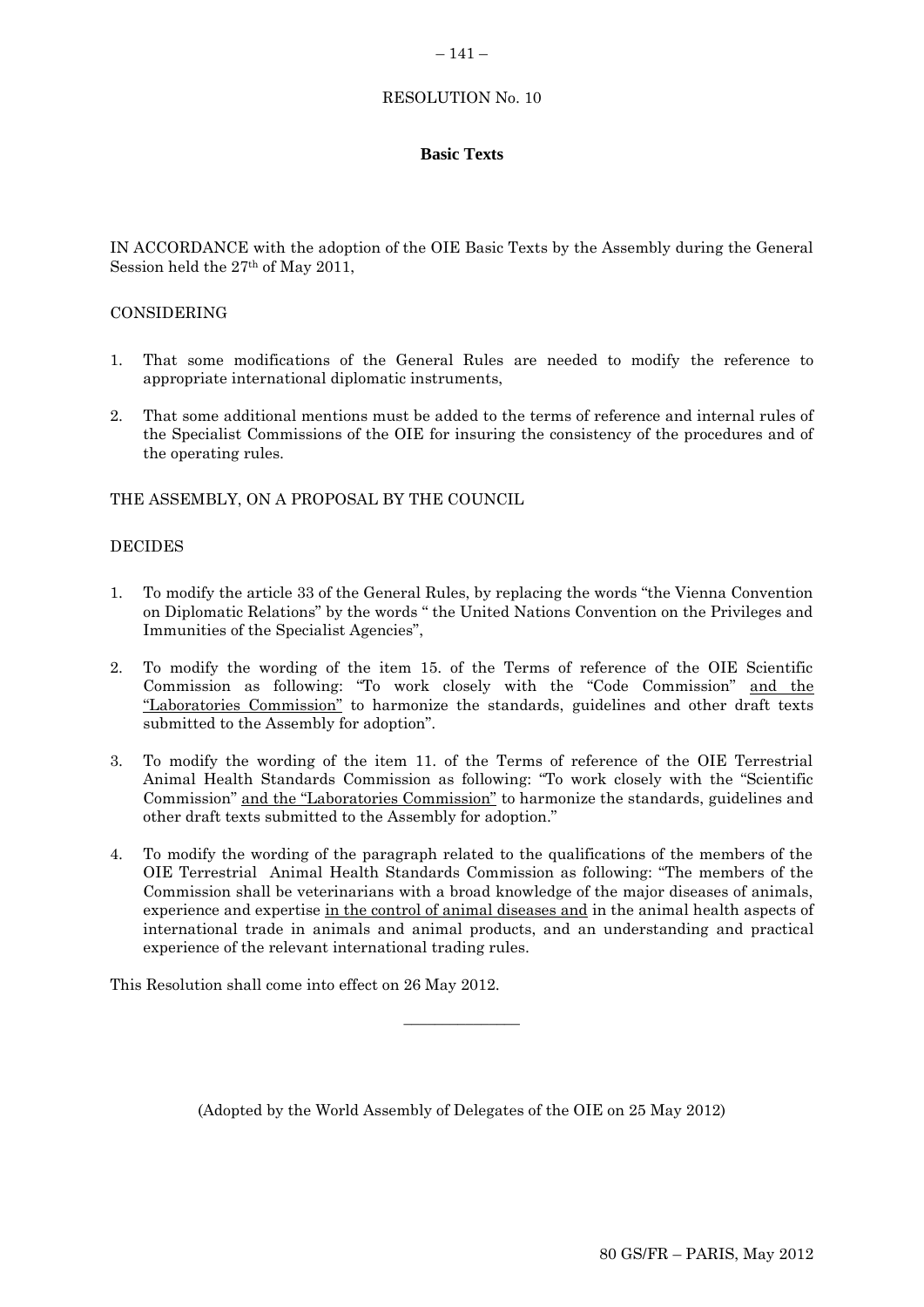# $-141-$

# RESOLUTION No. 10

# **Basic Texts**

IN ACCORDANCE with the adoption of the OIE Basic Texts by the Assembly during the General Session held the 27th of May 2011,

# CONSIDERING

- 1. That some modifications of the General Rules are needed to modify the reference to appropriate international diplomatic instruments,
- 2. That some additional mentions must be added to the terms of reference and internal rules of the Specialist Commissions of the OIE for insuring the consistency of the procedures and of the operating rules.

# THE ASSEMBLY, ON A PROPOSAL BY THE COUNCIL

### **DECIDES**

- 1. To modify the article 33 of the General Rules, by replacing the words "the Vienna Convention on Diplomatic Relations" by the words " the United Nations Convention on the Privileges and Immunities of the Specialist Agencies",
- 2. To modify the wording of the item 15. of the Terms of reference of the OIE Scientific Commission as following: "To work closely with the "Code Commission" and the "Laboratories Commission" to harmonize the standards, guidelines and other draft texts submitted to the Assembly for adoption".
- 3. To modify the wording of the item 11. of the Terms of reference of the OIE Terrestrial Animal Health Standards Commission as following: "To work closely with the "Scientific Commission" and the "Laboratories Commission" to harmonize the standards, guidelines and other draft texts submitted to the Assembly for adoption."
- 4. To modify the wording of the paragraph related to the qualifications of the members of the OIE Terrestrial Animal Health Standards Commission as following: "The members of the Commission shall be veterinarians with a broad knowledge of the major diseases of animals, experience and expertise in the control of animal diseases and in the animal health aspects of international trade in animals and animal products, and an understanding and practical experience of the relevant international trading rules.

This Resolution shall come into effect on 26 May 2012.

(Adopted by the World Assembly of Delegates of the OIE on 25 May 2012)

 $\overline{\phantom{a}}$  , where  $\overline{\phantom{a}}$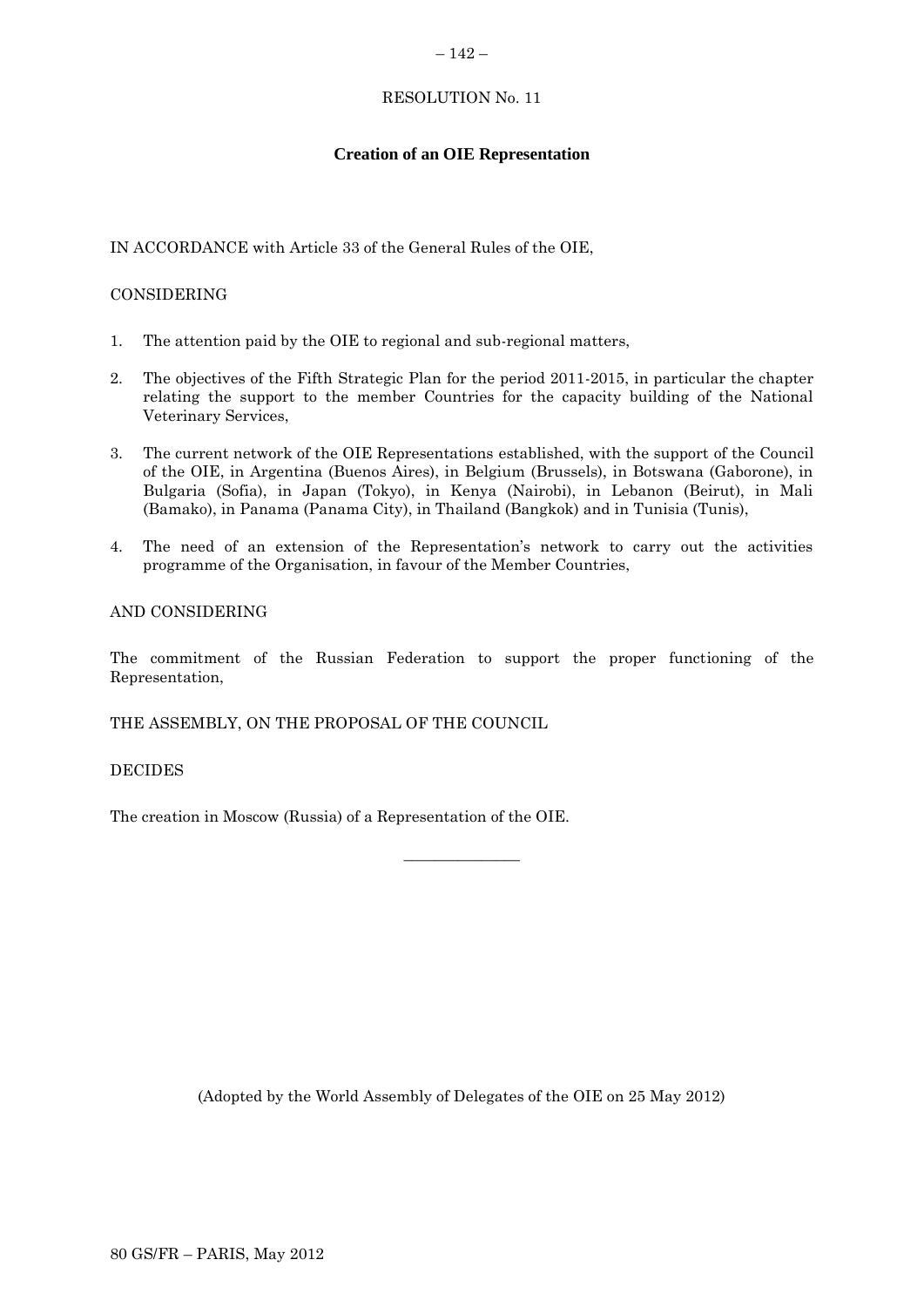### $-142-$

# RESOLUTION No. 11

# **Creation of an OIE Representation**

# IN ACCORDANCE with Article 33 of the General Rules of the OIE,

# CONSIDERING

- 1. The attention paid by the OIE to regional and sub-regional matters,
- 2. The objectives of the Fifth Strategic Plan for the period 2011-2015, in particular the chapter relating the support to the member Countries for the capacity building of the National Veterinary Services,
- 3. The current network of the OIE Representations established, with the support of the Council of the OIE, in Argentina (Buenos Aires), in Belgium (Brussels), in Botswana (Gaborone), in Bulgaria (Sofia), in Japan (Tokyo), in Kenya (Nairobi), in Lebanon (Beirut), in Mali (Bamako), in Panama (Panama City), in Thailand (Bangkok) and in Tunisia (Tunis),
- 4. The need of an extension of the Representation's network to carry out the activities programme of the Organisation, in favour of the Member Countries,

# AND CONSIDERING

The commitment of the Russian Federation to support the proper functioning of the Representation,

 $\overline{\phantom{a}}$  , where  $\overline{\phantom{a}}$ 

THE ASSEMBLY, ON THE PROPOSAL OF THE COUNCIL

# DECIDES

The creation in Moscow (Russia) of a Representation of the OIE.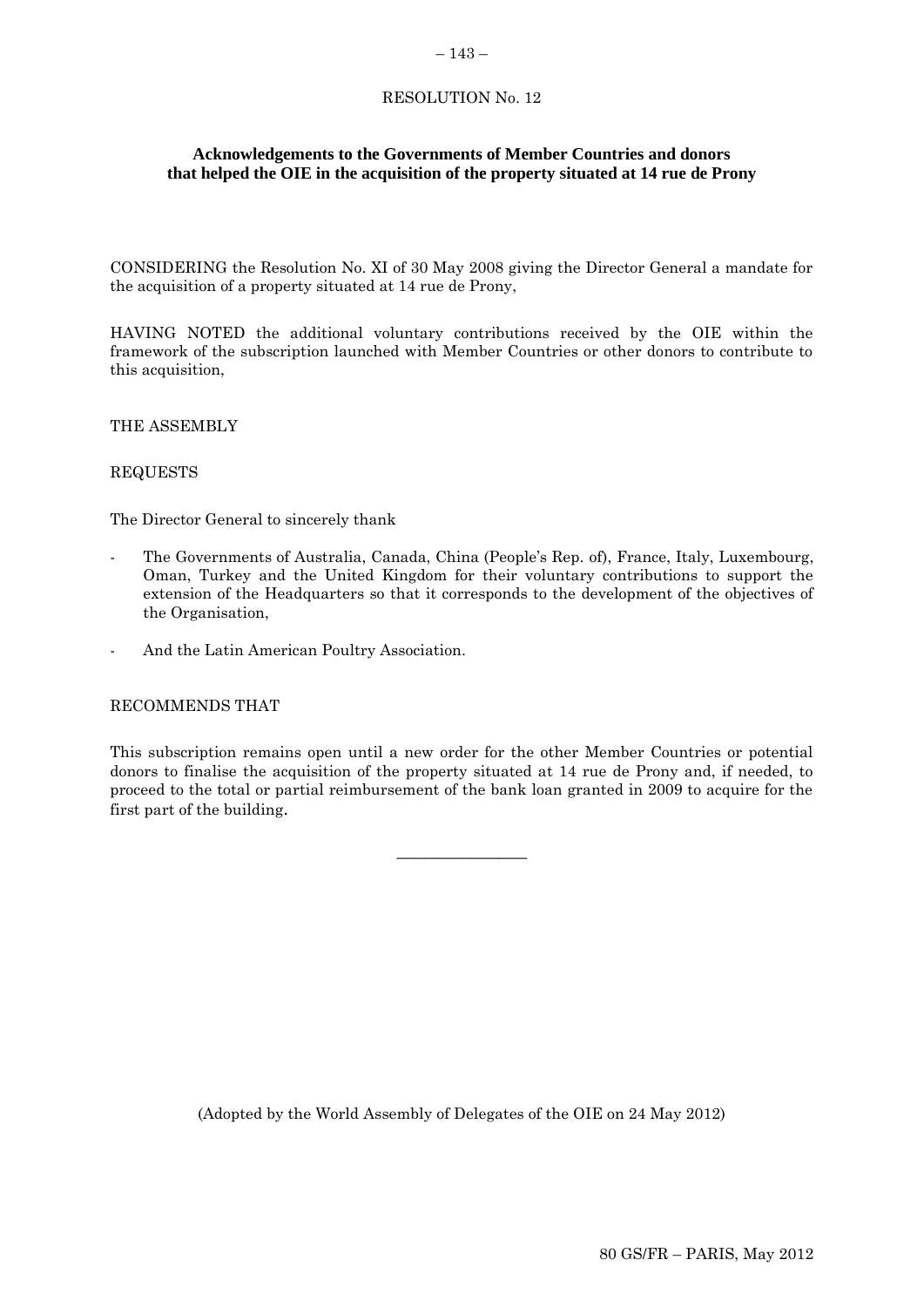### $-143-$

# RESOLUTION No. 12

# **Acknowledgements to the Governments of Member Countries and donors that helped the OIE in the acquisition of the property situated at 14 rue de Prony**

CONSIDERING the Resolution No. XI of 30 May 2008 giving the Director General a mandate for the acquisition of a property situated at 14 rue de Prony,

HAVING NOTED the additional voluntary contributions received by the OIE within the framework of the subscription launched with Member Countries or other donors to contribute to this acquisition,

### THE ASSEMBLY

### REQUESTS

The Director General to sincerely thank

- The Governments of Australia, Canada, China (People's Rep. of), France, Italy, Luxembourg, Oman, Turkey and the United Kingdom for their voluntary contributions to support the extension of the Headquarters so that it corresponds to the development of the objectives of the Organisation,
- And the Latin American Poultry Association.

### RECOMMENDS THAT

This subscription remains open until a new order for the other Member Countries or potential donors to finalise the acquisition of the property situated at 14 rue de Prony and, if needed, to proceed to the total or partial reimbursement of the bank loan granted in 2009 to acquire for the first part of the building.

**\_\_\_\_\_\_\_\_\_\_\_\_\_\_**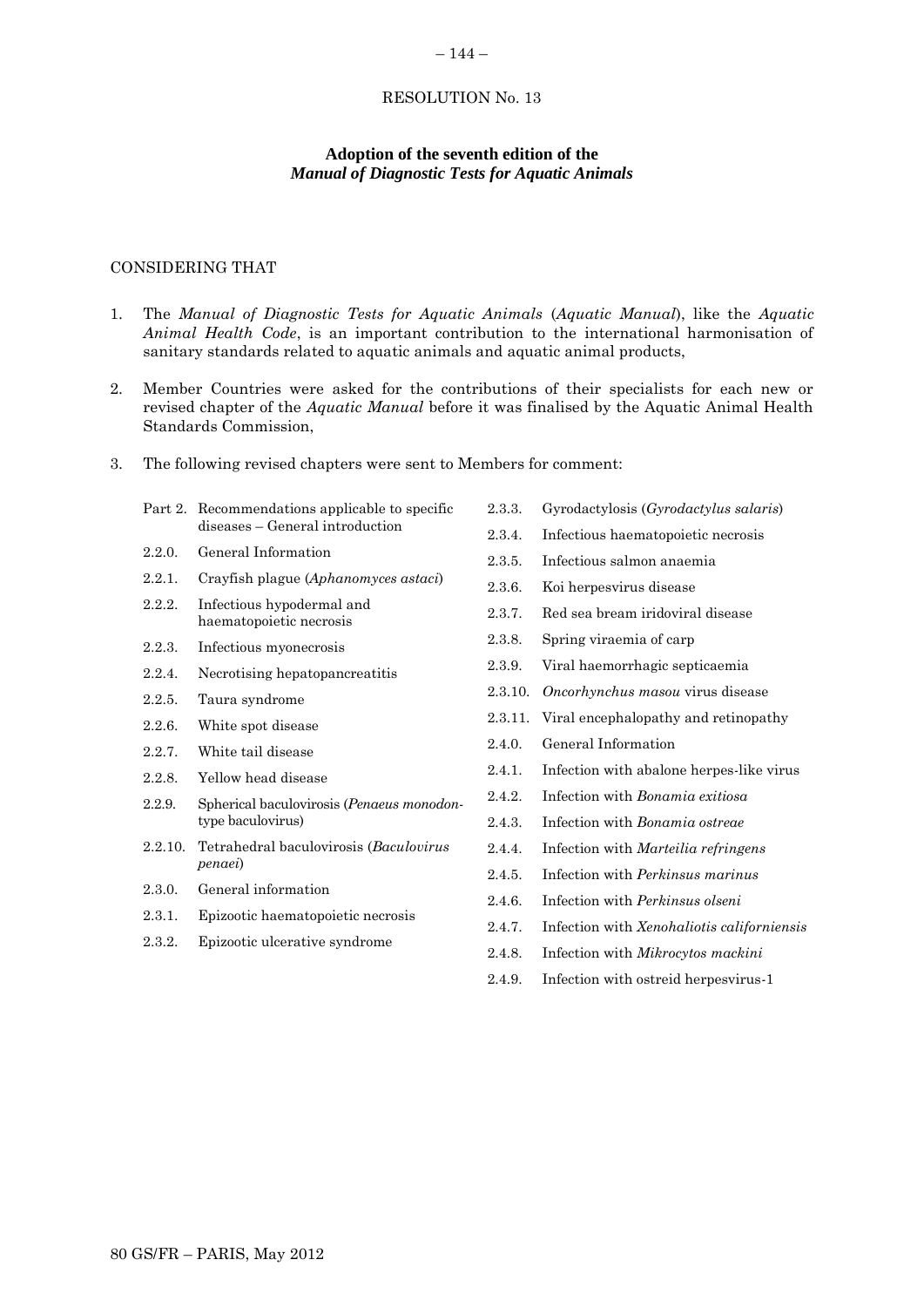### RESOLUTION No. 13

 $-144-$ 

# **Adoption of the seventh edition of the** *Manual of Diagnostic Tests for Aquatic Animals*

### CONSIDERING THAT

- 1. The *Manual of Diagnostic Tests for Aquatic Animals* (*Aquatic Manual*), like the *Aquatic Animal Health Code*, is an important contribution to the international harmonisation of sanitary standards related to aquatic animals and aquatic animal products,
- 2. Member Countries were asked for the contributions of their specialists for each new or revised chapter of the *Aquatic Manual* before it was finalised by the Aquatic Animal Health Standards Commission,
- 3. The following revised chapters were sent to Members for comment:

|         | Part 2. Recommendations applicable to specific<br>diseases – General introduction |
|---------|-----------------------------------------------------------------------------------|
| 2.2.0   | General Information                                                               |
| 2.2.1   | Crayfish plague (Aphanomyces astaci)                                              |
| 2.2.2.  | Infectious hypodermal and<br>haematopoietic necrosis                              |
| 2.2.3.  | Infectious myonecrosis                                                            |
| 2.2.4.  | Necrotising hepatopancreatitis                                                    |
| 2.2.5.  | Taura syndrome                                                                    |
| 2.2.6.  | White spot disease                                                                |
| 2.2.7   | White tail disease                                                                |
| 2.2.8   | Yellow head disease                                                               |
| 2.2.9.  | Spherical baculovirosis ( <i>Penaeus monodon</i> -<br>type baculovirus)           |
| 2.2.10. | Tetrahedral baculovirosis (Baculovirus<br>penaei)                                 |
| 2.3.0.  | General information                                                               |
| 2.3.1.  | Epizootic haematopoietic necrosis                                                 |
| 2.3.2.  | Epizootic ulcerative syndrome                                                     |
|         |                                                                                   |

- 2.3.3. Gyrodactylosis (*Gyrodactylus salaris*)
- 2.3.4. Infectious haematopoietic necrosis
- 2.3.5. Infectious salmon anaemia
- 2.3.6. Koi herpesvirus disease
- 2.3.7. Red sea bream iridoviral disease
- 2.3.8. Spring viraemia of carp
- 2.3.9. Viral haemorrhagic septicaemia
- 2.3.10. *Oncorhynchus masou* virus disease
- 2.3.11. Viral encephalopathy and retinopathy
- 2.4.0. General Information
- 2.4.1. Infection with abalone herpes-like virus
- 2.4.2. Infection with *Bonamia exitiosa*
- 2.4.3. Infection with *Bonamia ostreae*
- 2.4.4. Infection with *Marteilia refringens*
- 2.4.5. Infection with *Perkinsus marinus*
- 2.4.6. Infection with *Perkinsus olseni*
- 2.4.7. Infection with *Xenohaliotis californiensis*
- 2.4.8. Infection with *Mikrocytos mackini*
- 2.4.9. Infection with ostreid herpesvirus-1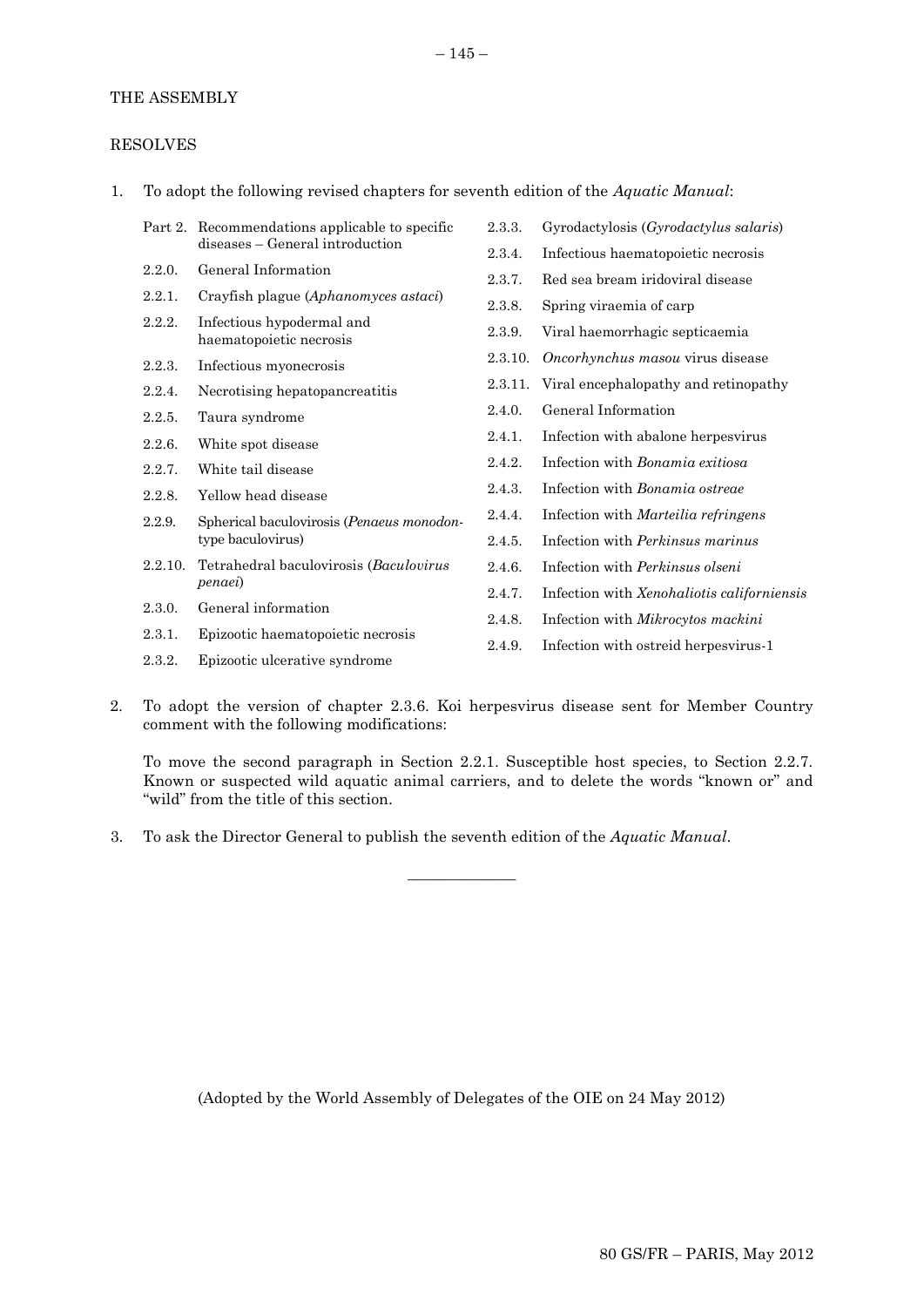# THE ASSEMBLY

# RESOLVES

1. To adopt the following revised chapters for seventh edition of the *Aquatic Manual*:

|         | Part 2. Recommendations applicable to specific                 | 2.3.3.  | Gyrodactylosis ( <i>Gyrodactylus salaris</i> ) |
|---------|----------------------------------------------------------------|---------|------------------------------------------------|
|         | diseases - General introduction                                | 2.3.4.  | Infectious haematopoietic necrosis             |
| 2.2.0.  | General Information                                            | 2.3.7.  | Red sea bream iridoviral disease               |
| 2.2.1.  | Crayfish plague (Aphanomyces astaci)                           | 2.3.8.  | Spring viraemia of carp                        |
| 2.2.2.  | Infectious hypodermal and<br>haematopoietic necrosis           | 2.3.9.  | Viral haemorrhagic septicaemia                 |
| 2.2.3.  | Infectious myonecrosis                                         | 2.3.10. | Oncorhynchus masou virus disease               |
| 2.2.4.  | Necrotising hepatopancreatitis                                 | 2.3.11. | Viral encephalopathy and retinopathy           |
| 2.2.5.  | Taura syndrome                                                 | 2.4.0.  | General Information                            |
| 2.2.6.  | White spot disease                                             | 2.4.1.  | Infection with abalone herpesvirus             |
| 2.2.7.  | White tail disease                                             | 2.4.2.  | Infection with <i>Bonamia exitiosa</i>         |
| 2.2.8.  | Yellow head disease                                            | 2.4.3.  | Infection with <i>Bonamia</i> ostreae          |
| 2.2.9.  | Spherical baculovirosis (Penaeus monodon-<br>type baculovirus) | 2.4.4.  | Infection with Marteilia refringens            |
|         |                                                                | 2.4.5.  | Infection with <i>Perkinsus marinus</i>        |
| 2.2.10. | Tetrahedral baculovirosis (Baculovirus                         | 2.4.6.  | Infection with <i>Perkinsus olseni</i>         |
|         | <i>penaei</i> )                                                | 2.4.7.  | Infection with Xenohaliotis californiensis     |
| 2.3.0.  | General information                                            | 2.4.8.  | Infection with Mikrocytos mackini              |
| 2.3.1.  | Epizootic haematopoietic necrosis                              | 2.4.9.  | Infection with ostreid herpesvirus-1           |
| 2.3.2.  | Epizootic ulcerative syndrome                                  |         |                                                |

2. To adopt the version of chapter 2.3.6. Koi herpesvirus disease sent for Member Country comment with the following modifications:

 $\overline{\phantom{a}}$  , where  $\overline{\phantom{a}}$ 

To move the second paragraph in Section 2.2.1. Susceptible host species, to Section 2.2.7. Known or suspected wild aquatic animal carriers, and to delete the words "known or" and "wild" from the title of this section.

3. To ask the Director General to publish the seventh edition of the *Aquatic Manual*.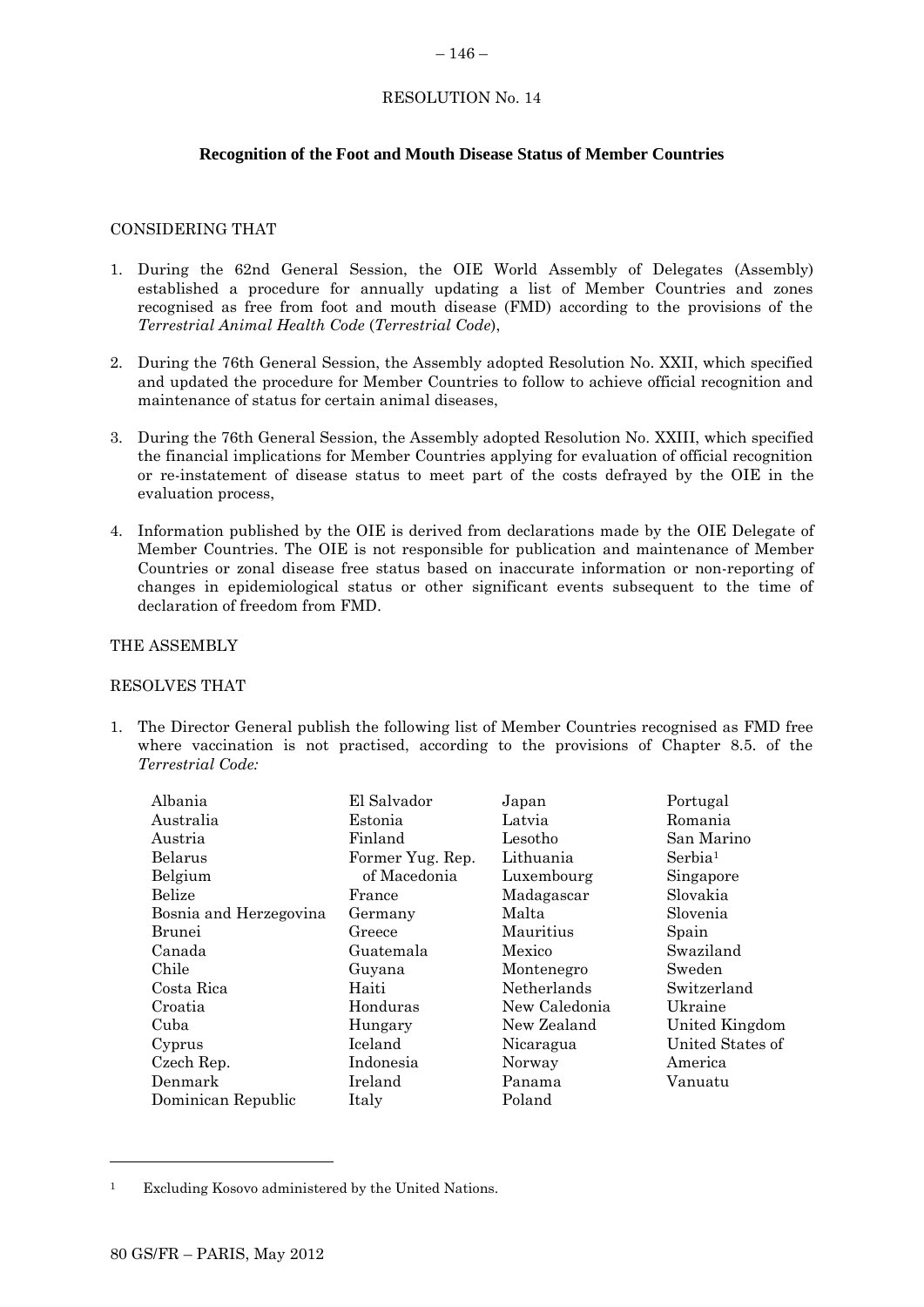### $-146-$

# RESOLUTION No. 14

# **Recognition of the Foot and Mouth Disease Status of Member Countries**

# CONSIDERING THAT

- 1. During the 62nd General Session, the OIE World Assembly of Delegates (Assembly) established a procedure for annually updating a list of Member Countries and zones recognised as free from foot and mouth disease (FMD) according to the provisions of the *Terrestrial Animal Health Code* (*Terrestrial Code*),
- 2. During the 76th General Session, the Assembly adopted Resolution No. XXII, which specified and updated the procedure for Member Countries to follow to achieve official recognition and maintenance of status for certain animal diseases,
- 3. During the 76th General Session, the Assembly adopted Resolution No. XXIII, which specified the financial implications for Member Countries applying for evaluation of official recognition or re-instatement of disease status to meet part of the costs defrayed by the OIE in the evaluation process,
- 4. Information published by the OIE is derived from declarations made by the OIE Delegate of Member Countries. The OIE is not responsible for publication and maintenance of Member Countries or zonal disease free status based on inaccurate information or non-reporting of changes in epidemiological status or other significant events subsequent to the time of declaration of freedom from FMD.

### THE ASSEMBLY

### RESOLVES THAT

1. The Director General publish the following list of Member Countries recognised as FMD free where vaccination is not practised, according to the provisions of Chapter 8.5. of the *Terrestrial Code:*

| United Kingdom   |
|------------------|
| United States of |
|                  |
|                  |
|                  |
|                  |

l

<sup>1</sup> Excluding Kosovo administered by the United Nations.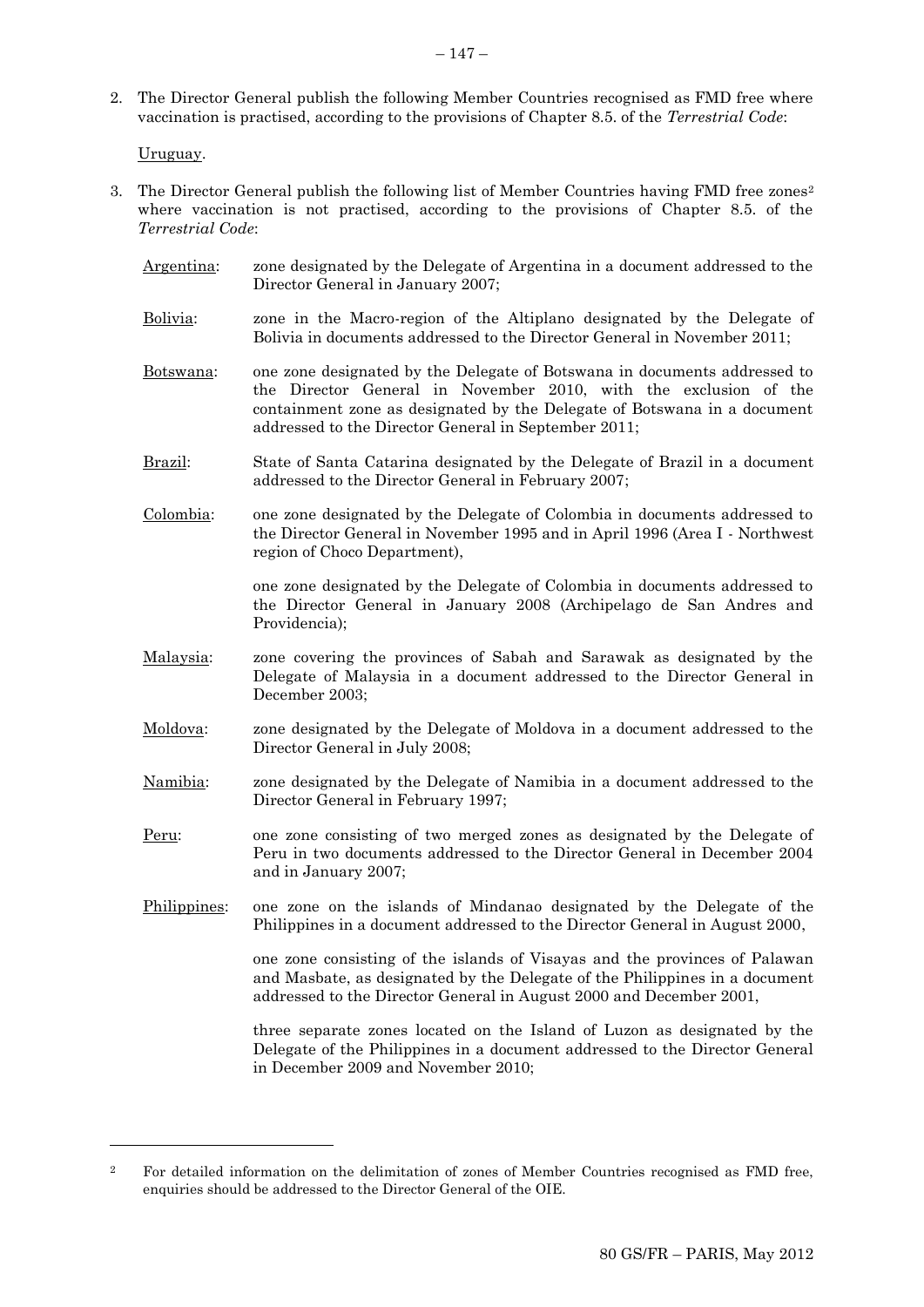2. The Director General publish the following Member Countries recognised as FMD free where vaccination is practised, according to the provisions of Chapter 8.5. of the *Terrestrial Code*:

Uruguay.

l

- 3. The Director General publish the following list of Member Countries having FMD free zones<sup>2</sup> where vaccination is not practised, according to the provisions of Chapter 8.5. of the *Terrestrial Code*:
	- Argentina: zone designated by the Delegate of Argentina in a document addressed to the Director General in January 2007; Bolivia: zone in the Macro-region of the Altiplano designated by the Delegate of Bolivia in documents addressed to the Director General in November 2011; Botswana: one zone designated by the Delegate of Botswana in documents addressed to the Director General in November 2010, with the exclusion of the containment zone as designated by the Delegate of Botswana in a document addressed to the Director General in September 2011; Brazil: State of Santa Catarina designated by the Delegate of Brazil in a document addressed to the Director General in February 2007; Colombia: one zone designated by the Delegate of Colombia in documents addressed to the Director General in November 1995 and in April 1996 (Area I - Northwest region of Choco Department), one zone designated by the Delegate of Colombia in documents addressed to the Director General in January 2008 (Archipelago de San Andres and Providencia); Malaysia: zone covering the provinces of Sabah and Sarawak as designated by the Delegate of Malaysia in a document addressed to the Director General in December 2003; Moldova: zone designated by the Delegate of Moldova in a document addressed to the Director General in July 2008; Namibia: zone designated by the Delegate of Namibia in a document addressed to the Director General in February 1997; Peru: one zone consisting of two merged zones as designated by the Delegate of Peru in two documents addressed to the Director General in December 2004 and in January 2007; Philippines: one zone on the islands of Mindanao designated by the Delegate of the Philippines in a document addressed to the Director General in August 2000, one zone consisting of the islands of Visayas and the provinces of Palawan and Masbate, as designated by the Delegate of the Philippines in a document addressed to the Director General in August 2000 and December 2001, three separate zones located on the Island of Luzon as designated by the Delegate of the Philippines in a document addressed to the Director General

in December 2009 and November 2010;

<sup>&</sup>lt;sup>2</sup> For detailed information on the delimitation of zones of Member Countries recognised as FMD free, enquiries should be addressed to the Director General of the OIE.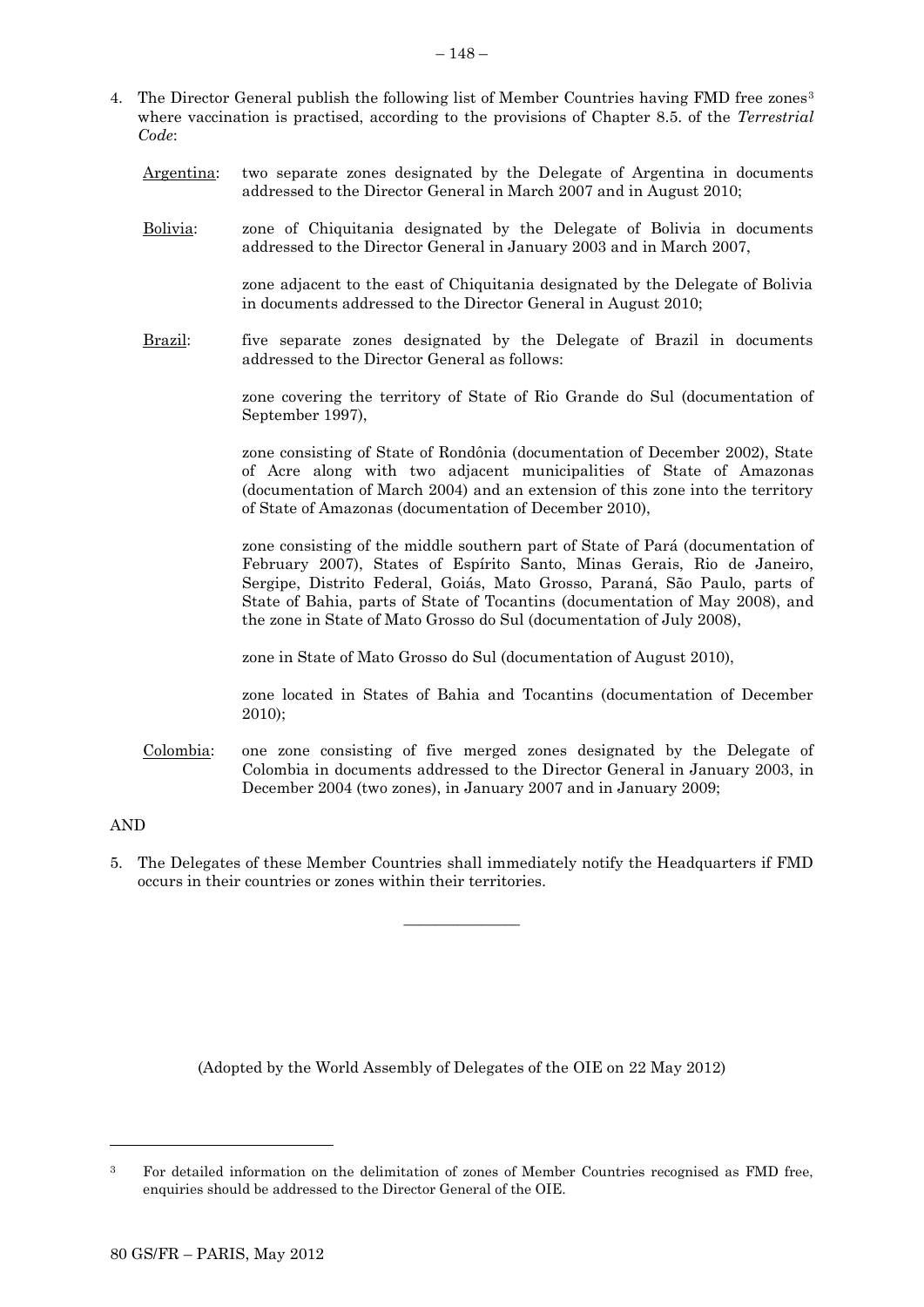- 4. The Director General publish the following list of Member Countries having FMD free zones<sup>3</sup> where vaccination is practised, according to the provisions of Chapter 8.5. of the *Terrestrial Code*:
	- Argentina: two separate zones designated by the Delegate of Argentina in documents addressed to the Director General in March 2007 and in August 2010;
	- Bolivia: zone of Chiquitania designated by the Delegate of Bolivia in documents addressed to the Director General in January 2003 and in March 2007,

zone adjacent to the east of Chiquitania designated by the Delegate of Bolivia in documents addressed to the Director General in August 2010;

Brazil: five separate zones designated by the Delegate of Brazil in documents addressed to the Director General as follows:

> zone covering the territory of State of Rio Grande do Sul (documentation of September 1997),

> zone consisting of State of Rondônia (documentation of December 2002), State of Acre along with two adjacent municipalities of State of Amazonas (documentation of March 2004) and an extension of this zone into the territory of State of Amazonas (documentation of December 2010),

> zone consisting of the middle southern part of State of Pará (documentation of February 2007), States of Espírito Santo, Minas Gerais, Rio de Janeiro, Sergipe, Distrito Federal, Goiás, Mato Grosso, Paraná, São Paulo, parts of State of Bahia, parts of State of Tocantins (documentation of May 2008), and the zone in State of Mato Grosso do Sul (documentation of July 2008),

zone in State of Mato Grosso do Sul (documentation of August 2010),

zone located in States of Bahia and Tocantins (documentation of December 2010);

Colombia: one zone consisting of five merged zones designated by the Delegate of Colombia in documents addressed to the Director General in January 2003, in December 2004 (two zones), in January 2007 and in January 2009;

# AND

l

5. The Delegates of these Member Countries shall immediately notify the Headquarters if FMD occurs in their countries or zones within their territories.

 $\overline{\phantom{a}}$  , where  $\overline{\phantom{a}}$ 

<sup>&</sup>lt;sup>3</sup> For detailed information on the delimitation of zones of Member Countries recognised as FMD free, enquiries should be addressed to the Director General of the OIE.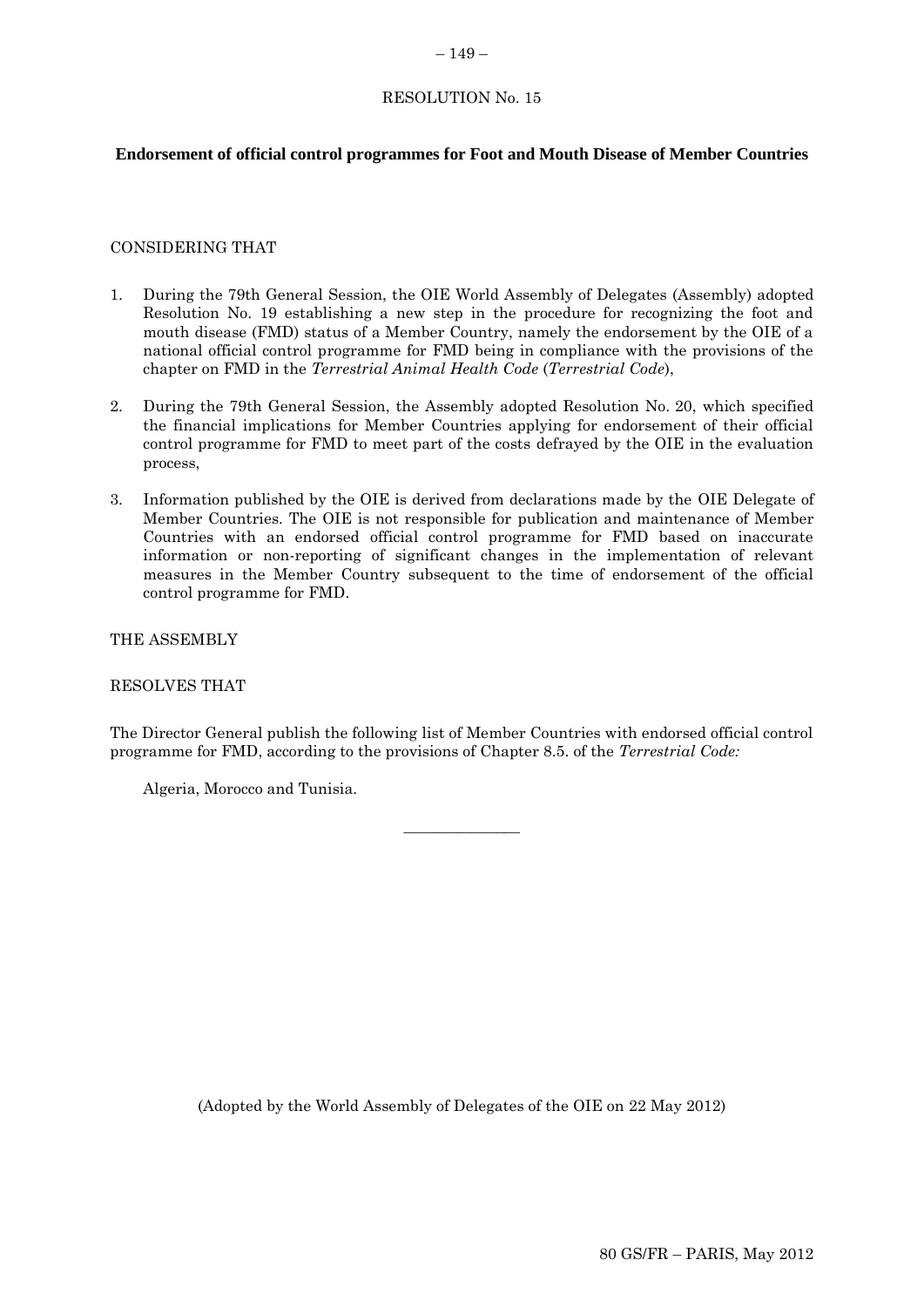# RESOLUTION No. 15

# **Endorsement of official control programmes for Foot and Mouth Disease of Member Countries**

### CONSIDERING THAT

- 1. During the 79th General Session, the OIE World Assembly of Delegates (Assembly) adopted Resolution No. 19 establishing a new step in the procedure for recognizing the foot and mouth disease (FMD) status of a Member Country, namely the endorsement by the OIE of a national official control programme for FMD being in compliance with the provisions of the chapter on FMD in the *Terrestrial Animal Health Code* (*Terrestrial Code*),
- 2. During the 79th General Session, the Assembly adopted Resolution No. 20, which specified the financial implications for Member Countries applying for endorsement of their official control programme for FMD to meet part of the costs defrayed by the OIE in the evaluation process,
- 3. Information published by the OIE is derived from declarations made by the OIE Delegate of Member Countries. The OIE is not responsible for publication and maintenance of Member Countries with an endorsed official control programme for FMD based on inaccurate information or non-reporting of significant changes in the implementation of relevant measures in the Member Country subsequent to the time of endorsement of the official control programme for FMD.

THE ASSEMBLY

RESOLVES THAT

The Director General publish the following list of Member Countries with endorsed official control programme for FMD, according to the provisions of Chapter 8.5. of the *Terrestrial Code:*

 $\overline{\phantom{a}}$  , where  $\overline{\phantom{a}}$ 

Algeria, Morocco and Tunisia.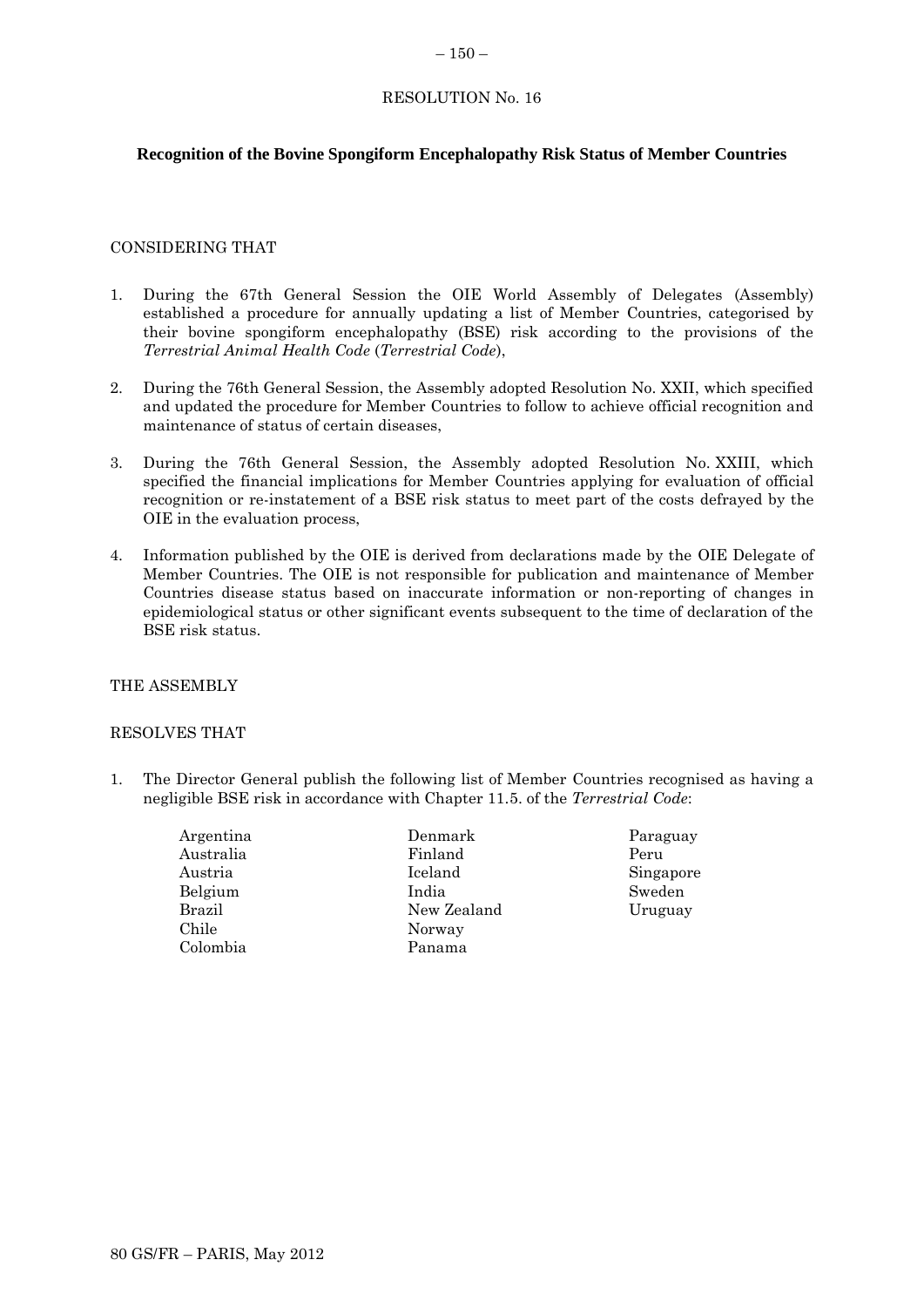# RESOLUTION No. 16

# **Recognition of the Bovine Spongiform Encephalopathy Risk Status of Member Countries**

# CONSIDERING THAT

- 1. During the 67th General Session the OIE World Assembly of Delegates (Assembly) established a procedure for annually updating a list of Member Countries, categorised by their bovine spongiform encephalopathy (BSE) risk according to the provisions of the *Terrestrial Animal Health Code* (*Terrestrial Code*),
- 2. During the 76th General Session, the Assembly adopted Resolution No. XXII, which specified and updated the procedure for Member Countries to follow to achieve official recognition and maintenance of status of certain diseases,
- 3. During the 76th General Session, the Assembly adopted Resolution No. XXIII, which specified the financial implications for Member Countries applying for evaluation of official recognition or re-instatement of a BSE risk status to meet part of the costs defrayed by the OIE in the evaluation process,
- 4. Information published by the OIE is derived from declarations made by the OIE Delegate of Member Countries. The OIE is not responsible for publication and maintenance of Member Countries disease status based on inaccurate information or non-reporting of changes in epidemiological status or other significant events subsequent to the time of declaration of the BSE risk status.

# THE ASSEMBLY

### RESOLVES THAT

- 1. The Director General publish the following list of Member Countries recognised as having a negligible BSE risk in accordance with Chapter 11.5. of the *Terrestrial Code*:
	- Argentina Australia Austria Belgium Brazil Chile Colombia
- Denmark Finland Iceland India New Zealand Norway Panama
- Paraguay Peru Singapore Sweden Uruguay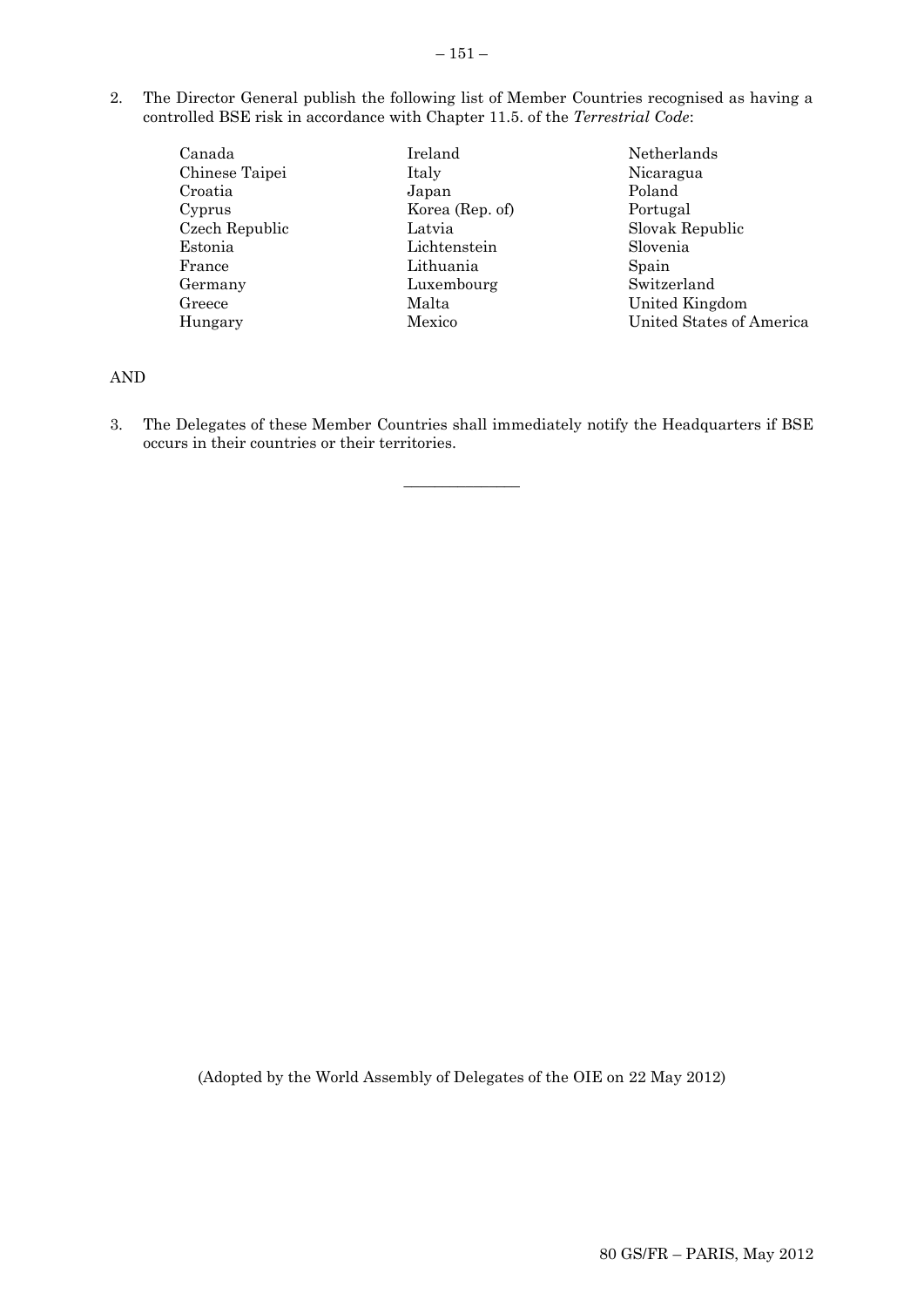2. The Director General publish the following list of Member Countries recognised as having a controlled BSE risk in accordance with Chapter 11.5. of the *Terrestrial Code*:

| Canada         | Ireland         | Netherlands              |
|----------------|-----------------|--------------------------|
| Chinese Taipei | Italy           | Nicaragua                |
| Croatia        | Japan           | Poland                   |
| Cyprus         | Korea (Rep. of) | Portugal                 |
| Czech Republic | Latvia          | Slovak Republic          |
| Estonia        | Lichtenstein    | Slovenia                 |
| France         | Lithuania       | Spain                    |
| Germany        | Luxembourg      | Switzerland              |
| Greece         | Malta           | United Kingdom           |
| Hungary        | Mexico          | United States of America |

# AND

3. The Delegates of these Member Countries shall immediately notify the Headquarters if BSE occurs in their countries or their territories.

 $\overline{\phantom{a}}$  , where  $\overline{\phantom{a}}$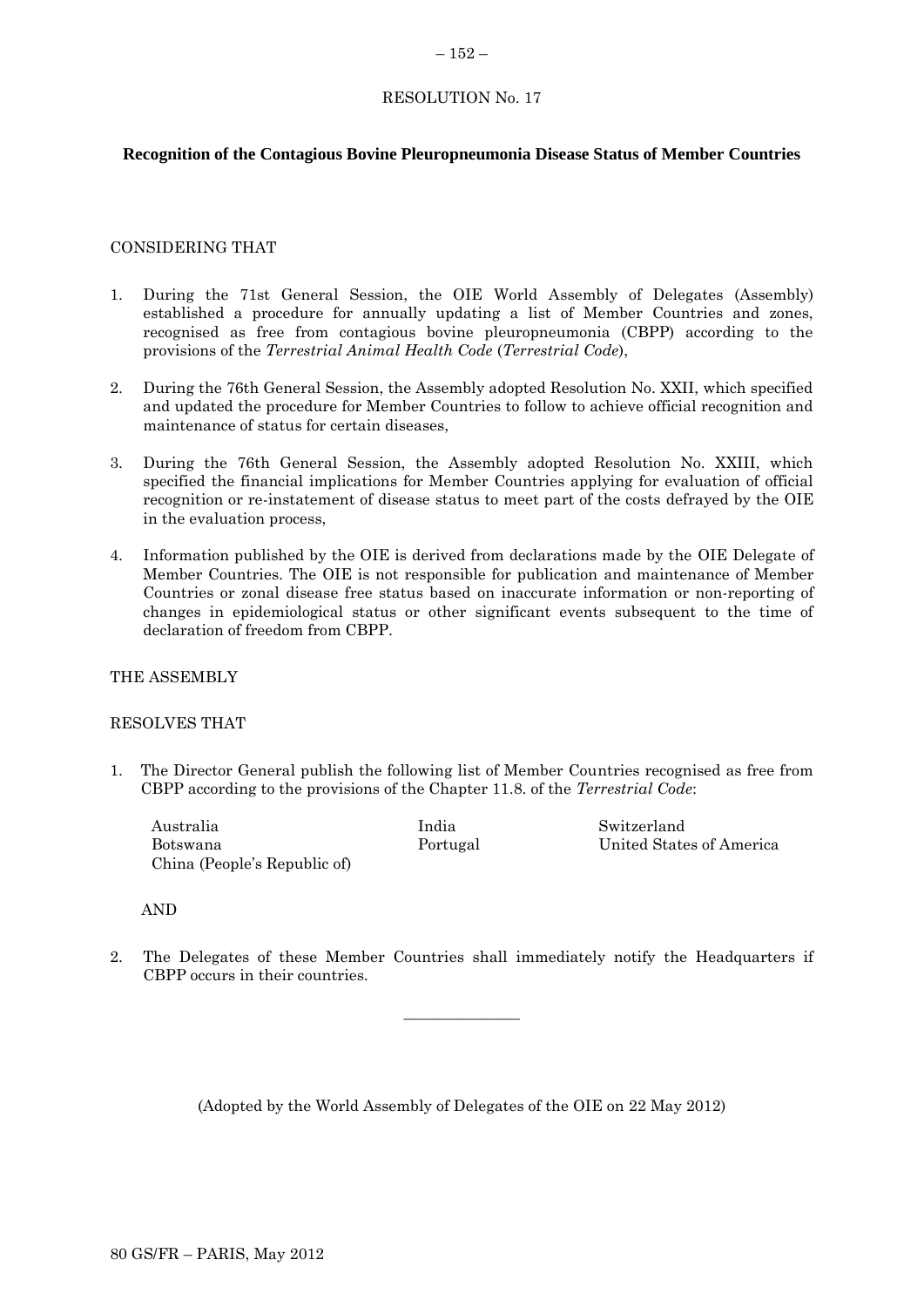# RESOLUTION No. 17

## **Recognition of the Contagious Bovine Pleuropneumonia Disease Status of Member Countries**

### CONSIDERING THAT

- 1. During the 71st General Session, the OIE World Assembly of Delegates (Assembly) established a procedure for annually updating a list of Member Countries and zones, recognised as free from contagious bovine pleuropneumonia (CBPP) according to the provisions of the *Terrestrial Animal Health Code* (*Terrestrial Code*),
- 2. During the 76th General Session, the Assembly adopted Resolution No. XXII, which specified and updated the procedure for Member Countries to follow to achieve official recognition and maintenance of status for certain diseases,
- 3. During the 76th General Session, the Assembly adopted Resolution No. XXIII, which specified the financial implications for Member Countries applying for evaluation of official recognition or re-instatement of disease status to meet part of the costs defrayed by the OIE in the evaluation process,
- 4. Information published by the OIE is derived from declarations made by the OIE Delegate of Member Countries. The OIE is not responsible for publication and maintenance of Member Countries or zonal disease free status based on inaccurate information or non-reporting of changes in epidemiological status or other significant events subsequent to the time of declaration of freedom from CBPP.

# THE ASSEMBLY

### RESOLVES THAT

1. The Director General publish the following list of Member Countries recognised as free from CBPP according to the provisions of the Chapter 11.8. of the *Terrestrial Code*:

| Australia                    | India    | Switzerland              |
|------------------------------|----------|--------------------------|
| Botswana                     | Portugal | United States of America |
| China (People's Republic of) |          |                          |

### AND

2. The Delegates of these Member Countries shall immediately notify the Headquarters if CBPP occurs in their countries.

 $\overline{\phantom{a}}$  , where  $\overline{\phantom{a}}$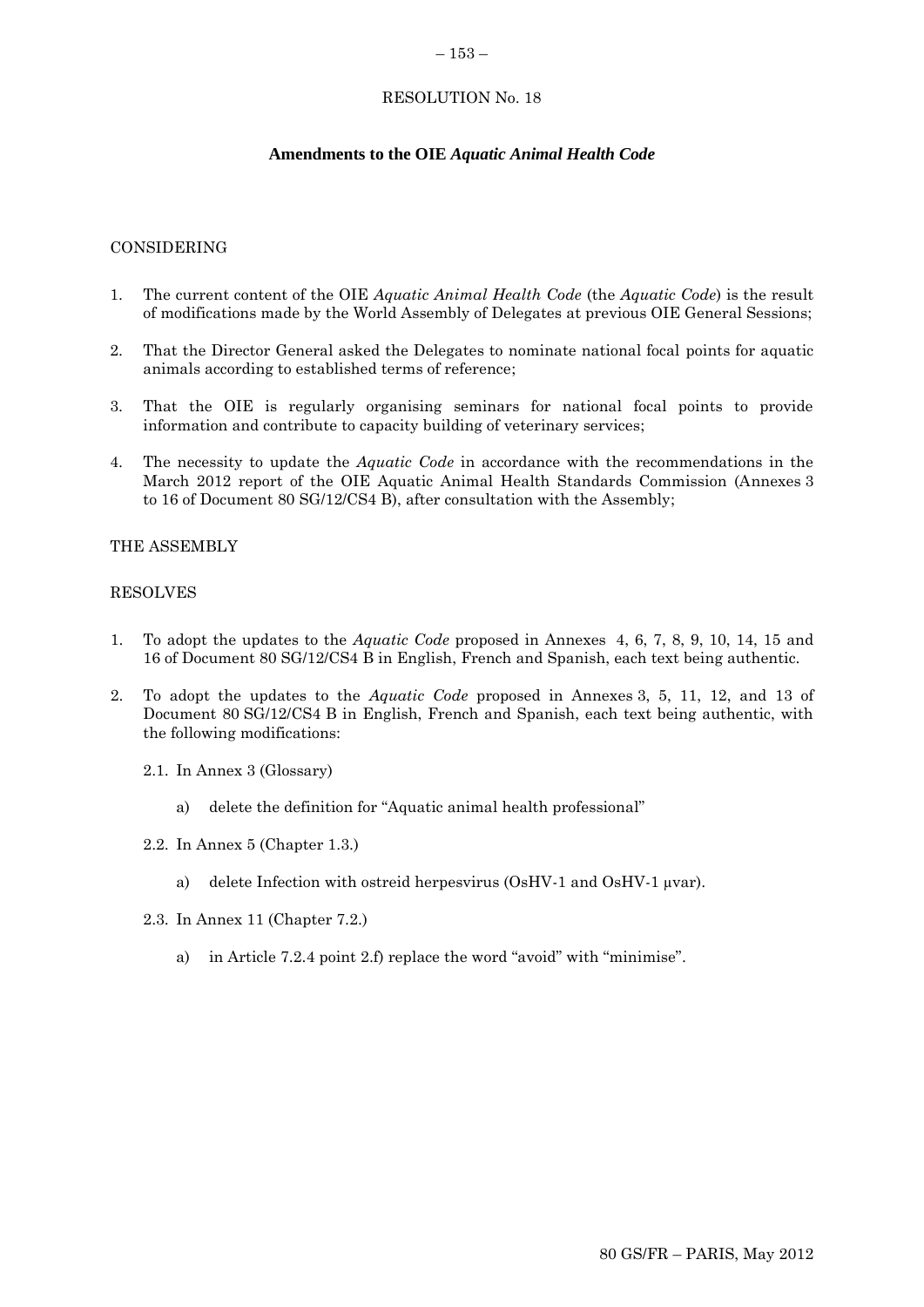### $-153-$

# RESOLUTION No. 18

# **Amendments to the OIE** *Aquatic Animal Health Code*

### CONSIDERING

- 1. The current content of the OIE *Aquatic Animal Health Code* (the *Aquatic Code*) is the result of modifications made by the World Assembly of Delegates at previous OIE General Sessions;
- 2. That the Director General asked the Delegates to nominate national focal points for aquatic animals according to established terms of reference;
- 3. That the OIE is regularly organising seminars for national focal points to provide information and contribute to capacity building of veterinary services;
- 4. The necessity to update the *Aquatic Code* in accordance with the recommendations in the March 2012 report of the OIE Aquatic Animal Health Standards Commission (Annexes 3 to 16 of Document 80 SG/12/CS4 B), after consultation with the Assembly;

### THE ASSEMBLY

### RESOLVES

- 1. To adopt the updates to the *Aquatic Code* proposed in Annexes 4, 6, 7, 8, 9, 10, 14, 15 and 16 of Document 80 SG/12/CS4 B in English, French and Spanish, each text being authentic.
- 2. To adopt the updates to the *Aquatic Code* proposed in Annexes 3, 5, 11, 12, and 13 of Document 80 SG/12/CS4 B in English, French and Spanish, each text being authentic, with the following modifications:
	- 2.1. In Annex 3 (Glossary)
		- a) delete the definition for "Aquatic animal health professional"
	- 2.2. In Annex 5 (Chapter 1.3.)
		- a) delete Infection with ostreid herpesvirus (OsHV-1 and OsHV-1  $\mu$ var).
	- 2.3. In Annex 11 (Chapter 7.2.)
		- a) in Article 7.2.4 point 2.f) replace the word "avoid" with "minimise".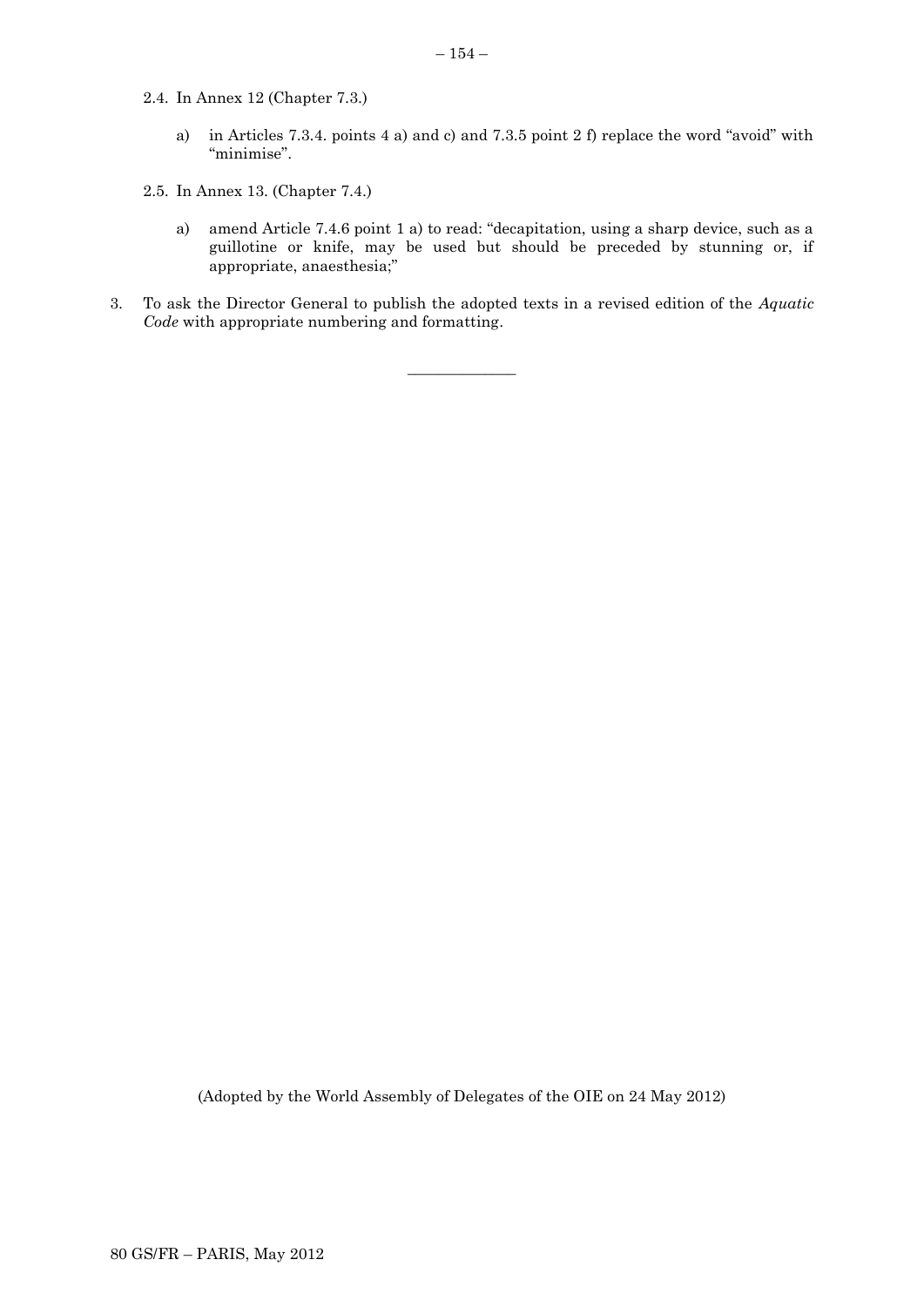- 2.4. In Annex 12 (Chapter 7.3.)
	- a) in Articles 7.3.4. points 4 a) and c) and 7.3.5 point 2 f) replace the word "avoid" with "minimise".
- 2.5. In Annex 13. (Chapter 7.4.)
	- a) amend Article 7.4.6 point 1 a) to read: "decapitation, using a sharp device, such as a guillotine or knife, may be used but should be preceded by stunning or, if appropriate, anaesthesia;"
- 3. To ask the Director General to publish the adopted texts in a revised edition of the *Aquatic Code* with appropriate numbering and formatting.

 $\overline{\phantom{a}}$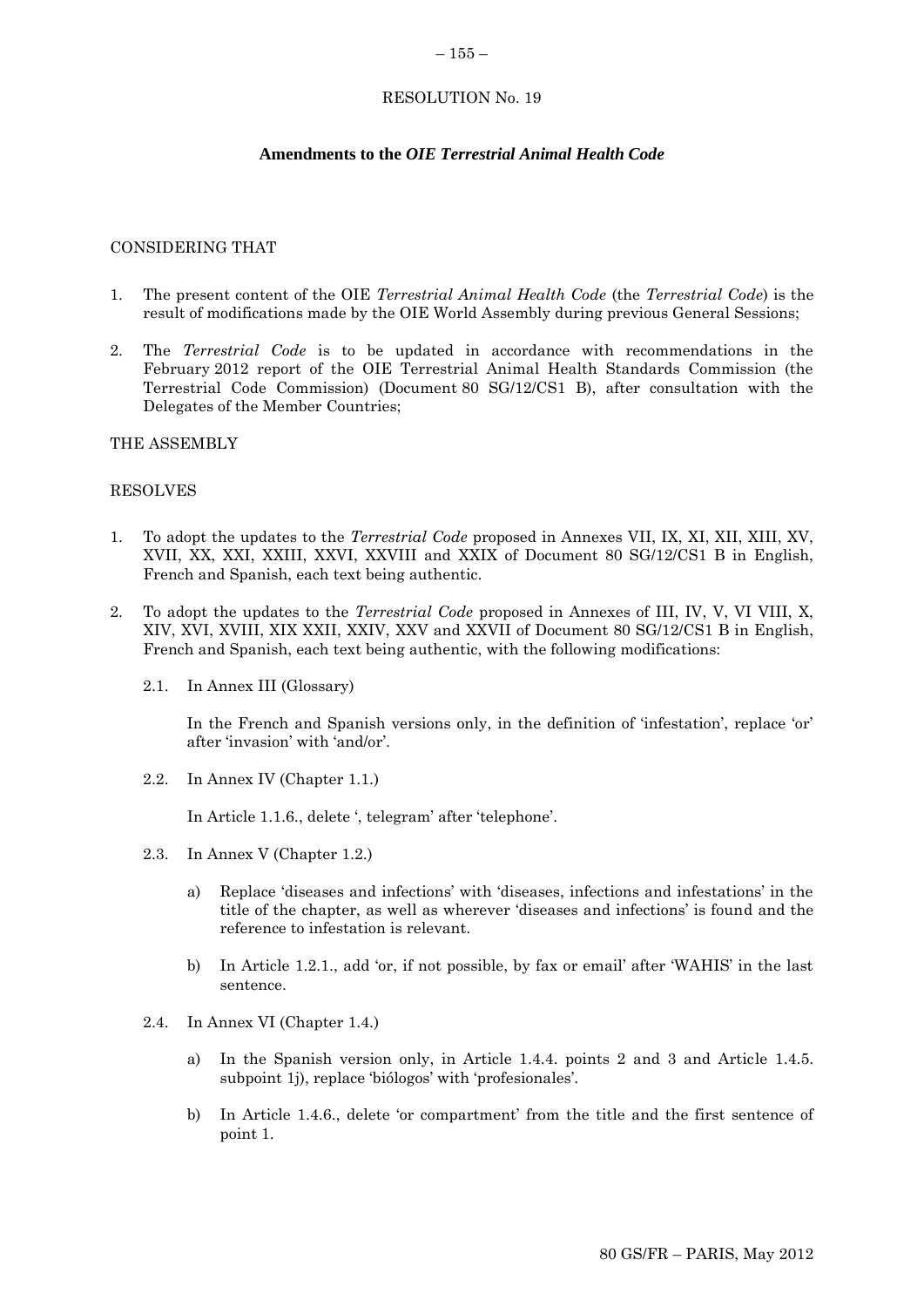#### $-155-$

# RESOLUTION No. 19

# **Amendments to the** *OIE Terrestrial Animal Health Code*

### CONSIDERING THAT

- 1. The present content of the OIE *Terrestrial Animal Health Code* (the *Terrestrial Code*) is the result of modifications made by the OIE World Assembly during previous General Sessions;
- 2. The *Terrestrial Code* is to be updated in accordance with recommendations in the February 2012 report of the OIE Terrestrial Animal Health Standards Commission (the Terrestrial Code Commission) (Document 80 SG/12/CS1 B), after consultation with the Delegates of the Member Countries;

### THE ASSEMBLY

### RESOLVES

- 1. To adopt the updates to the *Terrestrial Code* proposed in Annexes VII, IX, XI, XII, XIII, XV, XVII, XX, XXI, XXIII, XXVI, XXVIII and XXIX of Document 80 SG/12/CS1 B in English, French and Spanish, each text being authentic.
- 2. To adopt the updates to the *Terrestrial Code* proposed in Annexes of III, IV, V, VI VIII, X, XIV, XVI, XVIII, XIX XXII, XXIV, XXV and XXVII of Document 80 SG/12/CS1 B in English, French and Spanish, each text being authentic, with the following modifications:
	- 2.1. In Annex III (Glossary)

In the French and Spanish versions only, in the definition of 'infestation', replace 'or' after 'invasion' with 'and/or'.

2.2. In Annex IV (Chapter 1.1.)

In Article 1.1.6., delete ', telegram' after 'telephone'.

- 2.3. In Annex V (Chapter 1.2.)
	- a) Replace 'diseases and infections' with 'diseases, infections and infestations' in the title of the chapter, as well as wherever 'diseases and infections' is found and the reference to infestation is relevant.
	- b) In Article 1.2.1., add 'or, if not possible, by fax or email' after 'WAHIS' in the last sentence.
- 2.4. In Annex VI (Chapter 1.4.)
	- a) In the Spanish version only, in Article 1.4.4. points 2 and 3 and Article 1.4.5. subpoint 1j), replace 'biólogos' with 'profesionales'.
	- b) In Article 1.4.6., delete 'or compartment' from the title and the first sentence of point 1.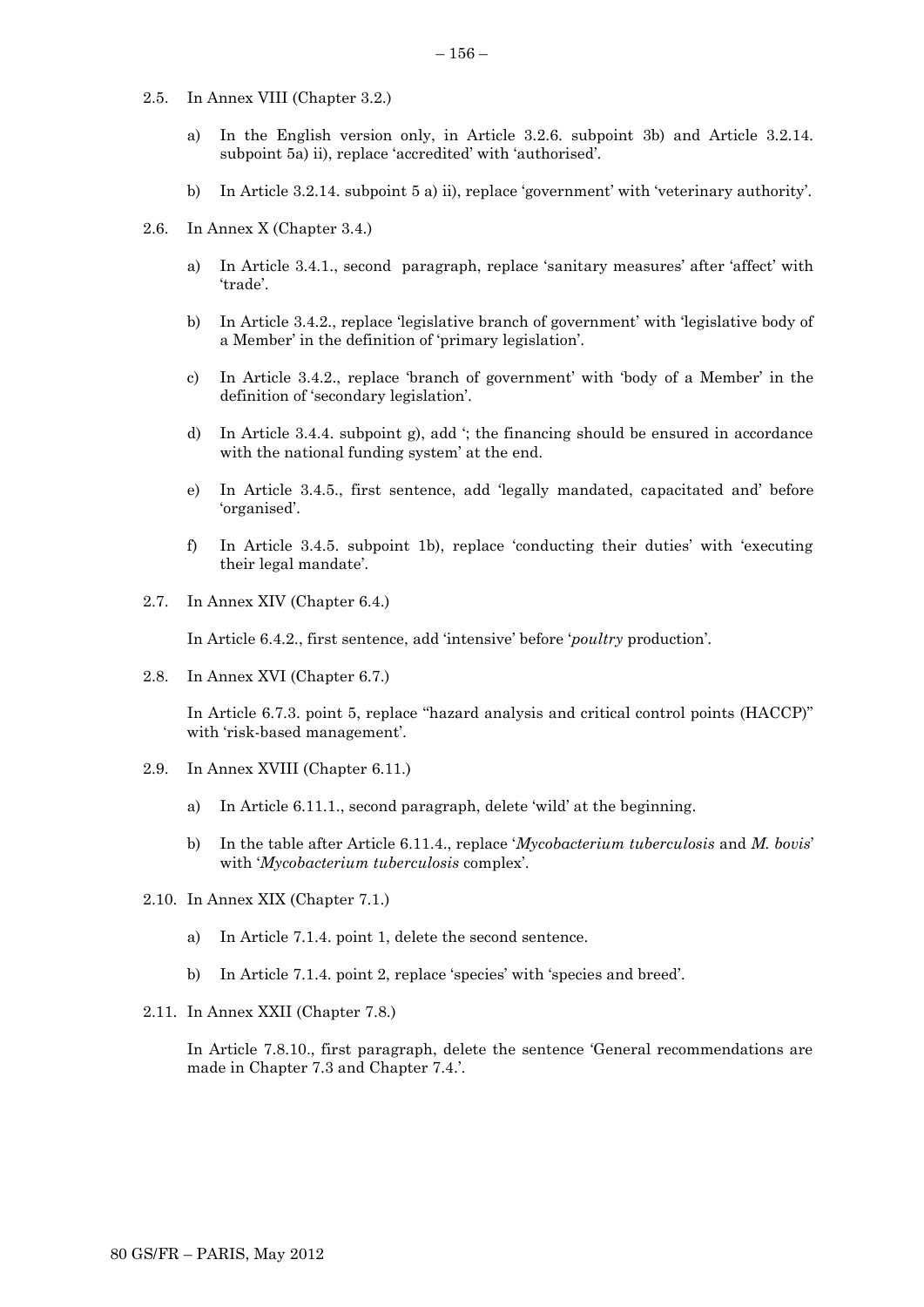- 2.5. In Annex VIII (Chapter 3.2.)
	- a) In the English version only, in Article 3.2.6. subpoint 3b) and Article 3.2.14. subpoint 5a) ii), replace 'accredited' with 'authorised'.
	- b) In Article 3.2.14. subpoint 5 a) ii), replace 'government' with 'veterinary authority'.
- 2.6. In Annex X (Chapter 3.4.)
	- a) In Article 3.4.1., second paragraph, replace 'sanitary measures' after 'affect' with 'trade'.
	- b) In Article 3.4.2., replace 'legislative branch of government' with 'legislative body of a Member' in the definition of 'primary legislation'.
	- c) In Article 3.4.2., replace 'branch of government' with 'body of a Member' in the definition of 'secondary legislation'.
	- d) In Article 3.4.4. subpoint g), add '; the financing should be ensured in accordance with the national funding system' at the end.
	- e) In Article 3.4.5., first sentence, add 'legally mandated, capacitated and' before 'organised'.
	- f) In Article 3.4.5. subpoint 1b), replace 'conducting their duties' with 'executing their legal mandate'.
- 2.7. In Annex XIV (Chapter 6.4.)

In Article 6.4.2., first sentence, add 'intensive' before '*poultry* production'.

2.8. In Annex XVI (Chapter 6.7.)

In Article 6.7.3. point 5, replace "hazard analysis and critical control points (HACCP)" with 'risk-based management'.

- 2.9. In Annex XVIII (Chapter 6.11.)
	- a) In Article 6.11.1., second paragraph, delete 'wild' at the beginning.
	- b) In the table after Article 6.11.4., replace '*Mycobacterium tuberculosis* and *M. bovis*' with '*Mycobacterium tuberculosis* complex'.
- 2.10. In Annex XIX (Chapter 7.1.)
	- a) In Article 7.1.4. point 1, delete the second sentence.
	- b) In Article 7.1.4. point 2, replace 'species' with 'species and breed'.
- 2.11. In Annex XXII (Chapter 7.8.)

In Article 7.8.10., first paragraph, delete the sentence 'General recommendations are made in Chapter 7.3 and Chapter 7.4.'.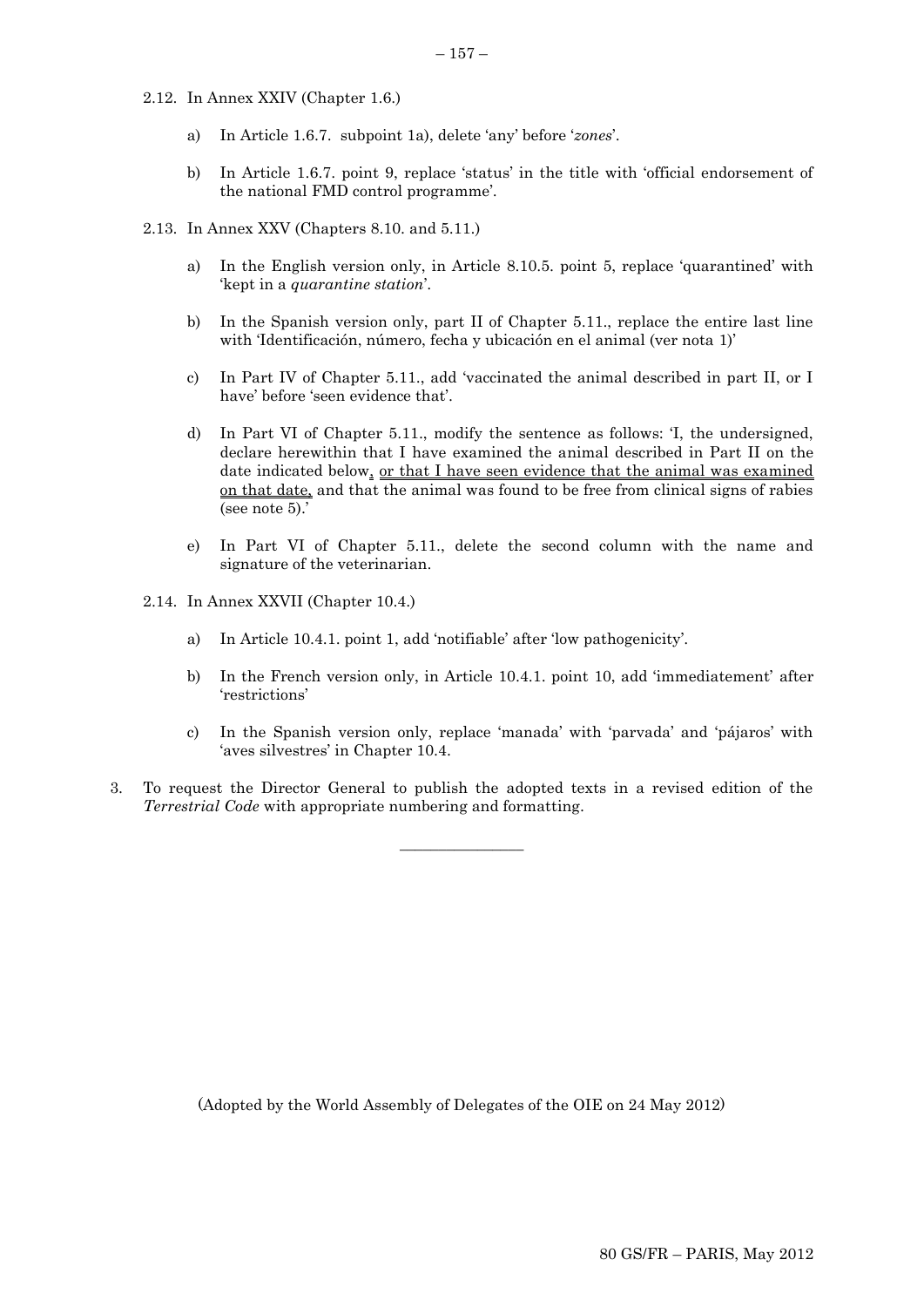- 2.12. In Annex XXIV (Chapter 1.6.)
	- a) In Article 1.6.7. subpoint 1a), delete 'any' before '*zones*'.
	- b) In Article 1.6.7. point 9, replace 'status' in the title with 'official endorsement of the national FMD control programme'.
- 2.13. In Annex XXV (Chapters 8.10. and 5.11.)
	- a) In the English version only, in Article 8.10.5. point 5, replace 'quarantined' with 'kept in a *quarantine station*'.
	- b) In the Spanish version only, part II of Chapter 5.11., replace the entire last line with 'Identificación, número, fecha y ubicación en el animal (ver nota 1)'
	- c) In Part IV of Chapter 5.11., add 'vaccinated the animal described in part II, or I have' before 'seen evidence that'.
	- d) In Part VI of Chapter 5.11., modify the sentence as follows: 'I, the undersigned, declare herewithin that I have examined the animal described in Part II on the date indicated below, or that I have seen evidence that the animal was examined on that date, and that the animal was found to be free from clinical signs of rabies (see note 5).'
	- e) In Part VI of Chapter 5.11., delete the second column with the name and signature of the veterinarian.
- 2.14. In Annex XXVII (Chapter 10.4.)
	- a) In Article 10.4.1. point 1, add 'notifiable' after 'low pathogenicity'.
	- b) In the French version only, in Article 10.4.1. point 10, add 'immediatement' after 'restrictions'
	- c) In the Spanish version only, replace 'manada' with 'parvada' and 'pájaros' with 'aves silvestres' in Chapter 10.4.
- 3. To request the Director General to publish the adopted texts in a revised edition of the *Terrestrial Code* with appropriate numbering and formatting.

 $\overline{\phantom{a}}$  , where the contract of  $\overline{\phantom{a}}$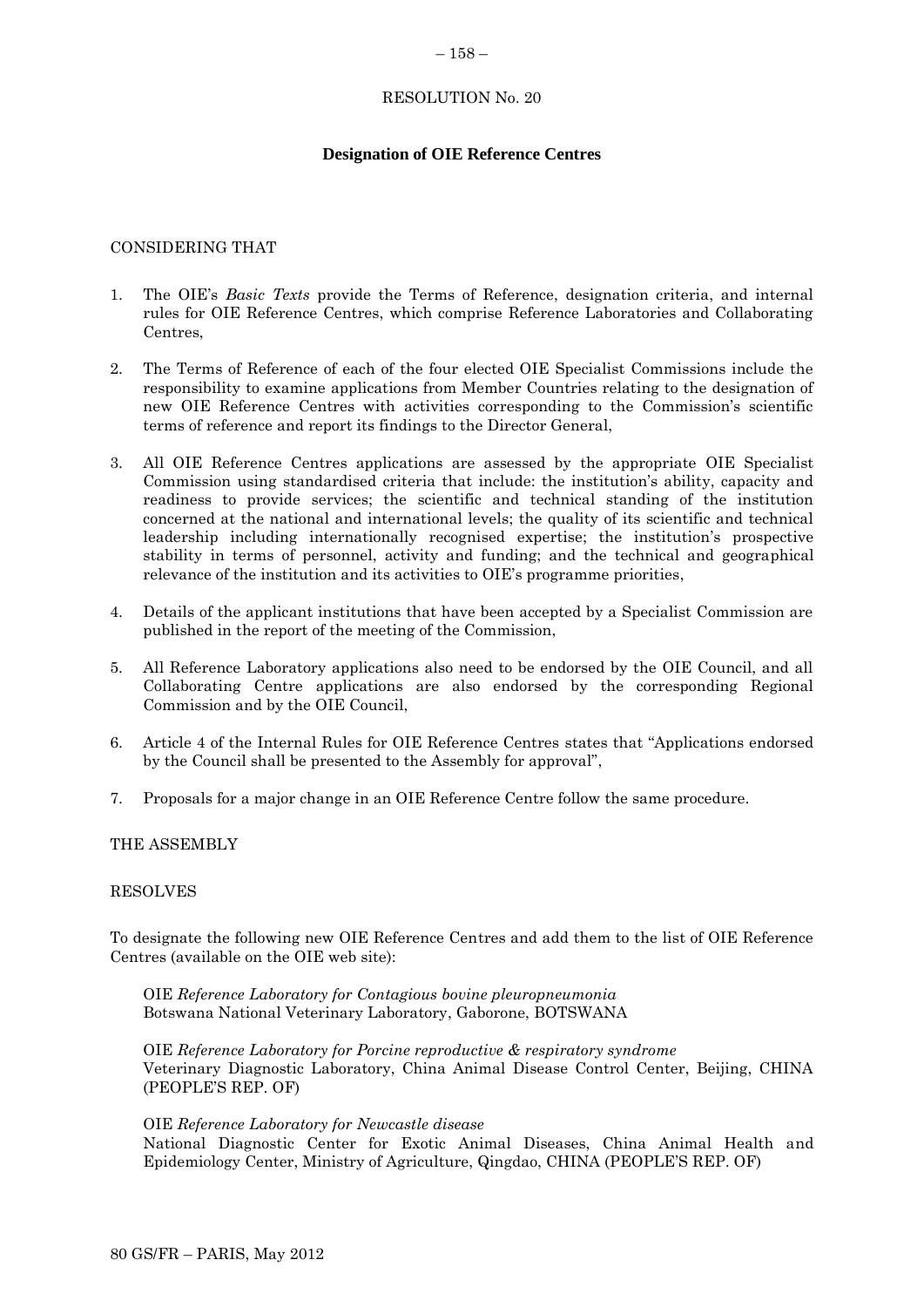### $-158-$

### RESOLUTION No. 20

# **Designation of OIE Reference Centres**

### CONSIDERING THAT

- 1. The OIE's *Basic Texts* provide the Terms of Reference, designation criteria, and internal rules for OIE Reference Centres, which comprise Reference Laboratories and Collaborating Centres,
- 2. The Terms of Reference of each of the four elected OIE Specialist Commissions include the responsibility to examine applications from Member Countries relating to the designation of new OIE Reference Centres with activities corresponding to the Commission's scientific terms of reference and report its findings to the Director General,
- 3. All OIE Reference Centres applications are assessed by the appropriate OIE Specialist Commission using standardised criteria that include: the institution's ability, capacity and readiness to provide services; the scientific and technical standing of the institution concerned at the national and international levels; the quality of its scientific and technical leadership including internationally recognised expertise; the institution's prospective stability in terms of personnel, activity and funding; and the technical and geographical relevance of the institution and its activities to OIE's programme priorities,
- 4. Details of the applicant institutions that have been accepted by a Specialist Commission are published in the report of the meeting of the Commission,
- 5. All Reference Laboratory applications also need to be endorsed by the OIE Council, and all Collaborating Centre applications are also endorsed by the corresponding Regional Commission and by the OIE Council,
- 6. Article 4 of the Internal Rules for OIE Reference Centres states that "Applications endorsed by the Council shall be presented to the Assembly for approval",
- 7. Proposals for a major change in an OIE Reference Centre follow the same procedure.

### THE ASSEMBLY

### RESOLVES

To designate the following new OIE Reference Centres and add them to the list of OIE Reference Centres (available on the OIE web site):

OIE *Reference Laboratory for Contagious bovine pleuropneumonia* Botswana National Veterinary Laboratory, Gaborone, BOTSWANA

OIE *Reference Laboratory for Porcine reproductive & respiratory syndrome* Veterinary Diagnostic Laboratory, China Animal Disease Control Center, Beijing, CHINA (PEOPLE'S REP. OF)

#### OIE *Reference Laboratory for Newcastle disease*

National Diagnostic Center for Exotic Animal Diseases, China Animal Health and Epidemiology Center, Ministry of Agriculture, Qingdao, CHINA (PEOPLE'S REP. OF)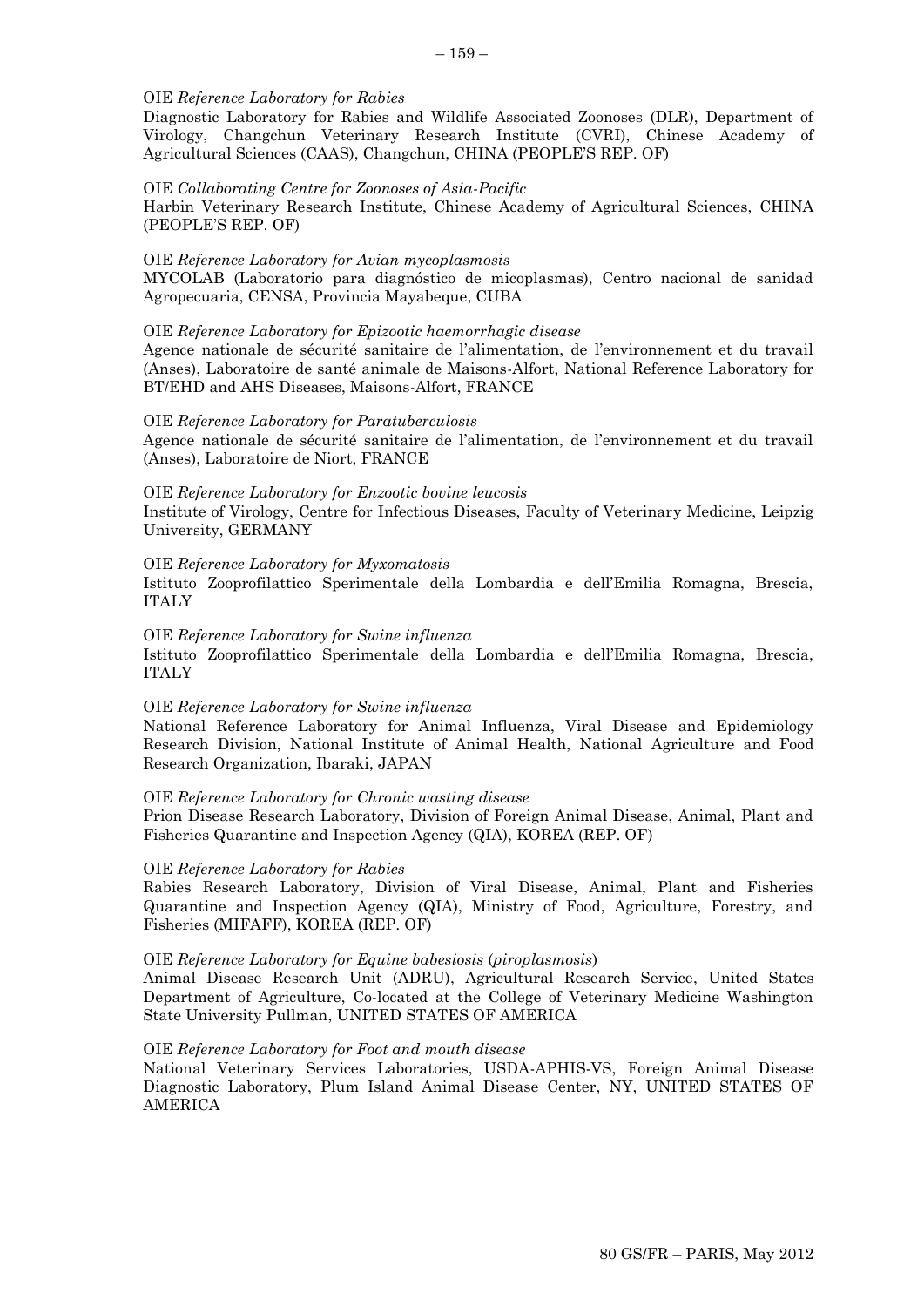### OIE *Reference Laboratory for Rabies*

Diagnostic Laboratory for Rabies and Wildlife Associated Zoonoses (DLR), Department of Virology, Changchun Veterinary Research Institute (CVRI), Chinese Academy of Agricultural Sciences (CAAS), Changchun, CHINA (PEOPLE'S REP. OF)

#### OIE *Collaborating Centre for Zoonoses of Asia-Pacific*

Harbin Veterinary Research Institute, Chinese Academy of Agricultural Sciences, CHINA (PEOPLE'S REP. OF)

#### OIE *Reference Laboratory for Avian mycoplasmosis*

MYCOLAB (Laboratorio para diagnóstico de micoplasmas), Centro nacional de sanidad Agropecuaria, CENSA, Provincia Mayabeque, CUBA

#### OIE *Reference Laboratory for Epizootic haemorrhagic disease*

Agence nationale de sécurité sanitaire de l'alimentation, de l'environnement et du travail (Anses), Laboratoire de santé animale de Maisons-Alfort, National Reference Laboratory for BT/EHD and AHS Diseases, Maisons-Alfort, FRANCE

#### OIE *Reference Laboratory for Paratuberculosis*

Agence nationale de sécurité sanitaire de l'alimentation, de l'environnement et du travail (Anses), Laboratoire de Niort, FRANCE

#### OIE *Reference Laboratory for Enzootic bovine leucosis*

Institute of Virology, Centre for Infectious Diseases, Faculty of Veterinary Medicine, Leipzig University, GERMANY

#### OIE *Reference Laboratory for Myxomatosis*

Istituto Zooprofilattico Sperimentale della Lombardia e dell'Emilia Romagna, Brescia, ITALY

### OIE *Reference Laboratory for Swine influenza*

Istituto Zooprofilattico Sperimentale della Lombardia e dell'Emilia Romagna, Brescia, ITALY

#### OIE *Reference Laboratory for Swine influenza*

National Reference Laboratory for Animal Influenza, Viral Disease and Epidemiology Research Division, National Institute of Animal Health, National Agriculture and Food Research Organization, Ibaraki, JAPAN

#### OIE *Reference Laboratory for Chronic wasting disease*

Prion Disease Research Laboratory, Division of Foreign Animal Disease, Animal, Plant and Fisheries Quarantine and Inspection Agency (QIA), KOREA (REP. OF)

#### OIE *Reference Laboratory for Rabies*

Rabies Research Laboratory, Division of Viral Disease, Animal, Plant and Fisheries Quarantine and Inspection Agency (QIA), Ministry of Food, Agriculture, Forestry, and Fisheries (MIFAFF), KOREA (REP. OF)

### OIE *Reference Laboratory for Equine babesiosis* (*piroplasmosis*)

Animal Disease Research Unit (ADRU), Agricultural Research Service, United States Department of Agriculture, Co-located at the College of Veterinary Medicine Washington State University Pullman, UNITED STATES OF AMERICA

#### OIE *Reference Laboratory for Foot and mouth disease*

National Veterinary Services Laboratories, USDA-APHIS-VS, Foreign Animal Disease Diagnostic Laboratory, Plum Island Animal Disease Center, NY, UNITED STATES OF AMERICA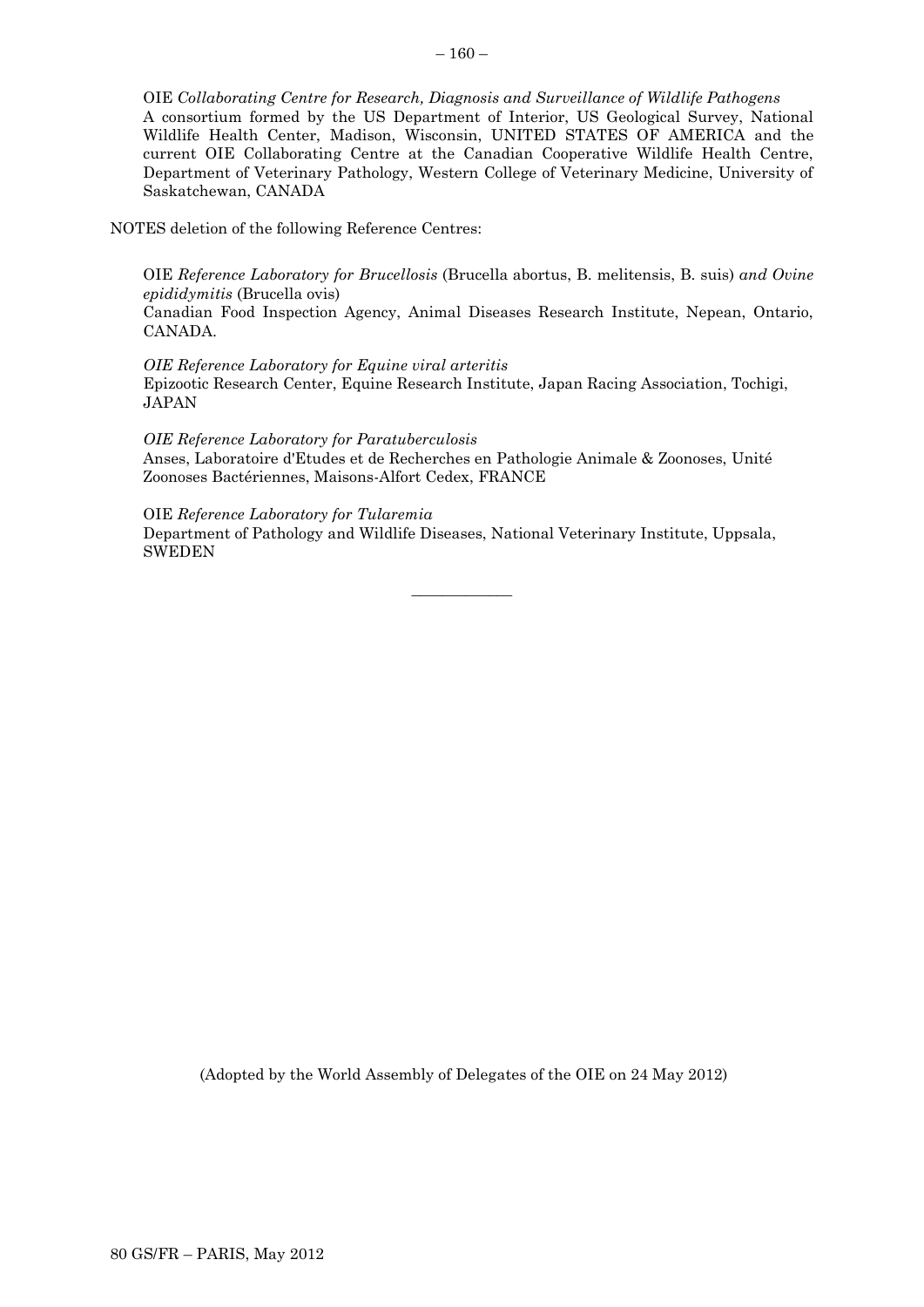OIE *Collaborating Centre for Research, Diagnosis and Surveillance of Wildlife Pathogens* A consortium formed by the US Department of Interior, US Geological Survey, National Wildlife Health Center, Madison, Wisconsin, UNITED STATES OF AMERICA and the current OIE Collaborating Centre at the Canadian Cooperative Wildlife Health Centre, Department of Veterinary Pathology, Western College of Veterinary Medicine, University of Saskatchewan, CANADA

NOTES deletion of the following Reference Centres:

OIE *Reference Laboratory for Brucellosis* (Brucella abortus, B. melitensis, B. suis) *and Ovine epididymitis* (Brucella ovis)

Canadian Food Inspection Agency, Animal Diseases Research Institute, Nepean, Ontario, CANADA.

*OIE Reference Laboratory for Equine viral arteritis* Epizootic Research Center, Equine Research Institute, Japan Racing Association, Tochigi, JAPAN

*OIE Reference Laboratory for Paratuberculosis* Anses, Laboratoire d'Etudes et de Recherches en Pathologie Animale & Zoonoses, Unité Zoonoses Bactériennes, Maisons-Alfort Cedex, FRANCE

 $\overline{\phantom{a}}$  , where  $\overline{\phantom{a}}$ 

OIE *Reference Laboratory for Tularemia* Department of Pathology and Wildlife Diseases, National Veterinary Institute, Uppsala,

SWEDEN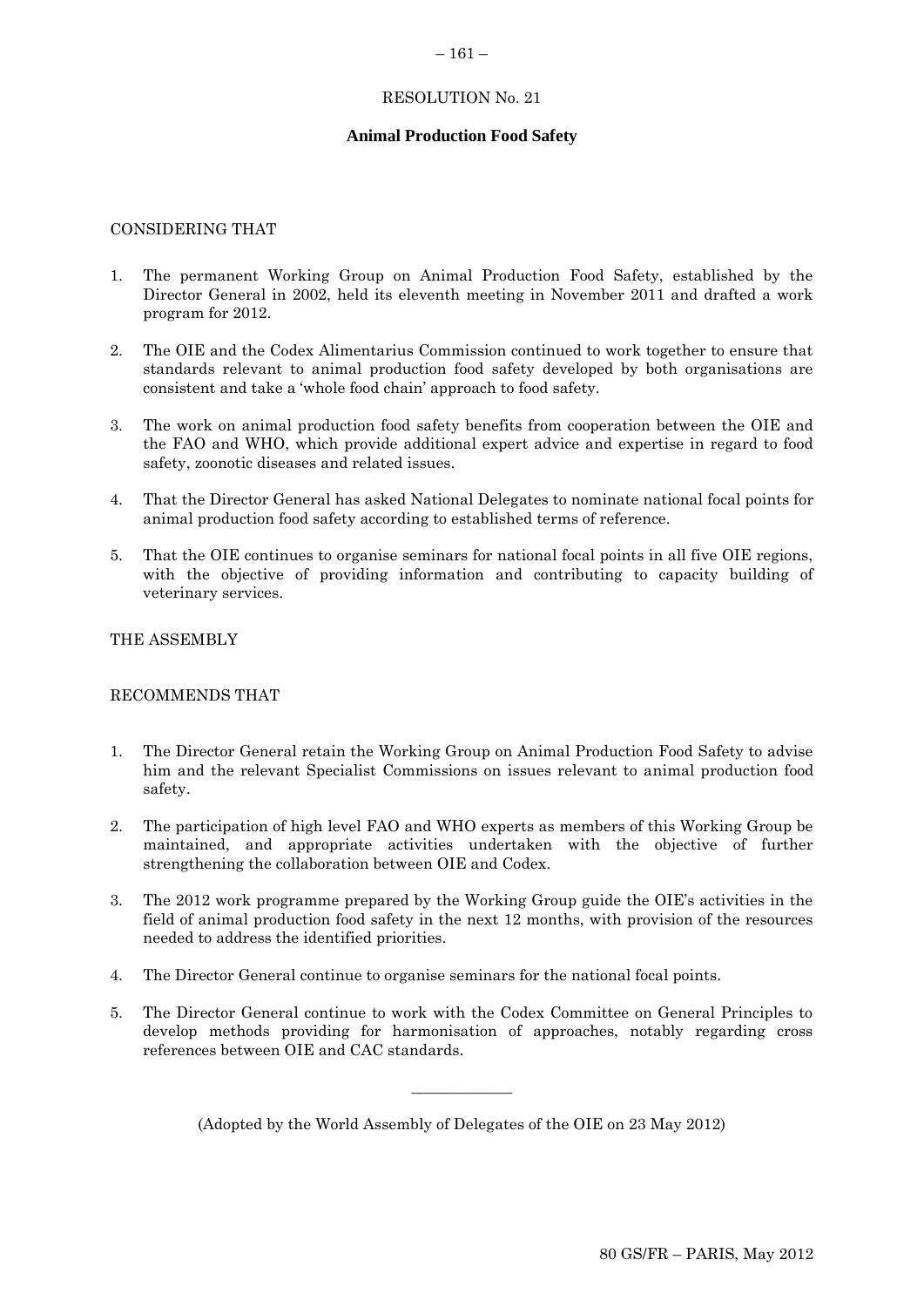### $-161-$

### RESOLUTION No. 21

### **Animal Production Food Safety**

### CONSIDERING THAT

- 1. The permanent Working Group on Animal Production Food Safety, established by the Director General in 2002, held its eleventh meeting in November 2011 and drafted a work program for 2012.
- 2. The OIE and the Codex Alimentarius Commission continued to work together to ensure that standards relevant to animal production food safety developed by both organisations are consistent and take a 'whole food chain' approach to food safety.
- 3. The work on animal production food safety benefits from cooperation between the OIE and the FAO and WHO, which provide additional expert advice and expertise in regard to food safety, zoonotic diseases and related issues.
- 4. That the Director General has asked National Delegates to nominate national focal points for animal production food safety according to established terms of reference.
- 5. That the OIE continues to organise seminars for national focal points in all five OIE regions, with the objective of providing information and contributing to capacity building of veterinary services.

### THE ASSEMBLY

### RECOMMENDS THAT

- 1. The Director General retain the Working Group on Animal Production Food Safety to advise him and the relevant Specialist Commissions on issues relevant to animal production food safety.
- 2. The participation of high level FAO and WHO experts as members of this Working Group be maintained, and appropriate activities undertaken with the objective of further strengthening the collaboration between OIE and Codex.
- 3. The 2012 work programme prepared by the Working Group guide the OIE's activities in the field of animal production food safety in the next 12 months, with provision of the resources needed to address the identified priorities.
- 4. The Director General continue to organise seminars for the national focal points.
- 5. The Director General continue to work with the Codex Committee on General Principles to develop methods providing for harmonisation of approaches, notably regarding cross references between OIE and CAC standards.

(Adopted by the World Assembly of Delegates of the OIE on 23 May 2012)

 $\overline{\phantom{a}}$  , where  $\overline{\phantom{a}}$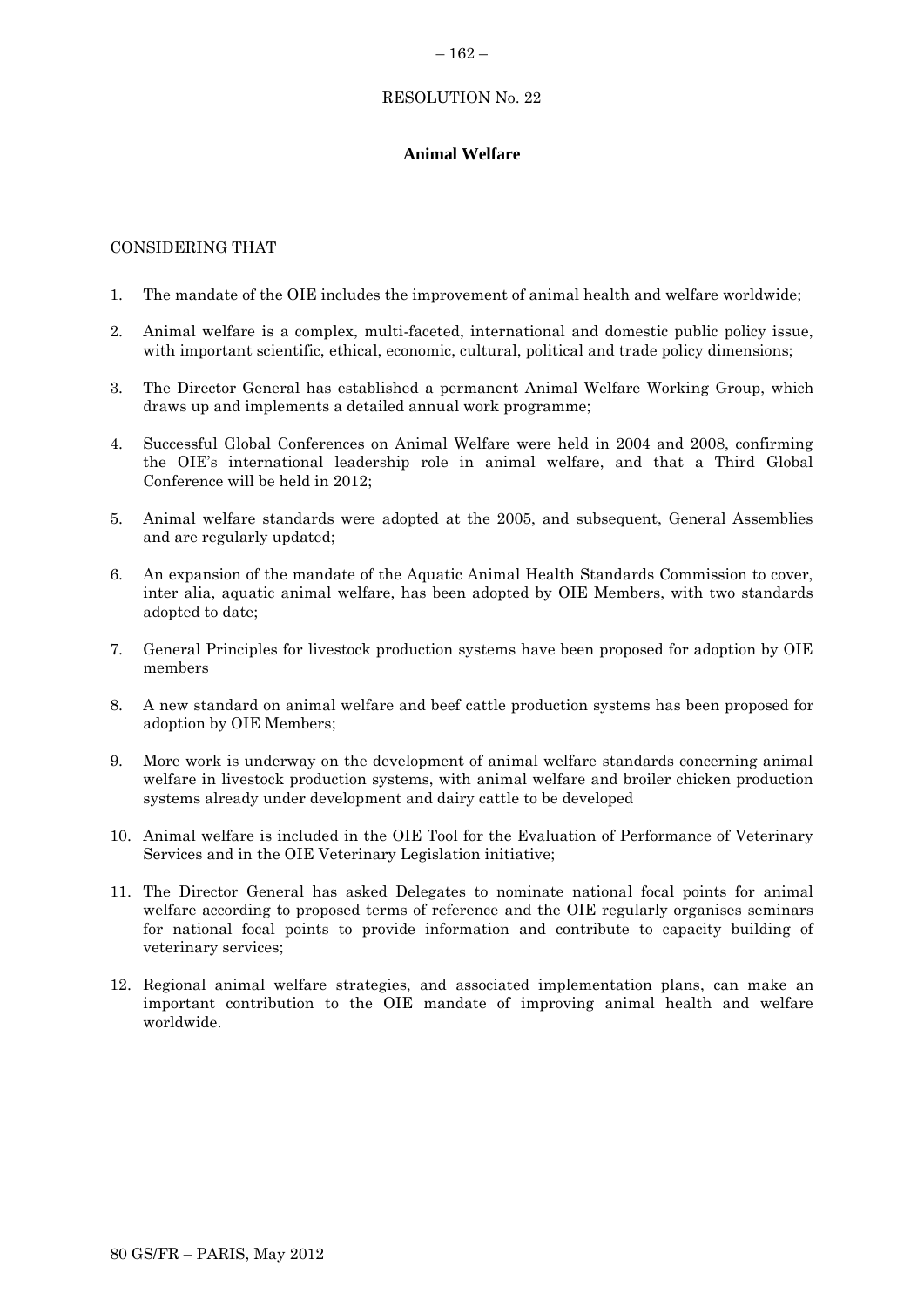### $-162-$

# RESOLUTION No. 22

# **Animal Welfare**

# CONSIDERING THAT

- 1. The mandate of the OIE includes the improvement of animal health and welfare worldwide;
- 2. Animal welfare is a complex, multi-faceted, international and domestic public policy issue, with important scientific, ethical, economic, cultural, political and trade policy dimensions;
- 3. The Director General has established a permanent Animal Welfare Working Group, which draws up and implements a detailed annual work programme;
- 4. Successful Global Conferences on Animal Welfare were held in 2004 and 2008, confirming the OIE's international leadership role in animal welfare, and that a Third Global Conference will be held in 2012;
- 5. Animal welfare standards were adopted at the 2005, and subsequent, General Assemblies and are regularly updated;
- 6. An expansion of the mandate of the Aquatic Animal Health Standards Commission to cover, inter alia, aquatic animal welfare, has been adopted by OIE Members, with two standards adopted to date;
- 7. General Principles for livestock production systems have been proposed for adoption by OIE members
- 8. A new standard on animal welfare and beef cattle production systems has been proposed for adoption by OIE Members;
- 9. More work is underway on the development of animal welfare standards concerning animal welfare in livestock production systems, with animal welfare and broiler chicken production systems already under development and dairy cattle to be developed
- 10. Animal welfare is included in the OIE Tool for the Evaluation of Performance of Veterinary Services and in the OIE Veterinary Legislation initiative;
- 11. The Director General has asked Delegates to nominate national focal points for animal welfare according to proposed terms of reference and the OIE regularly organises seminars for national focal points to provide information and contribute to capacity building of veterinary services;
- 12. Regional animal welfare strategies, and associated implementation plans, can make an important contribution to the OIE mandate of improving animal health and welfare worldwide.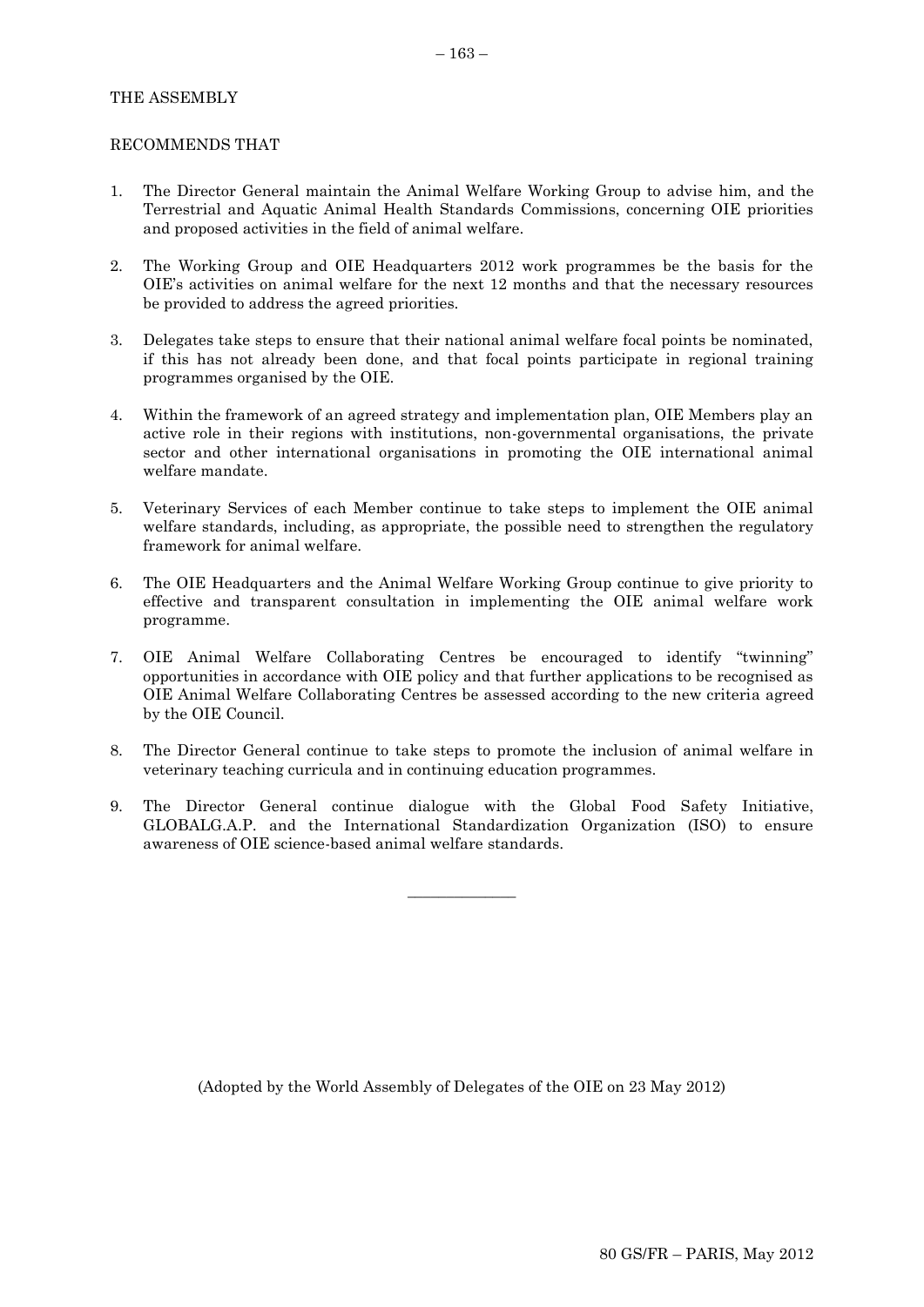## THE ASSEMBLY

### RECOMMENDS THAT

- 1. The Director General maintain the Animal Welfare Working Group to advise him, and the Terrestrial and Aquatic Animal Health Standards Commissions, concerning OIE priorities and proposed activities in the field of animal welfare.
- 2. The Working Group and OIE Headquarters 2012 work programmes be the basis for the OIE's activities on animal welfare for the next 12 months and that the necessary resources be provided to address the agreed priorities.
- 3. Delegates take steps to ensure that their national animal welfare focal points be nominated, if this has not already been done, and that focal points participate in regional training programmes organised by the OIE.
- 4. Within the framework of an agreed strategy and implementation plan, OIE Members play an active role in their regions with institutions, non-governmental organisations, the private sector and other international organisations in promoting the OIE international animal welfare mandate.
- 5. Veterinary Services of each Member continue to take steps to implement the OIE animal welfare standards, including, as appropriate, the possible need to strengthen the regulatory framework for animal welfare.
- 6. The OIE Headquarters and the Animal Welfare Working Group continue to give priority to effective and transparent consultation in implementing the OIE animal welfare work programme.
- 7. OIE Animal Welfare Collaborating Centres be encouraged to identify "twinning" opportunities in accordance with OIE policy and that further applications to be recognised as OIE Animal Welfare Collaborating Centres be assessed according to the new criteria agreed by the OIE Council.
- 8. The Director General continue to take steps to promote the inclusion of animal welfare in veterinary teaching curricula and in continuing education programmes.
- 9. The Director General continue dialogue with the Global Food Safety Initiative, GLOBALG.A.P. and the International Standardization Organization (ISO) to ensure awareness of OIE science-based animal welfare standards.

 $\overline{\phantom{a}}$  , where  $\overline{\phantom{a}}$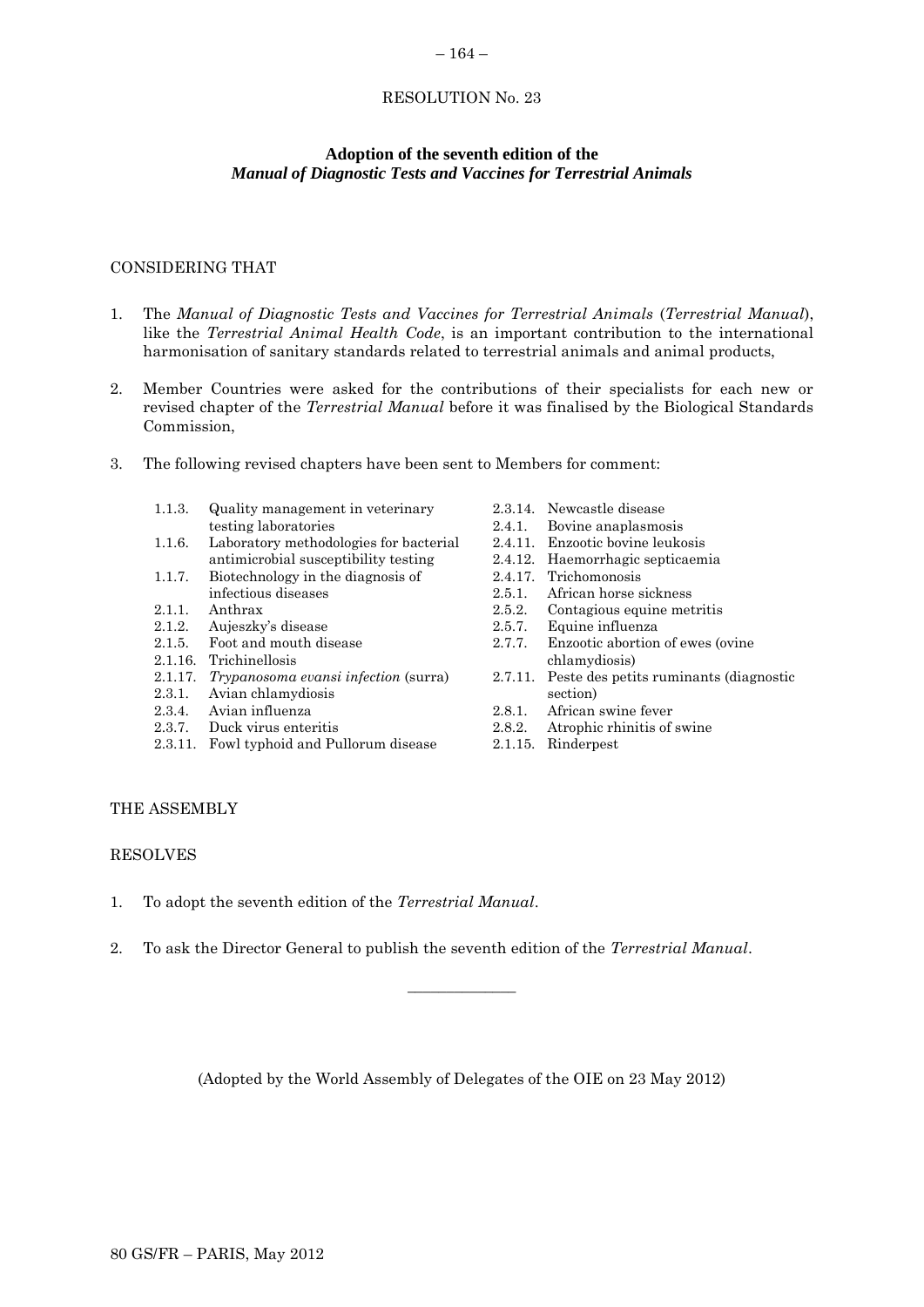# RESOLUTION No. 23

 $-164-$ 

# **Adoption of the seventh edition of the** *Manual of Diagnostic Tests and Vaccines for Terrestrial Animals*

# CONSIDERING THAT

- 1. The *Manual of Diagnostic Tests and Vaccines for Terrestrial Animals* (*Terrestrial Manual*), like the *Terrestrial Animal Health Code*, is an important contribution to the international harmonisation of sanitary standards related to terrestrial animals and animal products,
- 2. Member Countries were asked for the contributions of their specialists for each new or revised chapter of the *Terrestrial Manual* before it was finalised by the Biological Standards Commission,
- 3. The following revised chapters have been sent to Members for comment:
	- 1.1.3. Quality management in veterinary testing laboratories
	- 1.1.6. Laboratory methodologies for bacterial antimicrobial susceptibility testing
	- 1.1.7. Biotechnology in the diagnosis of infectious diseases
	- 2.1.1. Anthrax
	- 2.1.2. Aujeszky's disease
	- 2.1.5. Foot and mouth disease
	- 2.1.16. Trichinellosis
	- 2.1.17. *Trypanosoma evansi infection* (surra)
	- 2.3.1. Avian chlamydiosis
	- 2.3.4. Avian influenza
	- 2.3.7. Duck virus enteritis
	- 2.3.11. Fowl typhoid and Pullorum disease
- 2.3.14. Newcastle disease 2.4.1. Bovine anaplasmosis 2.4.11. Enzootic bovine leukosis 2.4.12. Haemorrhagic septicaemia 2.4.17. Trichomonosis 2.5.1. African horse sickness 2.5.2. Contagious equine metritis 2.5.7. Equine influenza 2.7.7. Enzootic abortion of ewes (ovine chlamydiosis) 2.7.11. Peste des petits ruminants (diagnostic section)
- 2.8.1. African swine fever
- 2.8.2. Atrophic rhinitis of swine
- 2.1.15. Rinderpest

# THE ASSEMBLY

### RESOLVES

- 1. To adopt the seventh edition of the *Terrestrial Manual*.
- 2. To ask the Director General to publish the seventh edition of the *Terrestrial Manual*.

(Adopted by the World Assembly of Delegates of the OIE on 23 May 2012)

\_\_\_\_\_\_\_\_\_\_\_\_\_\_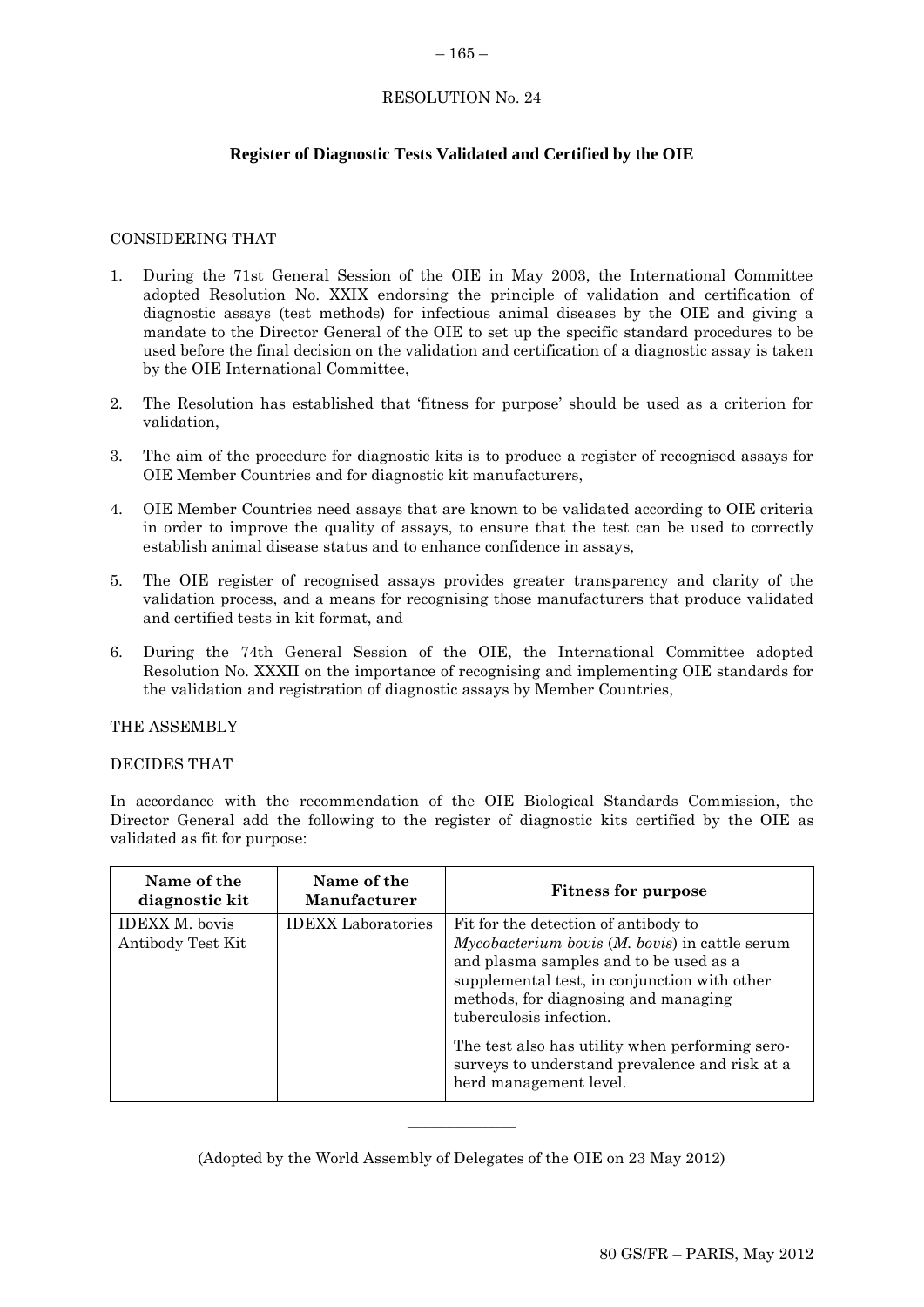### $-165-$

# RESOLUTION No. 24

# **Register of Diagnostic Tests Validated and Certified by the OIE**

# CONSIDERING THAT

- 1. During the 71st General Session of the OIE in May 2003, the International Committee adopted Resolution No. XXIX endorsing the principle of validation and certification of diagnostic assays (test methods) for infectious animal diseases by the OIE and giving a mandate to the Director General of the OIE to set up the specific standard procedures to be used before the final decision on the validation and certification of a diagnostic assay is taken by the OIE International Committee,
- 2. The Resolution has established that 'fitness for purpose' should be used as a criterion for validation,
- 3. The aim of the procedure for diagnostic kits is to produce a register of recognised assays for OIE Member Countries and for diagnostic kit manufacturers,
- 4. OIE Member Countries need assays that are known to be validated according to OIE criteria in order to improve the quality of assays, to ensure that the test can be used to correctly establish animal disease status and to enhance confidence in assays,
- 5. The OIE register of recognised assays provides greater transparency and clarity of the validation process, and a means for recognising those manufacturers that produce validated and certified tests in kit format, and
- 6. During the 74th General Session of the OIE, the International Committee adopted Resolution No. XXXII on the importance of recognising and implementing OIE standards for the validation and registration of diagnostic assays by Member Countries,

### THE ASSEMBLY

### DECIDES THAT

In accordance with the recommendation of the OIE Biological Standards Commission, the Director General add the following to the register of diagnostic kits certified by the OIE as validated as fit for purpose:

| Name of the<br>diagnostic kit              | Name of the<br><b>Manufacturer</b> | <b>Fitness for purpose</b>                                                                                                                                                                                                                                                                                                                                                           |
|--------------------------------------------|------------------------------------|--------------------------------------------------------------------------------------------------------------------------------------------------------------------------------------------------------------------------------------------------------------------------------------------------------------------------------------------------------------------------------------|
| <b>IDEXX M.</b> bovis<br>Antibody Test Kit | <b>IDEXX</b> Laboratories          | Fit for the detection of antibody to<br>$Mycobacterium bovis (M. bovis)$ in cattle serum<br>and plasma samples and to be used as a<br>supplemental test, in conjunction with other<br>methods, for diagnosing and managing<br>tuberculosis infection.<br>The test also has utility when performing sero-<br>surveys to understand prevalence and risk at a<br>herd management level. |

(Adopted by the World Assembly of Delegates of the OIE on 23 May 2012)

\_\_\_\_\_\_\_\_\_\_\_\_\_\_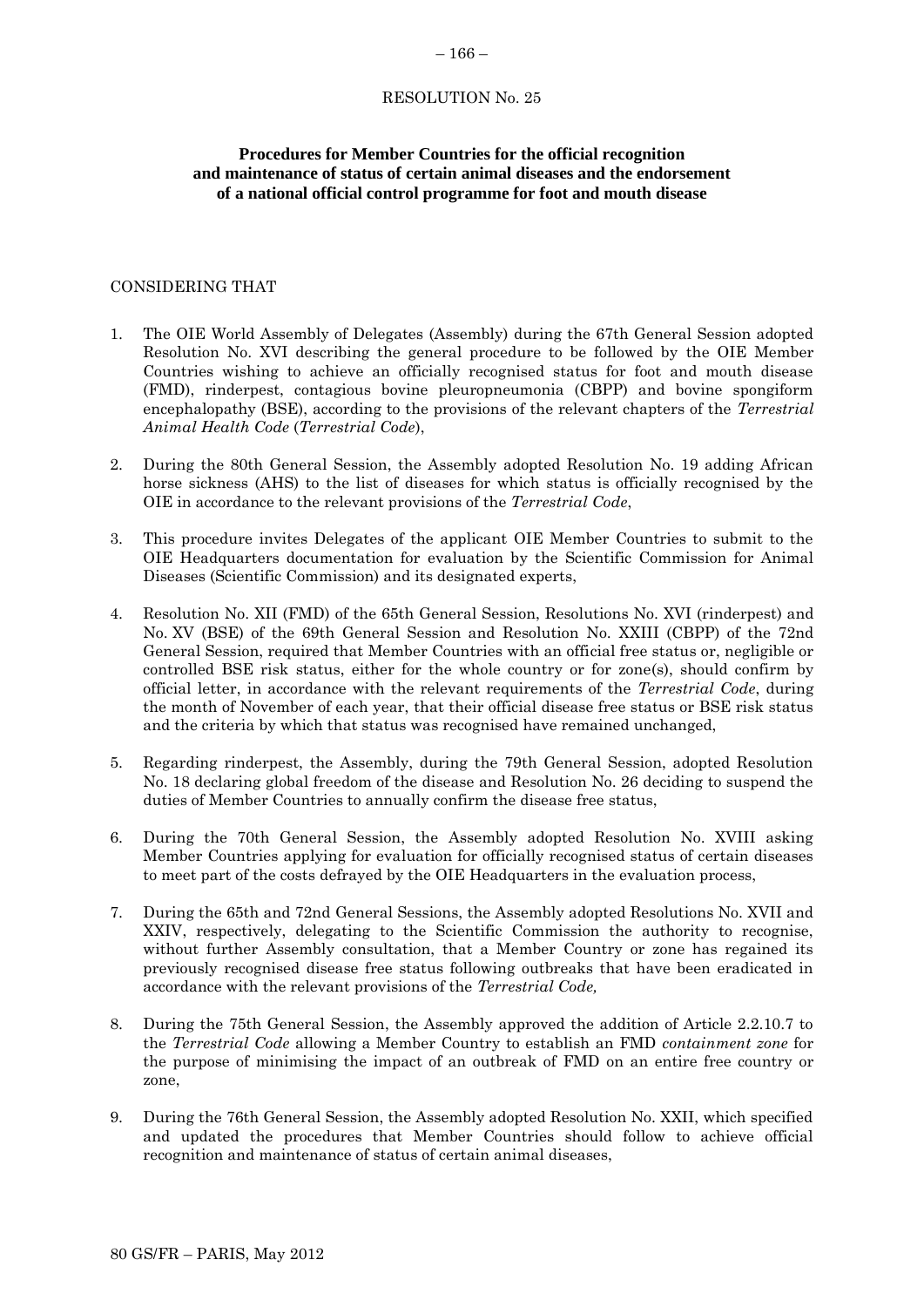### RESOLUTION No. 25

# **Procedures for Member Countries for the official recognition and maintenance of status of certain animal diseases and the endorsement of a national official control programme for foot and mouth disease**

### CONSIDERING THAT

- 1. The OIE World Assembly of Delegates (Assembly) during the 67th General Session adopted Resolution No. XVI describing the general procedure to be followed by the OIE Member Countries wishing to achieve an officially recognised status for foot and mouth disease (FMD), rinderpest, contagious bovine pleuropneumonia (CBPP) and bovine spongiform encephalopathy (BSE), according to the provisions of the relevant chapters of the *Terrestrial Animal Health Code* (*Terrestrial Code*),
- 2. During the 80th General Session, the Assembly adopted Resolution No. 19 adding African horse sickness (AHS) to the list of diseases for which status is officially recognised by the OIE in accordance to the relevant provisions of the *Terrestrial Code*,
- 3. This procedure invites Delegates of the applicant OIE Member Countries to submit to the OIE Headquarters documentation for evaluation by the Scientific Commission for Animal Diseases (Scientific Commission) and its designated experts,
- 4. Resolution No. XII (FMD) of the 65th General Session, Resolutions No. XVI (rinderpest) and No. XV (BSE) of the 69th General Session and Resolution No. XXIII (CBPP) of the 72nd General Session, required that Member Countries with an official free status or, negligible or controlled BSE risk status, either for the whole country or for zone(s), should confirm by official letter, in accordance with the relevant requirements of the *Terrestrial Code*, during the month of November of each year, that their official disease free status or BSE risk status and the criteria by which that status was recognised have remained unchanged,
- 5. Regarding rinderpest, the Assembly, during the 79th General Session, adopted Resolution No. 18 declaring global freedom of the disease and Resolution No. 26 deciding to suspend the duties of Member Countries to annually confirm the disease free status,
- 6. During the 70th General Session, the Assembly adopted Resolution No. XVIII asking Member Countries applying for evaluation for officially recognised status of certain diseases to meet part of the costs defrayed by the OIE Headquarters in the evaluation process,
- 7. During the 65th and 72nd General Sessions, the Assembly adopted Resolutions No. XVII and XXIV, respectively, delegating to the Scientific Commission the authority to recognise, without further Assembly consultation, that a Member Country or zone has regained its previously recognised disease free status following outbreaks that have been eradicated in accordance with the relevant provisions of the *Terrestrial Code,*
- 8. During the 75th General Session, the Assembly approved the addition of Article 2.2.10.7 to the *Terrestrial Code* allowing a Member Country to establish an FMD *containment zone* for the purpose of minimising the impact of an outbreak of FMD on an entire free country or zone,
- 9. During the 76th General Session, the Assembly adopted Resolution No. XXII, which specified and updated the procedures that Member Countries should follow to achieve official recognition and maintenance of status of certain animal diseases,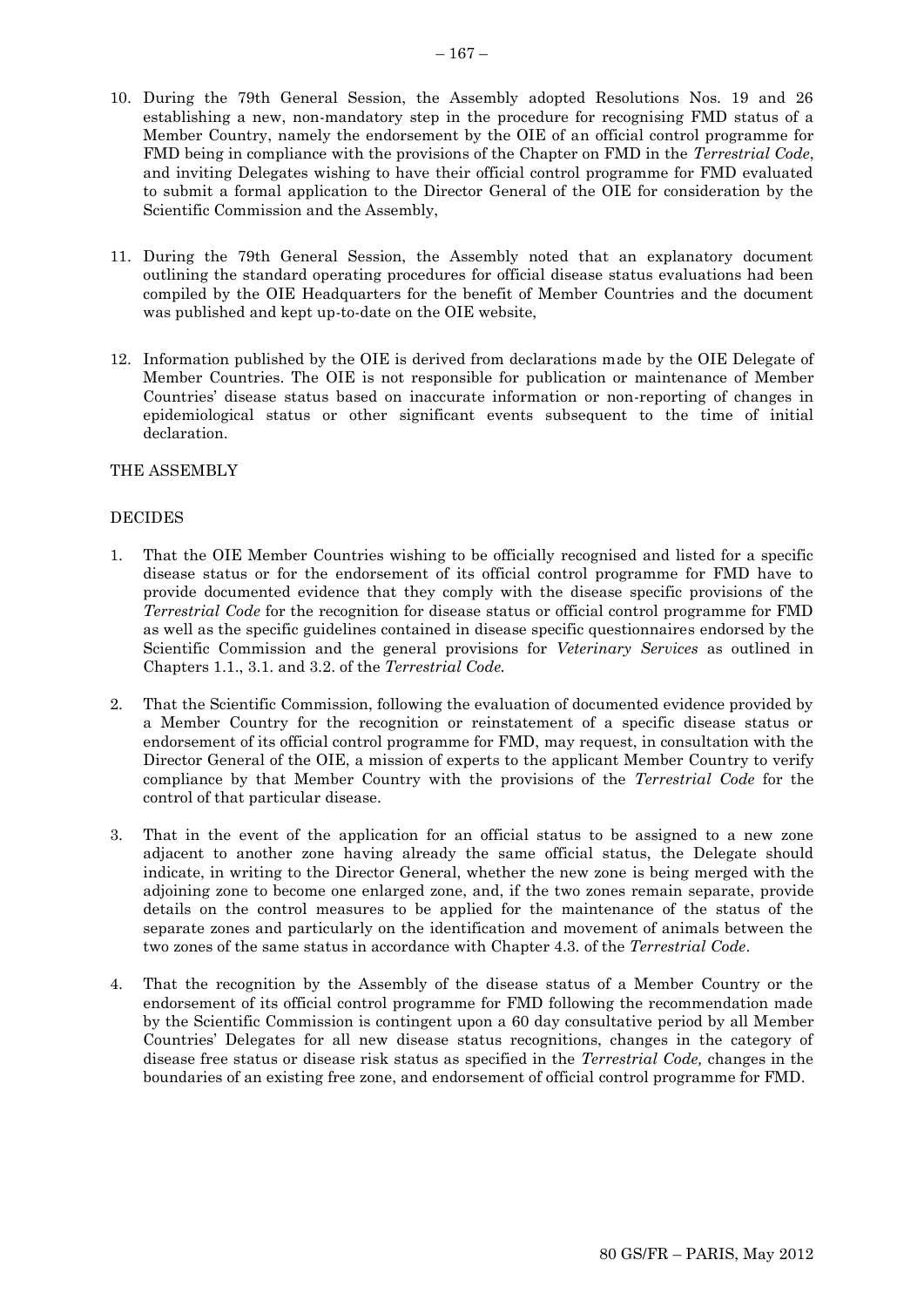- 11. During the 79th General Session, the Assembly noted that an explanatory document outlining the standard operating procedures for official disease status evaluations had been compiled by the OIE Headquarters for the benefit of Member Countries and the document was published and kept up-to-date on the OIE website,
- 12. Information published by the OIE is derived from declarations made by the OIE Delegate of Member Countries. The OIE is not responsible for publication or maintenance of Member Countries' disease status based on inaccurate information or non-reporting of changes in epidemiological status or other significant events subsequent to the time of initial declaration.

# THE ASSEMBLY

# DECIDES

- 1. That the OIE Member Countries wishing to be officially recognised and listed for a specific disease status or for the endorsement of its official control programme for FMD have to provide documented evidence that they comply with the disease specific provisions of the *Terrestrial Code* for the recognition for disease status or official control programme for FMD as well as the specific guidelines contained in disease specific questionnaires endorsed by the Scientific Commission and the general provisions for *Veterinary Services* as outlined in Chapters 1.1., 3.1. and 3.2. of the *Terrestrial Code.*
- 2. That the Scientific Commission, following the evaluation of documented evidence provided by a Member Country for the recognition or reinstatement of a specific disease status or endorsement of its official control programme for FMD, may request, in consultation with the Director General of the OIE, a mission of experts to the applicant Member Country to verify compliance by that Member Country with the provisions of the *Terrestrial Code* for the control of that particular disease.
- 3. That in the event of the application for an official status to be assigned to a new zone adjacent to another zone having already the same official status, the Delegate should indicate, in writing to the Director General, whether the new zone is being merged with the adjoining zone to become one enlarged zone, and, if the two zones remain separate, provide details on the control measures to be applied for the maintenance of the status of the separate zones and particularly on the identification and movement of animals between the two zones of the same status in accordance with Chapter 4.3. of the *Terrestrial Code*.
- 4. That the recognition by the Assembly of the disease status of a Member Country or the endorsement of its official control programme for FMD following the recommendation made by the Scientific Commission is contingent upon a 60 day consultative period by all Member Countries' Delegates for all new disease status recognitions, changes in the category of disease free status or disease risk status as specified in the *Terrestrial Code,* changes in the boundaries of an existing free zone, and endorsement of official control programme for FMD.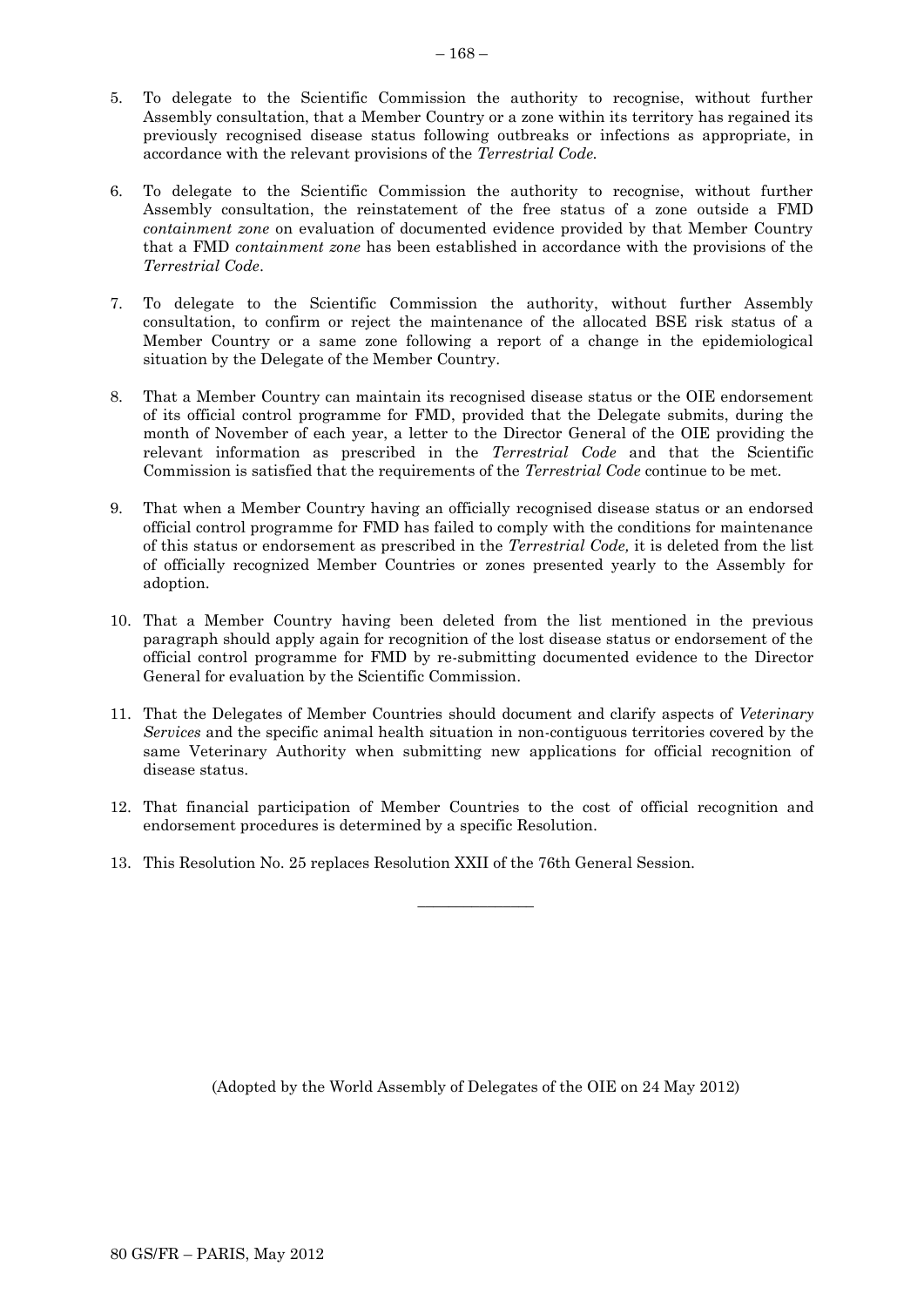- 5. To delegate to the Scientific Commission the authority to recognise, without further Assembly consultation, that a Member Country or a zone within its territory has regained its previously recognised disease status following outbreaks or infections as appropriate, in accordance with the relevant provisions of the *Terrestrial Code.*
- 6. To delegate to the Scientific Commission the authority to recognise, without further Assembly consultation, the reinstatement of the free status of a zone outside a FMD *containment zone* on evaluation of documented evidence provided by that Member Country that a FMD *containment zone* has been established in accordance with the provisions of the *Terrestrial Code*.
- 7. To delegate to the Scientific Commission the authority, without further Assembly consultation, to confirm or reject the maintenance of the allocated BSE risk status of a Member Country or a same zone following a report of a change in the epidemiological situation by the Delegate of the Member Country.
- 8. That a Member Country can maintain its recognised disease status or the OIE endorsement of its official control programme for FMD, provided that the Delegate submits, during the month of November of each year, a letter to the Director General of the OIE providing the relevant information as prescribed in the *Terrestrial Code* and that the Scientific Commission is satisfied that the requirements of the *Terrestrial Code* continue to be met.
- 9. That when a Member Country having an officially recognised disease status or an endorsed official control programme for FMD has failed to comply with the conditions for maintenance of this status or endorsement as prescribed in the *Terrestrial Code,* it is deleted from the list of officially recognized Member Countries or zones presented yearly to the Assembly for adoption.
- 10. That a Member Country having been deleted from the list mentioned in the previous paragraph should apply again for recognition of the lost disease status or endorsement of the official control programme for FMD by re-submitting documented evidence to the Director General for evaluation by the Scientific Commission.
- 11. That the Delegates of Member Countries should document and clarify aspects of *Veterinary Services* and the specific animal health situation in non-contiguous territories covered by the same Veterinary Authority when submitting new applications for official recognition of disease status.
- 12. That financial participation of Member Countries to the cost of official recognition and endorsement procedures is determined by a specific Resolution.

 $\overline{\phantom{a}}$  , where  $\overline{\phantom{a}}$ 

13. This Resolution No. 25 replaces Resolution XXII of the 76th General Session.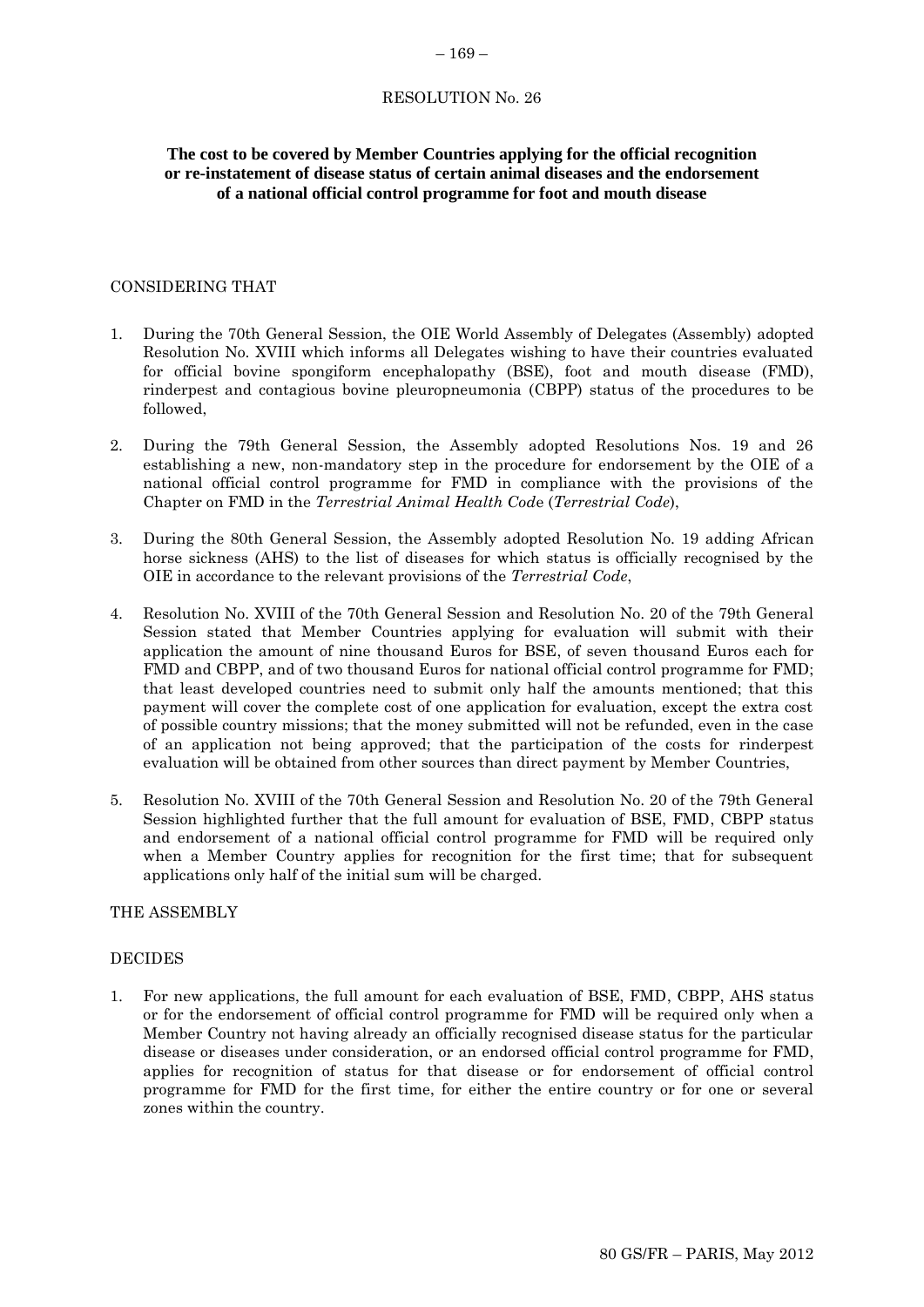### RESOLUTION No. 26

# **The cost to be covered by Member Countries applying for the official recognition or re-instatement of disease status of certain animal diseases and the endorsement of a national official control programme for foot and mouth disease**

### CONSIDERING THAT

- 1. During the 70th General Session, the OIE World Assembly of Delegates (Assembly) adopted Resolution No. XVIII which informs all Delegates wishing to have their countries evaluated for official bovine spongiform encephalopathy (BSE), foot and mouth disease (FMD), rinderpest and contagious bovine pleuropneumonia (CBPP) status of the procedures to be followed,
- 2. During the 79th General Session, the Assembly adopted Resolutions Nos. 19 and 26 establishing a new, non-mandatory step in the procedure for endorsement by the OIE of a national official control programme for FMD in compliance with the provisions of the Chapter on FMD in the *Terrestrial Animal Health Cod*e (*Terrestrial Code*),
- 3. During the 80th General Session, the Assembly adopted Resolution No. 19 adding African horse sickness (AHS) to the list of diseases for which status is officially recognised by the OIE in accordance to the relevant provisions of the *Terrestrial Code*,
- 4. Resolution No. XVIII of the 70th General Session and Resolution No. 20 of the 79th General Session stated that Member Countries applying for evaluation will submit with their application the amount of nine thousand Euros for BSE, of seven thousand Euros each for FMD and CBPP, and of two thousand Euros for national official control programme for FMD; that least developed countries need to submit only half the amounts mentioned; that this payment will cover the complete cost of one application for evaluation, except the extra cost of possible country missions; that the money submitted will not be refunded, even in the case of an application not being approved; that the participation of the costs for rinderpest evaluation will be obtained from other sources than direct payment by Member Countries,
- 5. Resolution No. XVIII of the 70th General Session and Resolution No. 20 of the 79th General Session highlighted further that the full amount for evaluation of BSE, FMD, CBPP status and endorsement of a national official control programme for FMD will be required only when a Member Country applies for recognition for the first time; that for subsequent applications only half of the initial sum will be charged.

# THE ASSEMBLY

### DECIDES

1. For new applications, the full amount for each evaluation of BSE, FMD, CBPP, AHS status or for the endorsement of official control programme for FMD will be required only when a Member Country not having already an officially recognised disease status for the particular disease or diseases under consideration, or an endorsed official control programme for FMD, applies for recognition of status for that disease or for endorsement of official control programme for FMD for the first time, for either the entire country or for one or several zones within the country.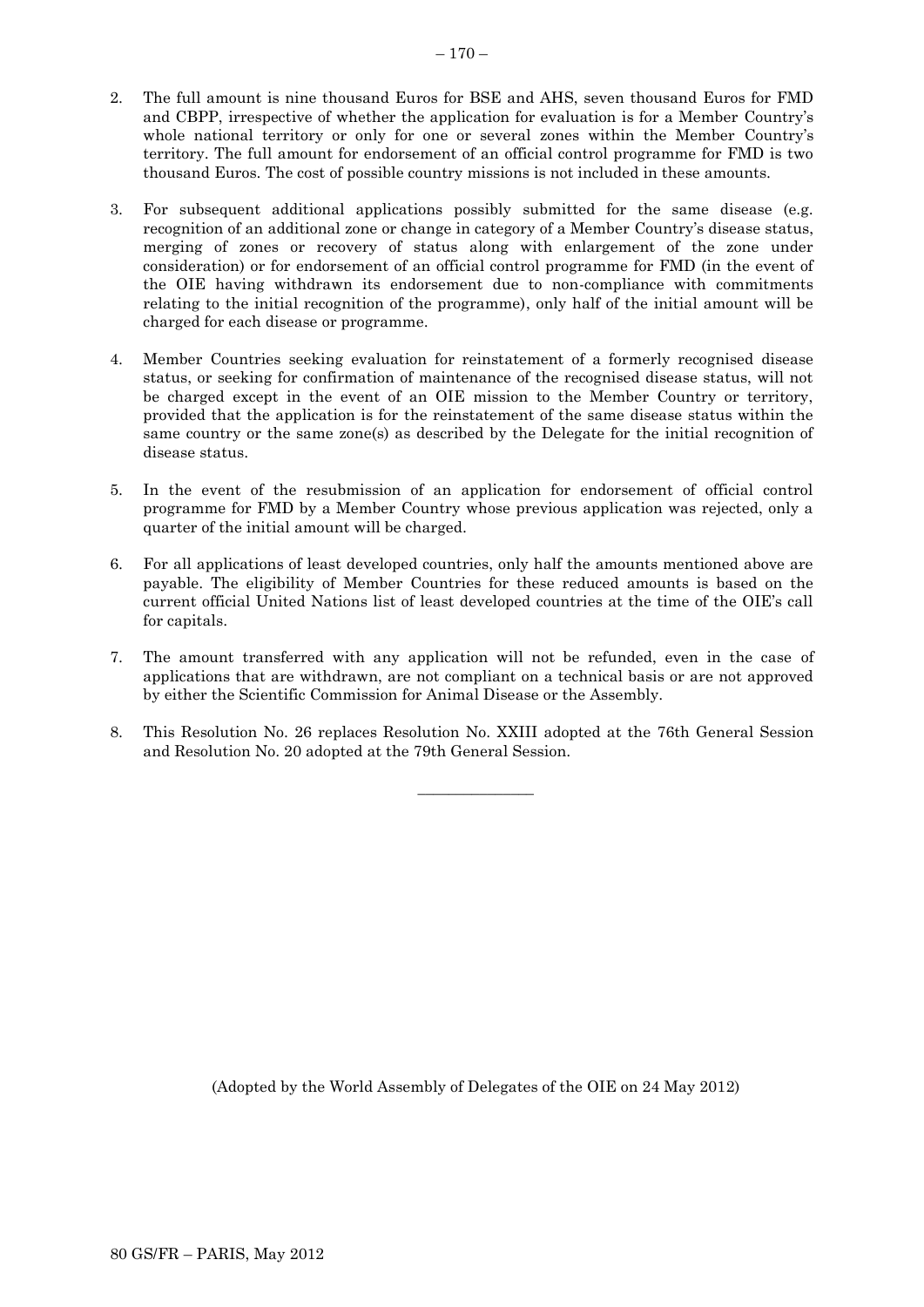- 2. The full amount is nine thousand Euros for BSE and AHS, seven thousand Euros for FMD and CBPP, irrespective of whether the application for evaluation is for a Member Country's whole national territory or only for one or several zones within the Member Country's territory. The full amount for endorsement of an official control programme for FMD is two thousand Euros. The cost of possible country missions is not included in these amounts.
- 3. For subsequent additional applications possibly submitted for the same disease (e.g. recognition of an additional zone or change in category of a Member Country's disease status, merging of zones or recovery of status along with enlargement of the zone under consideration) or for endorsement of an official control programme for FMD (in the event of the OIE having withdrawn its endorsement due to non-compliance with commitments relating to the initial recognition of the programme), only half of the initial amount will be charged for each disease or programme.
- 4. Member Countries seeking evaluation for reinstatement of a formerly recognised disease status, or seeking for confirmation of maintenance of the recognised disease status, will not be charged except in the event of an OIE mission to the Member Country or territory, provided that the application is for the reinstatement of the same disease status within the same country or the same zone(s) as described by the Delegate for the initial recognition of disease status.
- 5. In the event of the resubmission of an application for endorsement of official control programme for FMD by a Member Country whose previous application was rejected, only a quarter of the initial amount will be charged.
- 6. For all applications of least developed countries, only half the amounts mentioned above are payable. The eligibility of Member Countries for these reduced amounts is based on the current official United Nations list of least developed countries at the time of the OIE's call for capitals.
- 7. The amount transferred with any application will not be refunded, even in the case of applications that are withdrawn, are not compliant on a technical basis or are not approved by either the Scientific Commission for Animal Disease or the Assembly.
- 8. This Resolution No. 26 replaces Resolution No. XXIII adopted at the 76th General Session and Resolution No. 20 adopted at the 79th General Session.

 $\overline{\phantom{a}}$  , where  $\overline{\phantom{a}}$ 

 $-170-$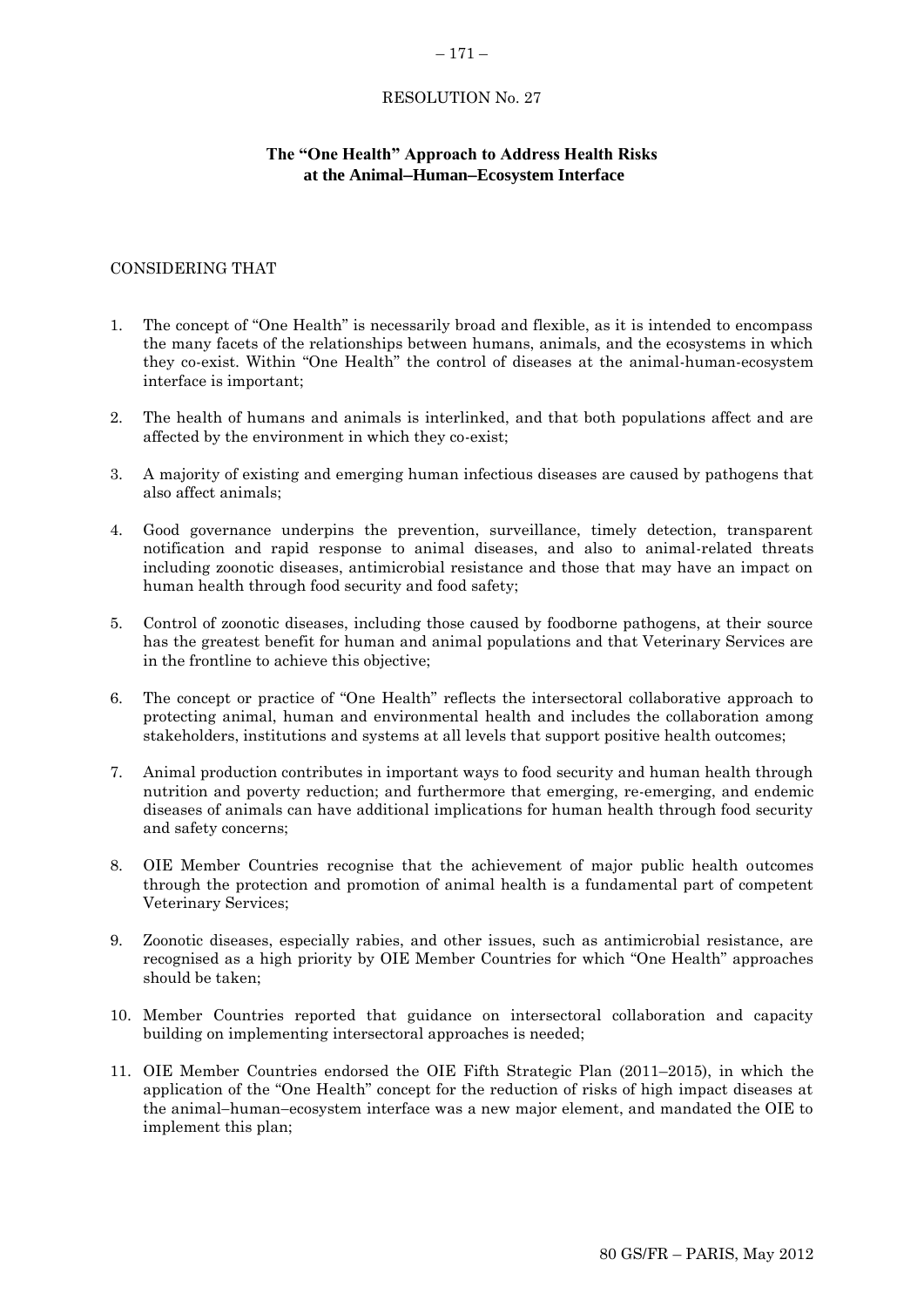### – 171 –

### RESOLUTION No. 27

# **The "One Health" Approach to Address Health Risks at the AnimalHumanEcosystem Interface**

### CONSIDERING THAT

- 1. The concept of "One Health" is necessarily broad and flexible, as it is intended to encompass the many facets of the relationships between humans, animals, and the ecosystems in which they co-exist. Within "One Health" the control of diseases at the animal-human-ecosystem interface is important;
- 2. The health of humans and animals is interlinked, and that both populations affect and are affected by the environment in which they co-exist;
- 3. A majority of existing and emerging human infectious diseases are caused by pathogens that also affect animals;
- 4. Good governance underpins the prevention, surveillance, timely detection, transparent notification and rapid response to animal diseases, and also to animal-related threats including zoonotic diseases, antimicrobial resistance and those that may have an impact on human health through food security and food safety;
- 5. Control of zoonotic diseases, including those caused by foodborne pathogens, at their source has the greatest benefit for human and animal populations and that Veterinary Services are in the frontline to achieve this objective;
- 6. The concept or practice of "One Health" reflects the intersectoral collaborative approach to protecting animal, human and environmental health and includes the collaboration among stakeholders, institutions and systems at all levels that support positive health outcomes;
- 7. Animal production contributes in important ways to food security and human health through nutrition and poverty reduction; and furthermore that emerging, re-emerging, and endemic diseases of animals can have additional implications for human health through food security and safety concerns;
- 8. OIE Member Countries recognise that the achievement of major public health outcomes through the protection and promotion of animal health is a fundamental part of competent Veterinary Services;
- 9. Zoonotic diseases, especially rabies, and other issues, such as antimicrobial resistance, are recognised as a high priority by OIE Member Countries for which "One Health" approaches should be taken;
- 10. Member Countries reported that guidance on intersectoral collaboration and capacity building on implementing intersectoral approaches is needed;
- 11. OIE Member Countries endorsed the OIE Fifth Strategic Plan (2011–2015), in which the application of the "One Health" concept for the reduction of risks of high impact diseases at the animal-human-ecosystem interface was a new major element, and mandated the OIE to implement this plan;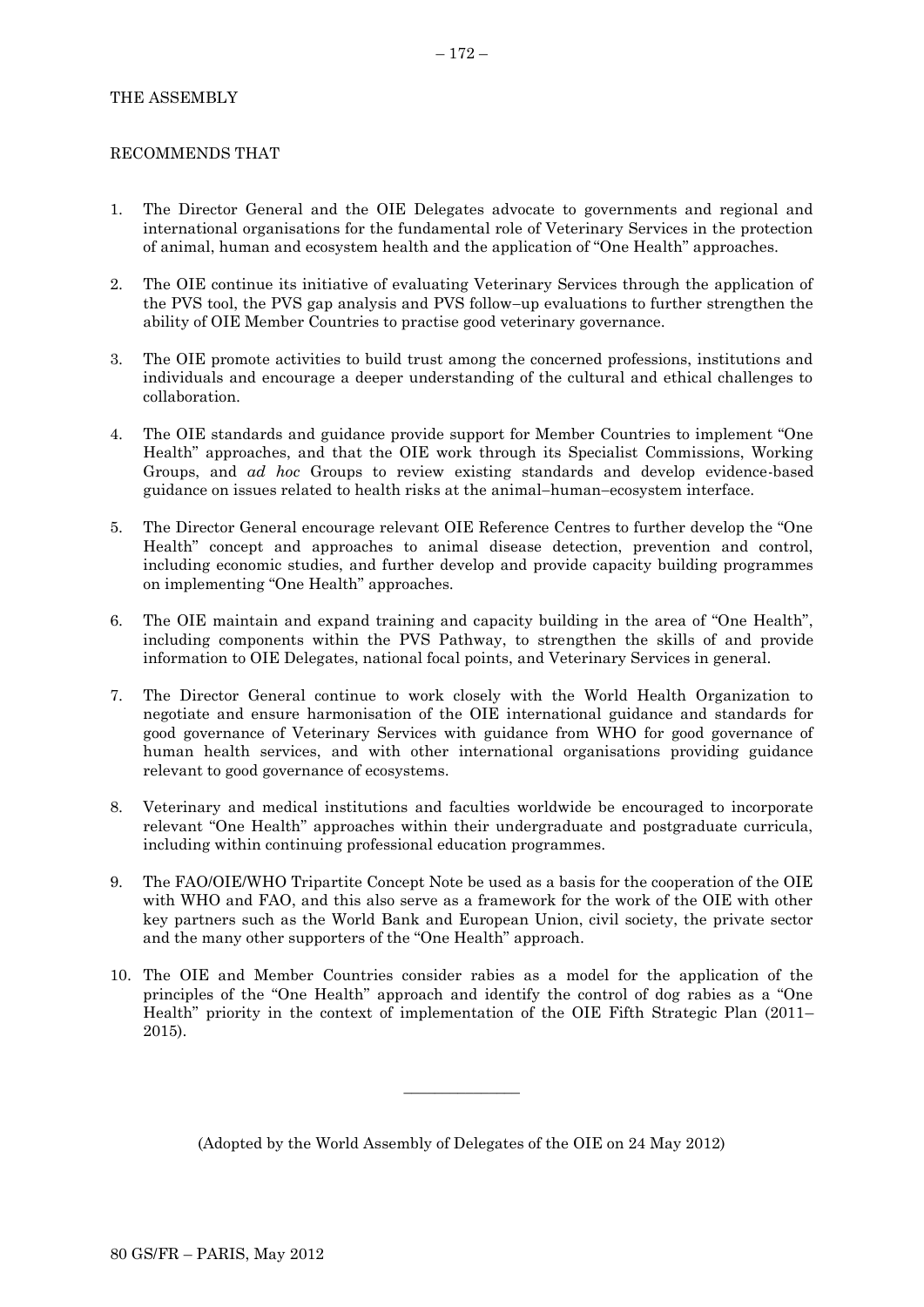# THE ASSEMBLY

# RECOMMENDS THAT

- 1. The Director General and the OIE Delegates advocate to governments and regional and international organisations for the fundamental role of Veterinary Services in the protection of animal, human and ecosystem health and the application of "One Health" approaches.
- 2. The OIE continue its initiative of evaluating Veterinary Services through the application of the PVS tool, the PVS gap analysis and PVS follow-up evaluations to further strengthen the ability of OIE Member Countries to practise good veterinary governance.
- 3. The OIE promote activities to build trust among the concerned professions, institutions and individuals and encourage a deeper understanding of the cultural and ethical challenges to collaboration.
- 4. The OIE standards and guidance provide support for Member Countries to implement "One Health" approaches, and that the OIE work through its Specialist Commissions, Working Groups, and *ad hoc* Groups to review existing standards and develop evidence-based guidance on issues related to health risks at the animal-human-ecosystem interface.
- 5. The Director General encourage relevant OIE Reference Centres to further develop the "One Health" concept and approaches to animal disease detection, prevention and control, including economic studies, and further develop and provide capacity building programmes on implementing "One Health" approaches.
- 6. The OIE maintain and expand training and capacity building in the area of "One Health", including components within the PVS Pathway, to strengthen the skills of and provide information to OIE Delegates, national focal points, and Veterinary Services in general.
- 7. The Director General continue to work closely with the World Health Organization to negotiate and ensure harmonisation of the OIE international guidance and standards for good governance of Veterinary Services with guidance from WHO for good governance of human health services, and with other international organisations providing guidance relevant to good governance of ecosystems.
- 8. Veterinary and medical institutions and faculties worldwide be encouraged to incorporate relevant "One Health" approaches within their undergraduate and postgraduate curricula, including within continuing professional education programmes.
- 9. The FAO/OIE/WHO Tripartite Concept Note be used as a basis for the cooperation of the OIE with WHO and FAO, and this also serve as a framework for the work of the OIE with other key partners such as the World Bank and European Union, civil society, the private sector and the many other supporters of the "One Health" approach.
- 10. The OIE and Member Countries consider rabies as a model for the application of the principles of the "One Health" approach and identify the control of dog rabies as a "One Health" priority in the context of implementation of the OIE Fifth Strategic Plan (2011– 2015).

(Adopted by the World Assembly of Delegates of the OIE on 24 May 2012)

 $\overline{\phantom{a}}$  , where  $\overline{\phantom{a}}$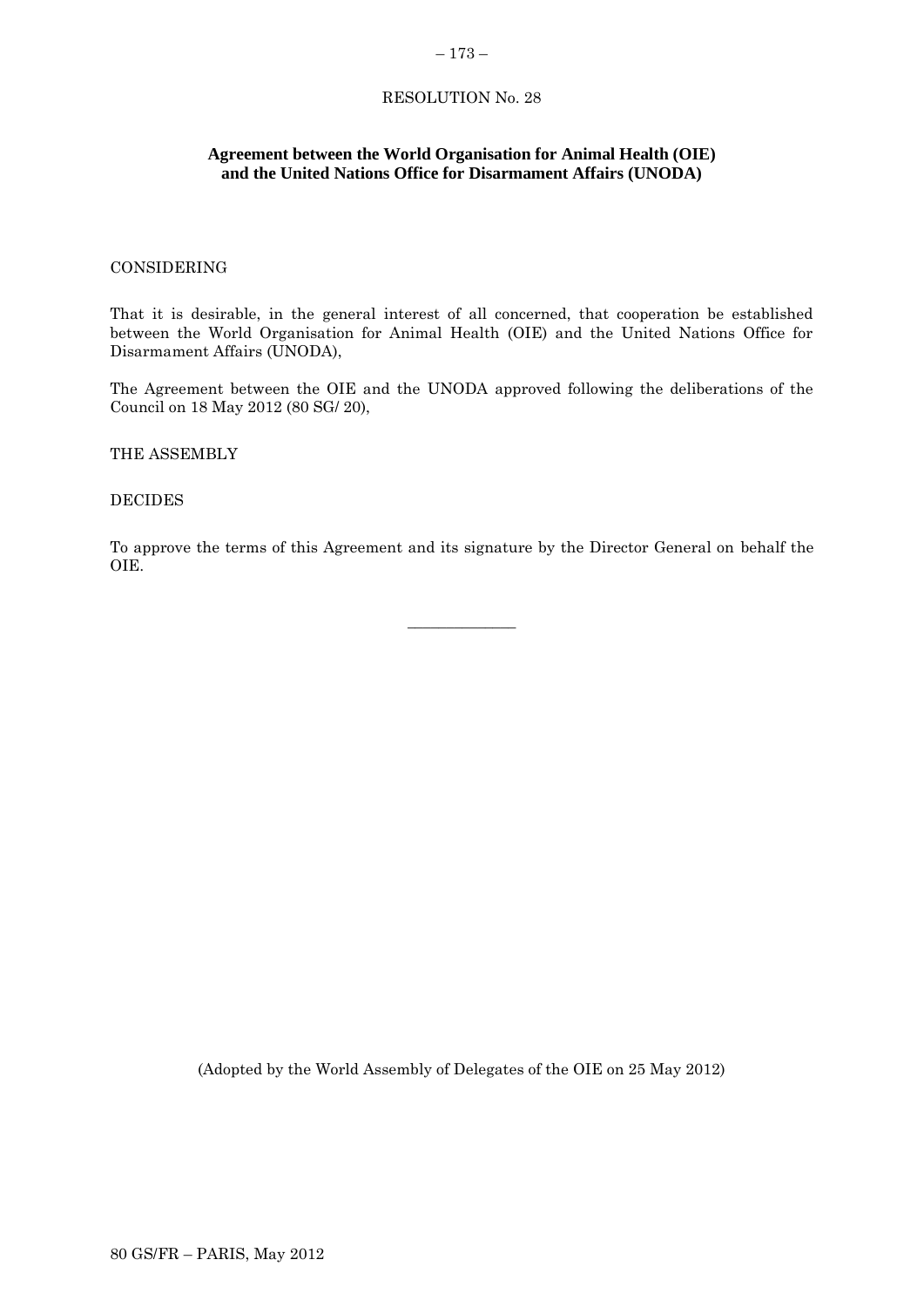### – 173 –

# RESOLUTION No. 28

# **Agreement between the World Organisation for Animal Health (OIE) and the United Nations Office for Disarmament Affairs (UNODA)**

### CONSIDERING

That it is desirable, in the general interest of all concerned, that cooperation be established between the World Organisation for Animal Health (OIE) and the United Nations Office for Disarmament Affairs (UNODA),

The Agreement between the OIE and the UNODA approved following the deliberations of the Council on 18 May 2012 (80 SG/ 20),

THE ASSEMBLY

DECIDES

To approve the terms of this Agreement and its signature by the Director General on behalf the OIE.

\_\_\_\_\_\_\_\_\_\_\_\_\_\_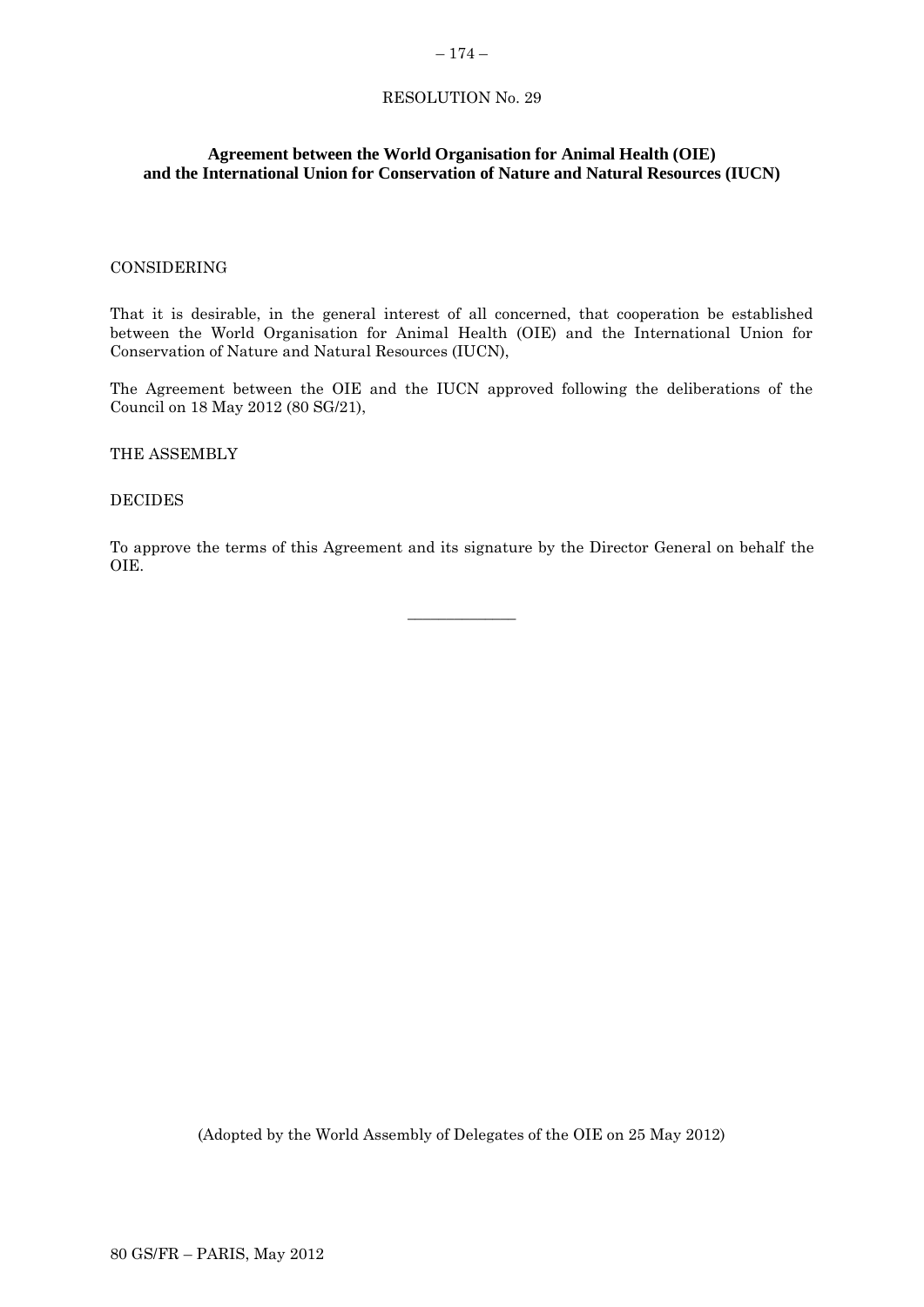### – 174 –

# RESOLUTION No. 29

# **Agreement between the World Organisation for Animal Health (OIE) and the International Union for Conservation of Nature and Natural Resources (IUCN)**

### CONSIDERING

That it is desirable, in the general interest of all concerned, that cooperation be established between the World Organisation for Animal Health (OIE) and the International Union for Conservation of Nature and Natural Resources (IUCN),

The Agreement between the OIE and the IUCN approved following the deliberations of the Council on 18 May 2012 (80 SG/21),

THE ASSEMBLY

### DECIDES

To approve the terms of this Agreement and its signature by the Director General on behalf the OIE.

\_\_\_\_\_\_\_\_\_\_\_\_\_\_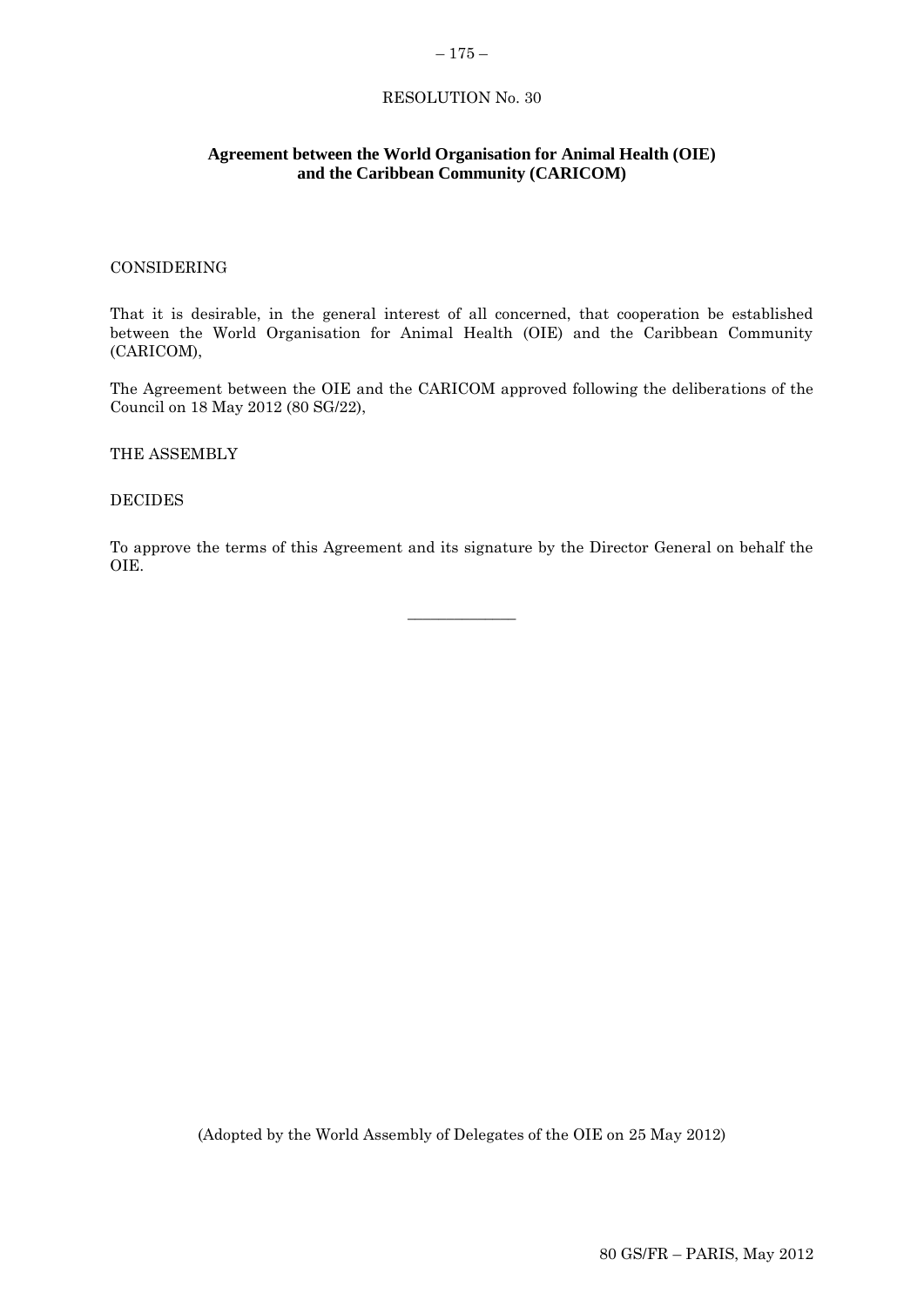## $-175-$

# RESOLUTION No. 30

# **Agreement between the World Organisation for Animal Health (OIE) and the Caribbean Community (CARICOM)**

### CONSIDERING

That it is desirable, in the general interest of all concerned, that cooperation be established between the World Organisation for Animal Health (OIE) and the Caribbean Community (CARICOM),

The Agreement between the OIE and the CARICOM approved following the deliberations of the Council on 18 May 2012 (80 SG/22),

THE ASSEMBLY

DECIDES

To approve the terms of this Agreement and its signature by the Director General on behalf the OIE.

\_\_\_\_\_\_\_\_\_\_\_\_\_\_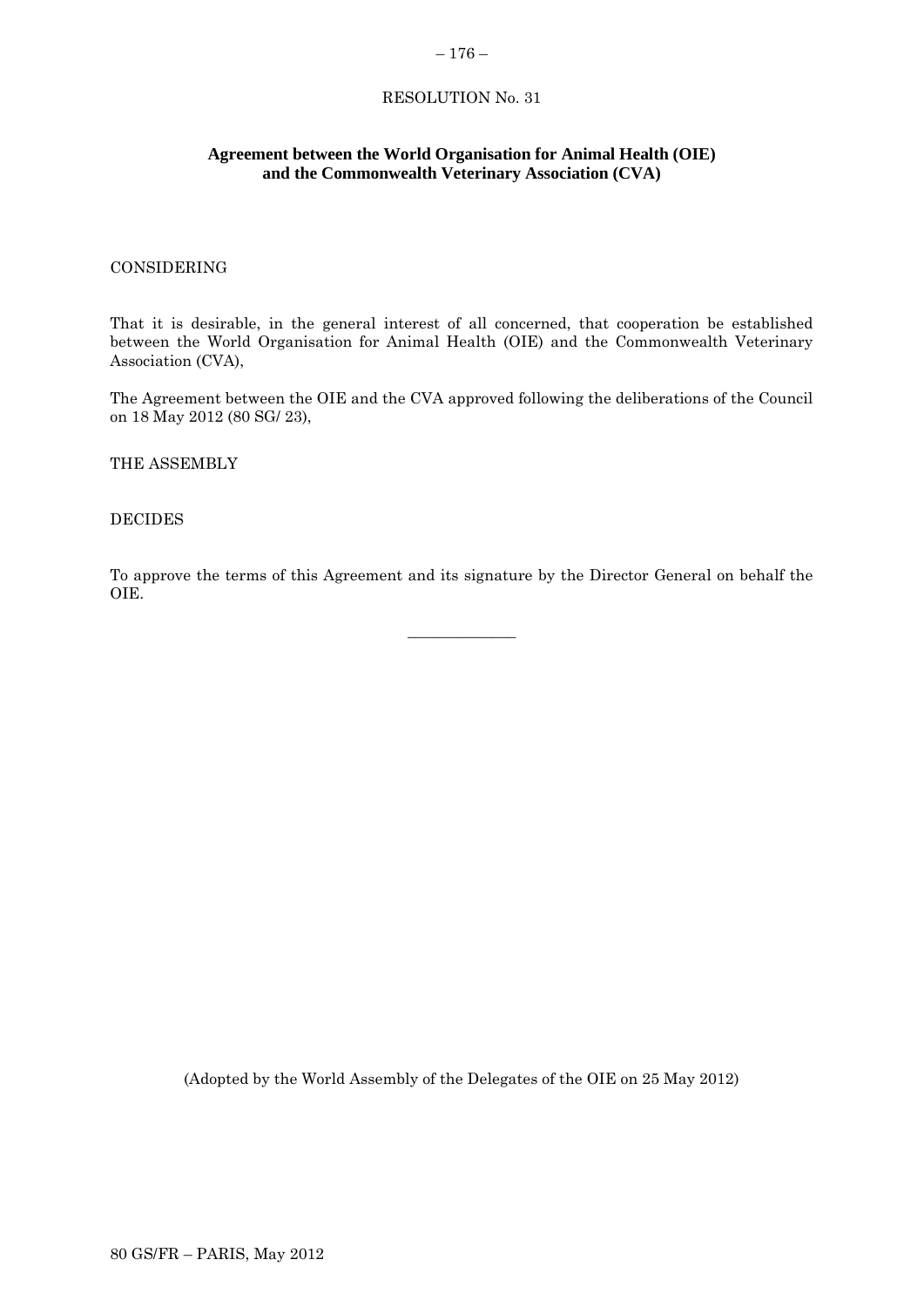### – 176 –

# RESOLUTION No. 31

# **Agreement between the World Organisation for Animal Health (OIE) and the Commonwealth Veterinary Association (CVA)**

### CONSIDERING

That it is desirable, in the general interest of all concerned, that cooperation be established between the World Organisation for Animal Health (OIE) and the Commonwealth Veterinary Association (CVA),

The Agreement between the OIE and the CVA approved following the deliberations of the Council on 18 May 2012 (80 SG/ 23),

THE ASSEMBLY

### DECIDES

To approve the terms of this Agreement and its signature by the Director General on behalf the OIE.

\_\_\_\_\_\_\_\_\_\_\_\_\_\_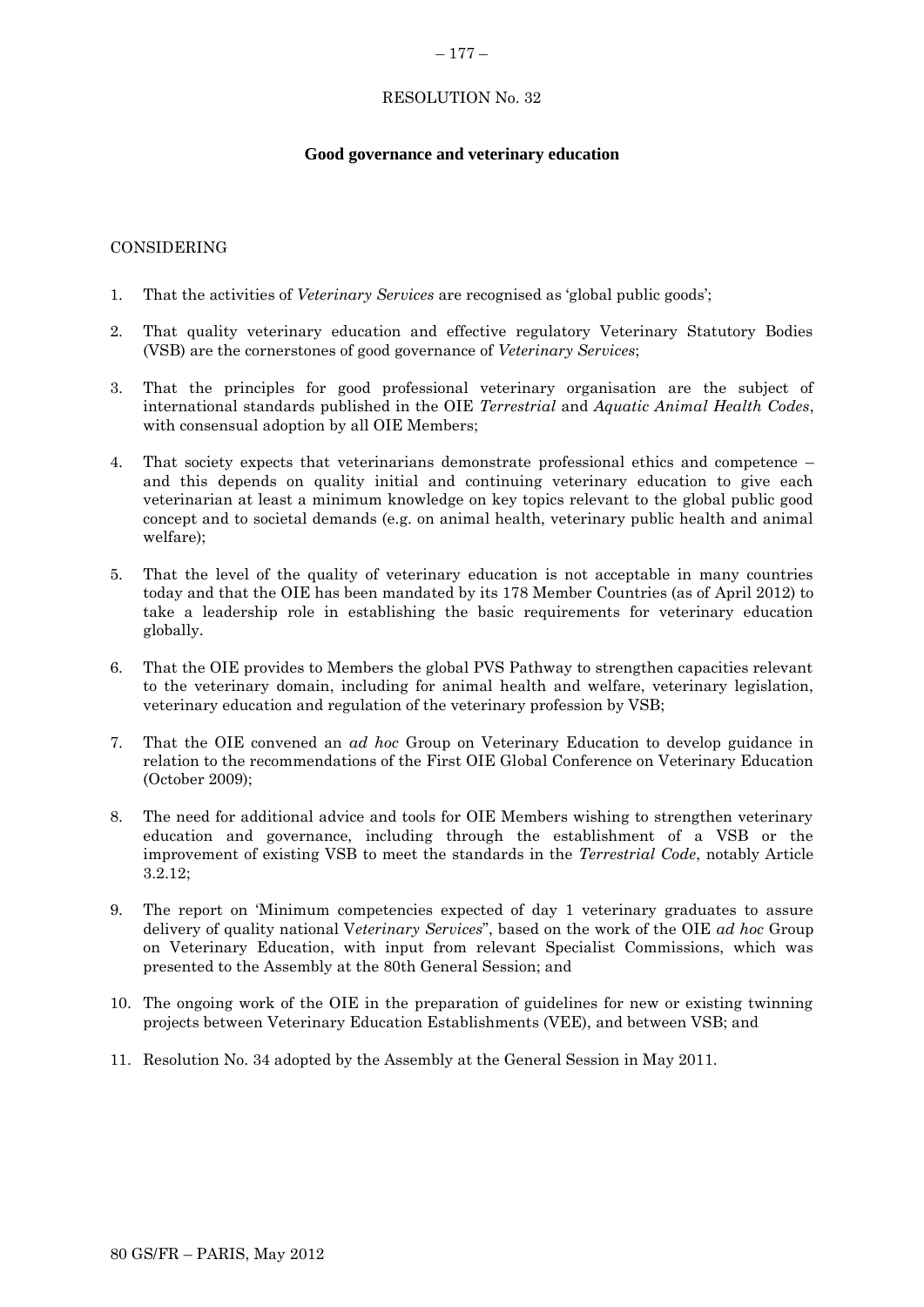### $-177-$

# RESOLUTION No. 32

# **Good governance and veterinary education**

# CONSIDERING

- 1. That the activities of *Veterinary Services* are recognised as 'global public goods';
- 2. That quality veterinary education and effective regulatory Veterinary Statutory Bodies (VSB) are the cornerstones of good governance of *Veterinary Services*;
- 3. That the principles for good professional veterinary organisation are the subject of international standards published in the OIE *Terrestrial* and *Aquatic Animal Health Codes*, with consensual adoption by all OIE Members;
- 4. That society expects that veterinarians demonstrate professional ethics and competence and this depends on quality initial and continuing veterinary education to give each veterinarian at least a minimum knowledge on key topics relevant to the global public good concept and to societal demands (e.g. on animal health, veterinary public health and animal welfare);
- 5. That the level of the quality of veterinary education is not acceptable in many countries today and that the OIE has been mandated by its 178 Member Countries (as of April 2012) to take a leadership role in establishing the basic requirements for veterinary education globally.
- 6. That the OIE provides to Members the global PVS Pathway to strengthen capacities relevant to the veterinary domain, including for animal health and welfare, veterinary legislation, veterinary education and regulation of the veterinary profession by VSB;
- 7. That the OIE convened an *ad hoc* Group on Veterinary Education to develop guidance in relation to the recommendations of the First OIE Global Conference on Veterinary Education (October 2009);
- 8. The need for additional advice and tools for OIE Members wishing to strengthen veterinary education and governance, including through the establishment of a VSB or the improvement of existing VSB to meet the standards in the *Terrestrial Code*, notably Article 3.2.12;
- 9. The report on 'Minimum competencies expected of day 1 veterinary graduates to assure delivery of quality national V*eterinary Services*", based on the work of the OIE *ad hoc* Group on Veterinary Education, with input from relevant Specialist Commissions, which was presented to the Assembly at the 80th General Session; and
- 10. The ongoing work of the OIE in the preparation of guidelines for new or existing twinning projects between Veterinary Education Establishments (VEE), and between VSB; and
- 11. Resolution No. 34 adopted by the Assembly at the General Session in May 2011.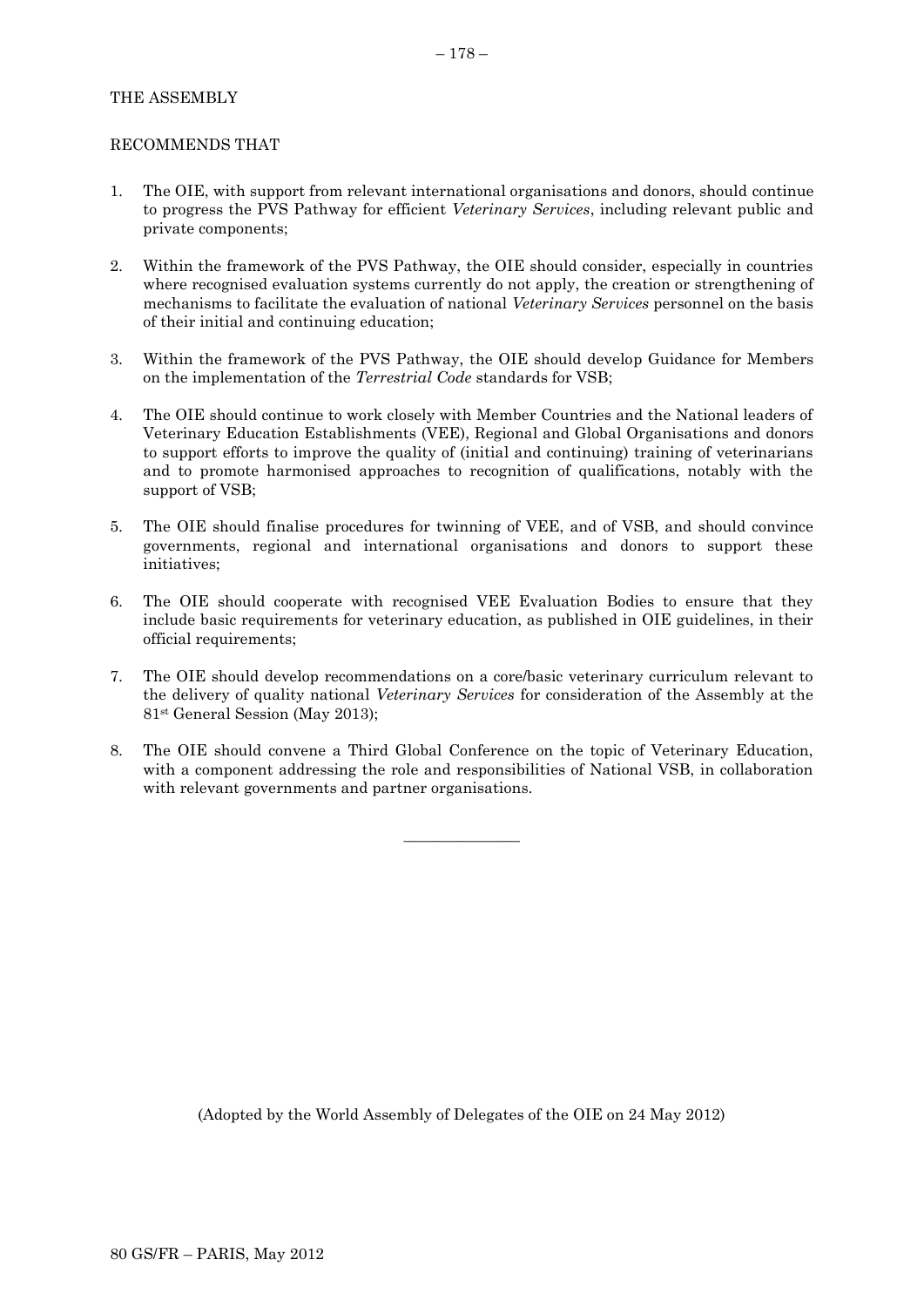# THE ASSEMBLY

### RECOMMENDS THAT

- 1. The OIE, with support from relevant international organisations and donors, should continue to progress the PVS Pathway for efficient *Veterinary Services*, including relevant public and private components;
- 2. Within the framework of the PVS Pathway, the OIE should consider, especially in countries where recognised evaluation systems currently do not apply, the creation or strengthening of mechanisms to facilitate the evaluation of national *Veterinary Services* personnel on the basis of their initial and continuing education;
- 3. Within the framework of the PVS Pathway, the OIE should develop Guidance for Members on the implementation of the *Terrestrial Code* standards for VSB;
- 4. The OIE should continue to work closely with Member Countries and the National leaders of Veterinary Education Establishments (VEE), Regional and Global Organisations and donors to support efforts to improve the quality of (initial and continuing) training of veterinarians and to promote harmonised approaches to recognition of qualifications, notably with the support of VSB;
- 5. The OIE should finalise procedures for twinning of VEE, and of VSB, and should convince governments, regional and international organisations and donors to support these initiatives;
- 6. The OIE should cooperate with recognised VEE Evaluation Bodies to ensure that they include basic requirements for veterinary education, as published in OIE guidelines, in their official requirements;
- 7. The OIE should develop recommendations on a core/basic veterinary curriculum relevant to the delivery of quality national *Veterinary Services* for consideration of the Assembly at the 81st General Session (May 2013);
- 8. The OIE should convene a Third Global Conference on the topic of Veterinary Education, with a component addressing the role and responsibilities of National VSB, in collaboration with relevant governments and partner organisations.

 $\overline{\phantom{a}}$  , where  $\overline{\phantom{a}}$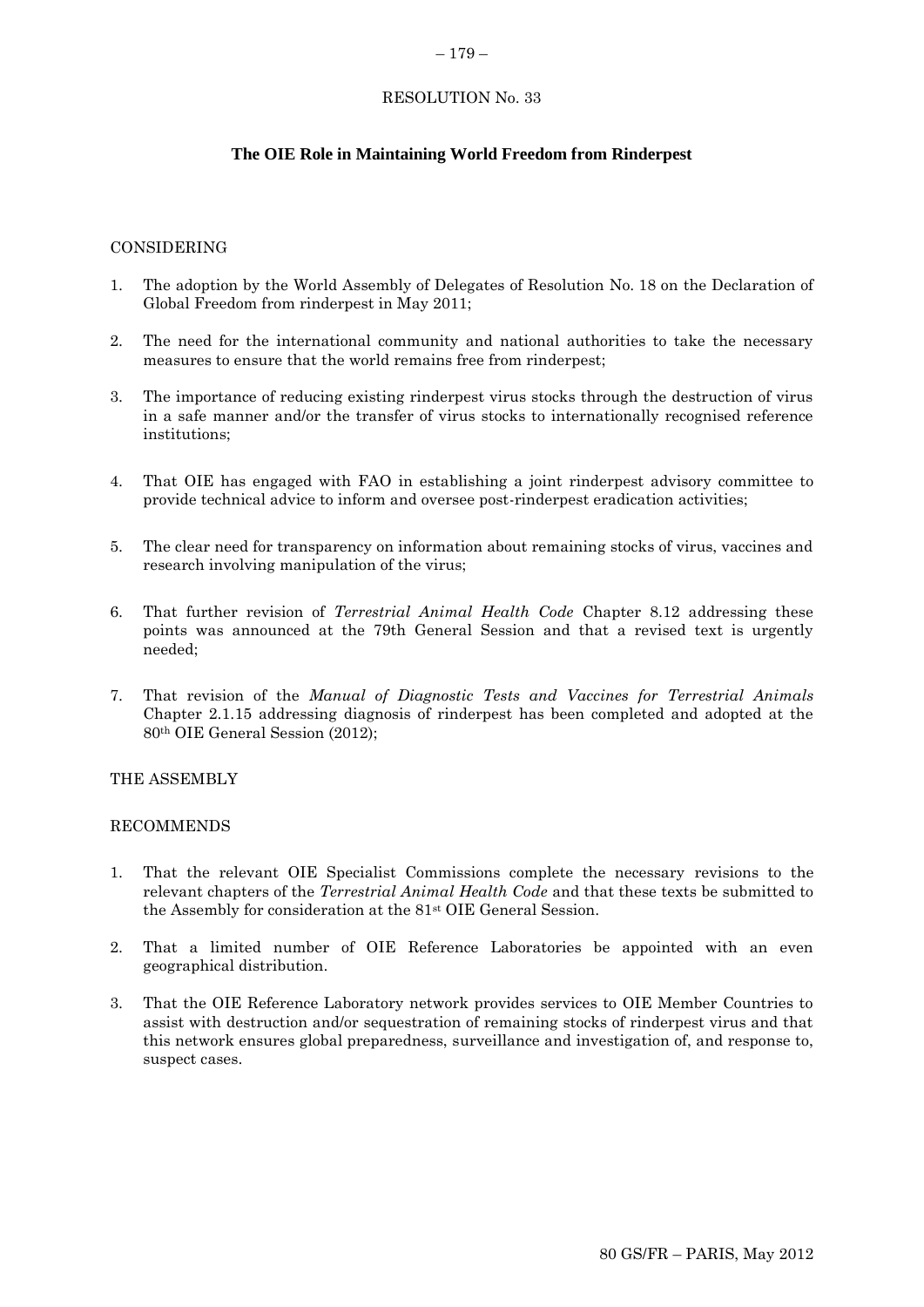### – 179 –

# RESOLUTION No. 33

# **The OIE Role in Maintaining World Freedom from Rinderpest**

### CONSIDERING

- 1. The adoption by the World Assembly of Delegates of Resolution No. 18 on the Declaration of Global Freedom from rinderpest in May 2011;
- 2. The need for the international community and national authorities to take the necessary measures to ensure that the world remains free from rinderpest;
- 3. The importance of reducing existing rinderpest virus stocks through the destruction of virus in a safe manner and/or the transfer of virus stocks to internationally recognised reference institutions;
- 4. That OIE has engaged with FAO in establishing a joint rinderpest advisory committee to provide technical advice to inform and oversee post-rinderpest eradication activities;
- 5. The clear need for transparency on information about remaining stocks of virus, vaccines and research involving manipulation of the virus;
- 6. That further revision of *Terrestrial Animal Health Code* Chapter 8.12 addressing these points was announced at the 79th General Session and that a revised text is urgently needed;
- 7. That revision of the *Manual of Diagnostic Tests and Vaccines for Terrestrial Animals* Chapter 2.1.15 addressing diagnosis of rinderpest has been completed and adopted at the 80th OIE General Session (2012);

### THE ASSEMBLY

### RECOMMENDS

- 1. That the relevant OIE Specialist Commissions complete the necessary revisions to the relevant chapters of the *Terrestrial Animal Health Code* and that these texts be submitted to the Assembly for consideration at the 81st OIE General Session.
- 2. That a limited number of OIE Reference Laboratories be appointed with an even geographical distribution.
- 3. That the OIE Reference Laboratory network provides services to OIE Member Countries to assist with destruction and/or sequestration of remaining stocks of rinderpest virus and that this network ensures global preparedness, surveillance and investigation of, and response to, suspect cases.